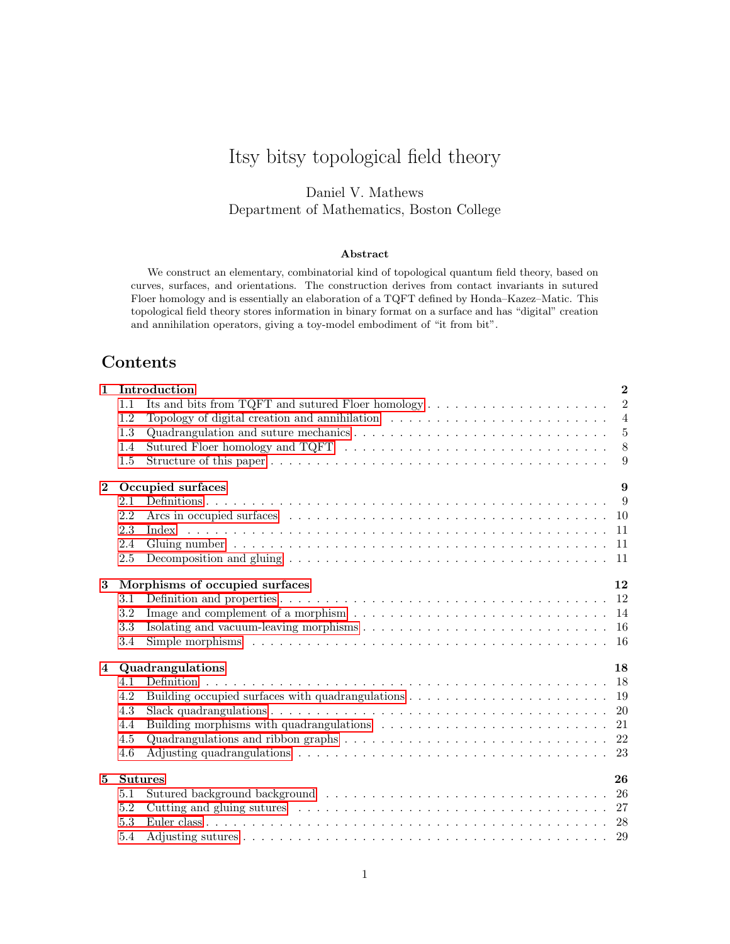# Itsy bitsy topological field theory

Daniel V. Mathews Department of Mathematics, Boston College

#### Abstract

We construct an elementary, combinatorial kind of topological quantum field theory, based on curves, surfaces, and orientations. The construction derives from contact invariants in sutured Floer homology and is essentially an elaboration of a TQFT defined by Honda–Kazez–Matic. This topological field theory stores information in binary format on a surface and has "digital" creation and annihilation operators, giving a toy-model embodiment of "it from bit".

## Contents

| $\mathbf{1}$   |                        | $\mathbf{2}$<br>Introduction                                                                                           |                  |  |  |  |  |
|----------------|------------------------|------------------------------------------------------------------------------------------------------------------------|------------------|--|--|--|--|
|                | 1.1                    | Its and bits from TQFT and sutured Floer homology $\dots \dots \dots \dots \dots \dots \dots$                          | $\overline{2}$   |  |  |  |  |
|                | 1.2                    | Topology of digital creation and annihilation $\ldots \ldots \ldots \ldots \ldots \ldots \ldots \ldots$                | $\overline{4}$   |  |  |  |  |
|                | 1.3                    |                                                                                                                        | $5\overline{)}$  |  |  |  |  |
|                | 1.4                    |                                                                                                                        | 8                |  |  |  |  |
|                | 1.5                    |                                                                                                                        | $\boldsymbol{9}$ |  |  |  |  |
| $\mathbf{2}$   | Occupied surfaces<br>9 |                                                                                                                        |                  |  |  |  |  |
|                | 2.1                    | - 9                                                                                                                    |                  |  |  |  |  |
|                | 2.2                    |                                                                                                                        |                  |  |  |  |  |
|                | 2.3                    |                                                                                                                        |                  |  |  |  |  |
|                | 2.4                    |                                                                                                                        |                  |  |  |  |  |
|                | 2.5                    |                                                                                                                        |                  |  |  |  |  |
| 3              |                        | Morphisms of occupied surfaces<br>12                                                                                   |                  |  |  |  |  |
|                | 3.1                    |                                                                                                                        |                  |  |  |  |  |
|                | 3.2                    | Image and complement of a morphism $\dots \dots \dots \dots \dots \dots \dots \dots \dots \dots \dots \dots \dots$     |                  |  |  |  |  |
|                | 3.3                    | Isolating and vacuum-leaving morphisms $\dots \dots \dots \dots \dots \dots \dots \dots \dots \dots \dots \dots \dots$ |                  |  |  |  |  |
|                | 3.4                    |                                                                                                                        |                  |  |  |  |  |
| $\overline{4}$ | Quadrangulations<br>18 |                                                                                                                        |                  |  |  |  |  |
|                | 4.1                    |                                                                                                                        |                  |  |  |  |  |
|                | 4.2                    | Building occupied surfaces with quadrangulations $\dots \dots \dots \dots \dots \dots \dots \dots \dots$               |                  |  |  |  |  |
|                | 4.3                    |                                                                                                                        |                  |  |  |  |  |
|                | 4.4                    |                                                                                                                        |                  |  |  |  |  |
|                | 4.5                    | Quadrangulations and ribbon graphs $\ldots \ldots \ldots \ldots \ldots \ldots \ldots \ldots \ldots \ldots \ldots$      |                  |  |  |  |  |
|                | 4.6                    | Adjusting quadrangulations $\ldots \ldots \ldots \ldots \ldots \ldots \ldots \ldots \ldots \ldots \ldots$              |                  |  |  |  |  |
| $\mathbf{5}$   | <b>Sutures</b><br>26   |                                                                                                                        |                  |  |  |  |  |
|                | 5.1                    |                                                                                                                        |                  |  |  |  |  |
|                | 5.2                    |                                                                                                                        |                  |  |  |  |  |
|                | 5.3                    |                                                                                                                        |                  |  |  |  |  |
|                | 5.4                    |                                                                                                                        |                  |  |  |  |  |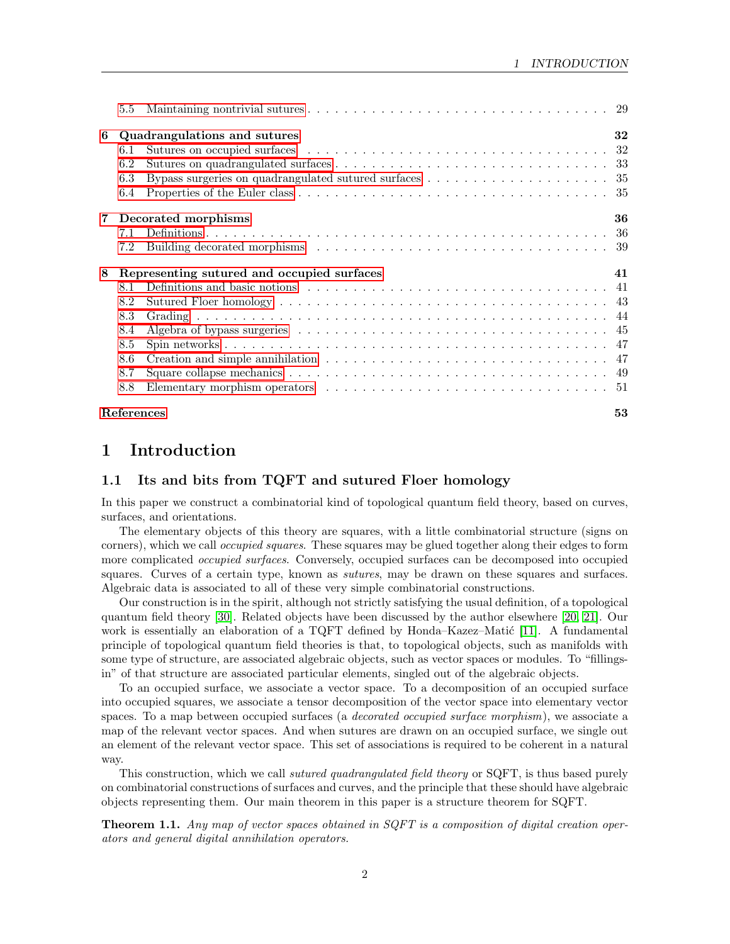|                | $5.5\,$                                    |  |    |  |  |  |
|----------------|--------------------------------------------|--|----|--|--|--|
| 6              | 32<br>Quadrangulations and sutures         |  |    |  |  |  |
|                | 6.1                                        |  |    |  |  |  |
|                | 6.2                                        |  |    |  |  |  |
|                | 6.3                                        |  |    |  |  |  |
|                | 6.4                                        |  |    |  |  |  |
| $\overline{7}$ | 36<br>Decorated morphisms                  |  |    |  |  |  |
|                | 7.1                                        |  |    |  |  |  |
|                | 7.2                                        |  |    |  |  |  |
| 8              | Representing sutured and occupied surfaces |  |    |  |  |  |
|                |                                            |  | 41 |  |  |  |
|                | 8.1                                        |  |    |  |  |  |
|                | 8.2                                        |  |    |  |  |  |
|                | 8.3                                        |  |    |  |  |  |
|                | 8.4                                        |  |    |  |  |  |
|                | 8.5                                        |  |    |  |  |  |
|                | 8.6                                        |  |    |  |  |  |
|                | 8.7                                        |  |    |  |  |  |
|                | 8.8                                        |  |    |  |  |  |

## <span id="page-1-0"></span>1 Introduction

## <span id="page-1-1"></span>1.1 Its and bits from TQFT and sutured Floer homology

In this paper we construct a combinatorial kind of topological quantum field theory, based on curves, surfaces, and orientations.

The elementary objects of this theory are squares, with a little combinatorial structure (signs on corners), which we call *occupied squares*. These squares may be glued together along their edges to form more complicated *occupied surfaces*. Conversely, occupied surfaces can be decomposed into occupied squares. Curves of a certain type, known as *sutures*, may be drawn on these squares and surfaces. Algebraic data is associated to all of these very simple combinatorial constructions.

Our construction is in the spirit, although not strictly satisfying the usual definition, of a topological quantum field theory [\[30\]](#page-53-0). Related objects have been discussed by the author elsewhere [\[20,](#page-53-1) [21\]](#page-53-2). Our work is essentially an elaboration of a TQFT defined by Honda–Kazez–Matic  $[11]$ . A fundamental principle of topological quantum field theories is that, to topological objects, such as manifolds with some type of structure, are associated algebraic objects, such as vector spaces or modules. To "fillingsin" of that structure are associated particular elements, singled out of the algebraic objects.

To an occupied surface, we associate a vector space. To a decomposition of an occupied surface into occupied squares, we associate a tensor decomposition of the vector space into elementary vector spaces. To a map between occupied surfaces (a *decorated occupied surface morphism*), we associate a map of the relevant vector spaces. And when sutures are drawn on an occupied surface, we single out an element of the relevant vector space. This set of associations is required to be coherent in a natural way.

This construction, which we call *sutured quadrangulated field theory* or SQFT, is thus based purely on combinatorial constructions of surfaces and curves, and the principle that these should have algebraic objects representing them. Our main theorem in this paper is a structure theorem for SQFT.

<span id="page-1-2"></span>**Theorem 1.1.** Any map of vector spaces obtained in SQFT is a composition of digital creation operators and general digital annihilation operators.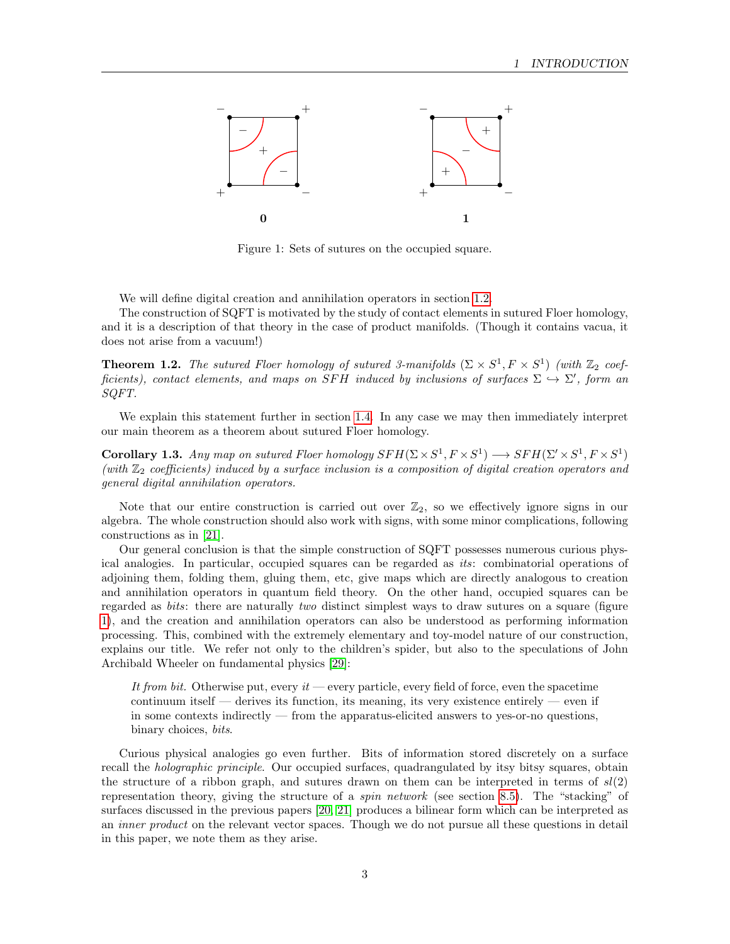

<span id="page-2-0"></span>Figure 1: Sets of sutures on the occupied square.

We will define digital creation and annihilation operators in section [1.2.](#page-3-0)

The construction of SQFT is motivated by the study of contact elements in sutured Floer homology, and it is a description of that theory in the case of product manifolds. (Though it contains vacua, it does not arise from a vacuum!)

<span id="page-2-2"></span>**Theorem 1.2.** The sutured Floer homology of sutured 3-manifolds  $(\Sigma \times S^1, F \times S^1)$  (with  $\mathbb{Z}_2$  coefficients), contact elements, and maps on SFH induced by inclusions of surfaces  $\Sigma \hookrightarrow \Sigma'$ , form an SQFT.

We explain this statement further in section [1.4.](#page-7-0) In any case we may then immediately interpret our main theorem as a theorem about sutured Floer homology.

<span id="page-2-1"></span>**Corollary 1.3.** Any map on sutured Floer homology  $SFH(\Sigma \times S^1, F \times S^1) \longrightarrow SFH(\Sigma' \times S^1, F \times S^1)$ (with  $\mathbb{Z}_2$  coefficients) induced by a surface inclusion is a composition of digital creation operators and general digital annihilation operators.

Note that our entire construction is carried out over  $\mathbb{Z}_2$ , so we effectively ignore signs in our algebra. The whole construction should also work with signs, with some minor complications, following constructions as in [\[21\]](#page-53-2).

Our general conclusion is that the simple construction of SQFT possesses numerous curious physical analogies. In particular, occupied squares can be regarded as its: combinatorial operations of adjoining them, folding them, gluing them, etc, give maps which are directly analogous to creation and annihilation operators in quantum field theory. On the other hand, occupied squares can be regarded as bits: there are naturally two distinct simplest ways to draw sutures on a square (figure [1\)](#page-2-0), and the creation and annihilation operators can also be understood as performing information processing. This, combined with the extremely elementary and toy-model nature of our construction, explains our title. We refer not only to the children's spider, but also to the speculations of John Archibald Wheeler on fundamental physics [\[29\]](#page-53-3):

It from bit. Otherwise put, every it — every particle, every field of force, even the spacetime continuum itself — derives its function, its meaning, its very existence entirely — even if in some contexts indirectly — from the apparatus-elicited answers to yes-or-no questions, binary choices, bits.

Curious physical analogies go even further. Bits of information stored discretely on a surface recall the *holographic principle*. Our occupied surfaces, quadrangulated by itsy bitsy squares, obtain the structure of a ribbon graph, and sutures drawn on them can be interpreted in terms of  $sl(2)$ representation theory, giving the structure of a spin network (see section [8.5\)](#page-46-0). The "stacking" of surfaces discussed in the previous papers [\[20,](#page-53-1) [21\]](#page-53-2) produces a bilinear form which can be interpreted as an inner product on the relevant vector spaces. Though we do not pursue all these questions in detail in this paper, we note them as they arise.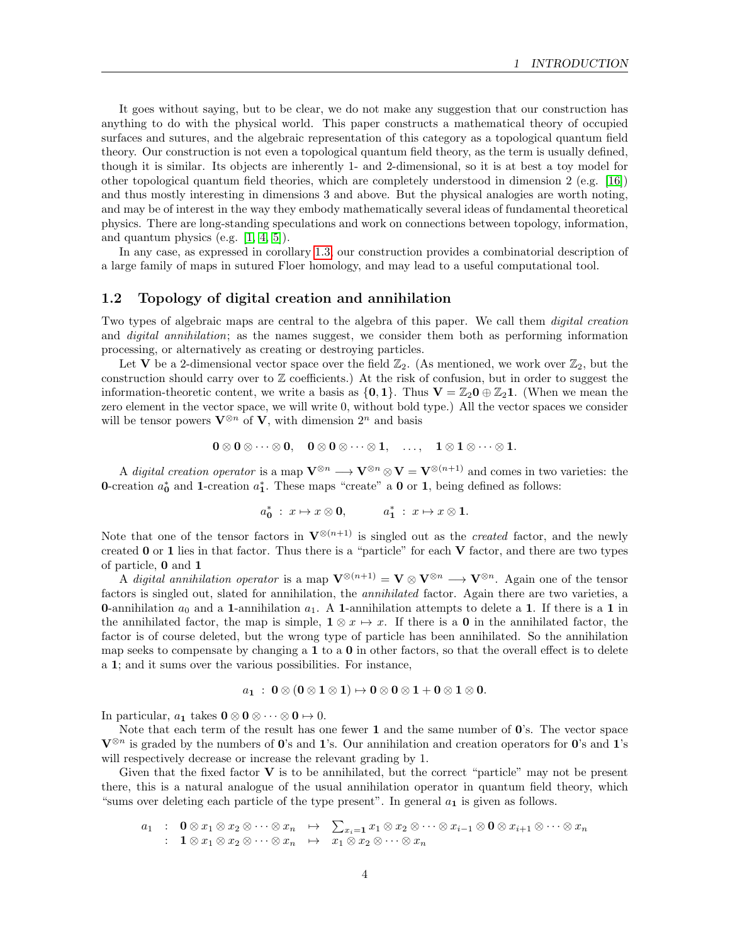It goes without saying, but to be clear, we do not make any suggestion that our construction has anything to do with the physical world. This paper constructs a mathematical theory of occupied surfaces and sutures, and the algebraic representation of this category as a topological quantum field theory. Our construction is not even a topological quantum field theory, as the term is usually defined, though it is similar. Its objects are inherently 1- and 2-dimensional, so it is at best a toy model for other topological quantum field theories, which are completely understood in dimension 2 (e.g. [\[16\]](#page-53-4)) and thus mostly interesting in dimensions 3 and above. But the physical analogies are worth noting, and may be of interest in the way they embody mathematically several ideas of fundamental theoretical physics. There are long-standing speculations and work on connections between topology, information, and quantum physics (e.g.  $[1, 4, 5]$  $[1, 4, 5]$  $[1, 4, 5]$ ).

In any case, as expressed in corollary [1.3,](#page-2-1) our construction provides a combinatorial description of a large family of maps in sutured Floer homology, and may lead to a useful computational tool.

#### <span id="page-3-0"></span>1.2 Topology of digital creation and annihilation

Two types of algebraic maps are central to the algebra of this paper. We call them *digital creation* and *digital annihilation*; as the names suggest, we consider them both as performing information processing, or alternatively as creating or destroying particles.

Let V be a 2-dimensional vector space over the field  $\mathbb{Z}_2$ . (As mentioned, we work over  $\mathbb{Z}_2$ , but the construction should carry over to  $\mathbb Z$  coefficients.) At the risk of confusion, but in order to suggest the information-theoretic content, we write a basis as  $\{0, 1\}$ . Thus  $V = \mathbb{Z}_2 0 \oplus \mathbb{Z}_2 1$ . (When we mean the zero element in the vector space, we will write 0, without bold type.) All the vector spaces we consider will be tensor powers  $\mathbf{V}^{\otimes n}$  of  $\mathbf{V}$ , with dimension  $2^n$  and basis

$$
0\otimes 0\otimes \cdots \otimes 0, \quad 0\otimes 0\otimes \cdots \otimes 1, \quad \ldots, \quad 1\otimes 1\otimes \cdots \otimes 1.
$$

A digital creation operator is a map  $\mathbf{V}^{\otimes n} \longrightarrow \mathbf{V}^{\otimes n} \otimes \mathbf{V} = \mathbf{V}^{\otimes (n+1)}$  and comes in two varieties: the 0-creation  $a_0^*$  and 1-creation  $a_1^*$ . These maps "create" a 0 or 1, being defined as follows:

$$
a_{\mathbf{0}}^* \; : \; x \mapsto x \otimes \mathbf{0}, \qquad \qquad a_{\mathbf{1}}^* \; : \; x \mapsto x \otimes \mathbf{1}.
$$

Note that one of the tensor factors in  $\mathbf{V}^{\otimes(n+1)}$  is singled out as the *created* factor, and the newly created  $0$  or  $1$  lies in that factor. Thus there is a "particle" for each  $V$  factor, and there are two types of particle, 0 and 1

A digital annihilation operator is a map  $\mathbf{V}^{\otimes (n+1)} = \mathbf{V} \otimes \mathbf{V}^{\otimes n} \longrightarrow \mathbf{V}^{\otimes n}$ . Again one of the tensor factors is singled out, slated for annihilation, the *annihilated* factor. Again there are two varieties, a **0-annihilation**  $a_0$  **and a 1-annihilation**  $a_1$ **. A 1-annihilation attempts to delete a 1. If there is a 1 in** the annihilated factor, the map is simple,  $1 \otimes x \mapsto x$ . If there is a 0 in the annihilated factor, the factor is of course deleted, but the wrong type of particle has been annihilated. So the annihilation map seeks to compensate by changing a 1 to a 0 in other factors, so that the overall effect is to delete a 1; and it sums over the various possibilities. For instance,

$$
a_{1} \; : \; 0 \otimes (0 \otimes 1 \otimes 1) \mapsto 0 \otimes 0 \otimes 1 + 0 \otimes 1 \otimes 0.
$$

In particular,  $a_1$  takes  $\mathbf{0} \otimes \mathbf{0} \otimes \cdots \otimes \mathbf{0} \mapsto 0$ .

Note that each term of the result has one fewer 1 and the same number of  $\mathbf{0}$ 's. The vector space  $\mathbf{V}^{\otimes n}$  is graded by the numbers of  $\mathbf{0}$ 's and  $\mathbf{1}$ 's. Our annihilation and creation operators for  $\mathbf{0}$ 's and  $\mathbf{1}$ 's will respectively decrease or increase the relevant grading by 1.

Given that the fixed factor  $V$  is to be annihilated, but the correct "particle" may not be present there, this is a natural analogue of the usual annihilation operator in quantum field theory, which "sums over deleting each particle of the type present". In general  $a_1$  is given as follows.

$$
a_1 : \mathbf{0} \otimes x_1 \otimes x_2 \otimes \cdots \otimes x_n \mapsto \sum_{x_i=1} x_1 \otimes x_2 \otimes \cdots \otimes x_{i-1} \otimes \mathbf{0} \otimes x_{i+1} \otimes \cdots \otimes x_n
$$
  
\n
$$
: \mathbf{1} \otimes x_1 \otimes x_2 \otimes \cdots \otimes x_n \mapsto x_1 \otimes x_2 \otimes \cdots \otimes x_n
$$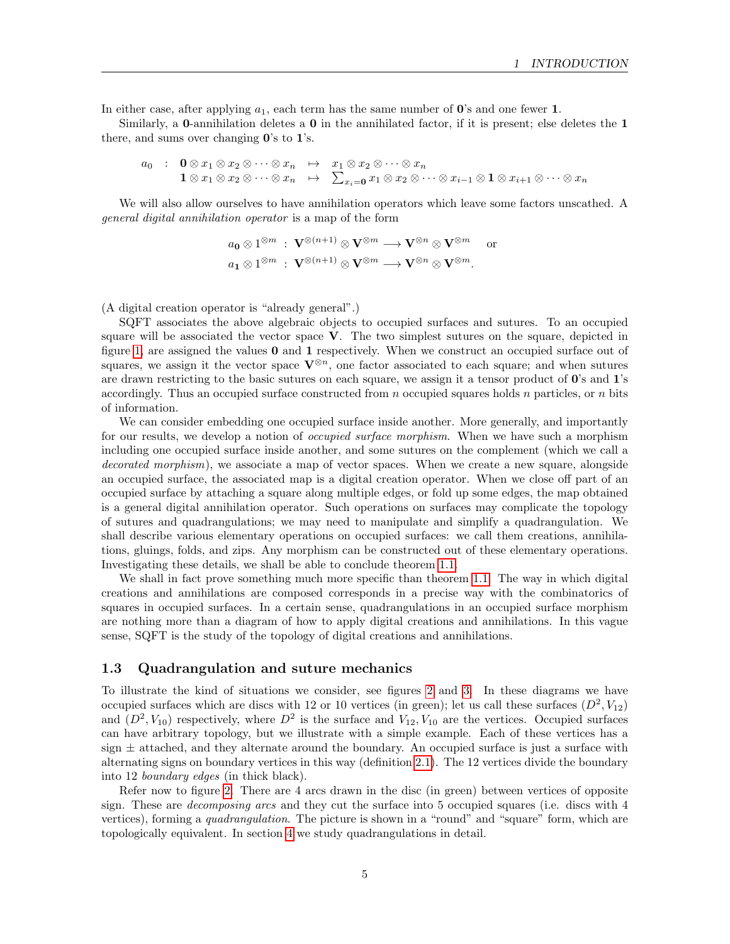In either case, after applying  $a_1$ , each term has the same number of  $\mathbf{0}$ 's and one fewer 1.

Similarly, a **0**-annihilation deletes a **0** in the annihilated factor, if it is present; else deletes the **1** there, and sums over changing  $0$ 's to  $1$ 's.

 $a_0$  :  $\mathbf{0} \otimes x_1 \otimes x_2 \otimes \cdots \otimes x_n \mapsto x_1 \otimes x_2 \otimes \cdots \otimes x_n$  $1 \otimes x_1 \otimes x_2 \otimes \cdots \otimes x_n \quad \mapsto \quad \sum_{x_i=0} x_1 \otimes x_2 \otimes \cdots \otimes x_{i-1} \otimes 1 \otimes x_{i+1} \otimes \cdots \otimes x_n$ 

We will also allow ourselves to have annihilation operators which leave some factors unscathed. A general digital annihilation operator is a map of the form

$$
a_0 \otimes 1^{\otimes m} : \mathbf{V}^{\otimes (n+1)} \otimes \mathbf{V}^{\otimes m} \longrightarrow \mathbf{V}^{\otimes n} \otimes \mathbf{V}^{\otimes m}
$$
 or  
 $a_1 \otimes 1^{\otimes m} : \mathbf{V}^{\otimes (n+1)} \otimes \mathbf{V}^{\otimes m} \longrightarrow \mathbf{V}^{\otimes n} \otimes \mathbf{V}^{\otimes m}$ .

(A digital creation operator is "already general".)

SQFT associates the above algebraic objects to occupied surfaces and sutures. To an occupied square will be associated the vector space V. The two simplest sutures on the square, depicted in figure [1,](#page-2-0) are assigned the values  $\bf{0}$  and  $\bf{1}$  respectively. When we construct an occupied surface out of squares, we assign it the vector space  $\mathbf{V}^{\otimes n}$ , one factor associated to each square; and when sutures are drawn restricting to the basic sutures on each square, we assign it a tensor product of  $\mathbf{0}$ 's and  $\mathbf{1}$ 's accordingly. Thus an occupied surface constructed from  $n$  occupied squares holds  $n$  particles, or  $n$  bits of information.

We can consider embedding one occupied surface inside another. More generally, and importantly for our results, we develop a notion of *occupied surface morphism*. When we have such a morphism including one occupied surface inside another, and some sutures on the complement (which we call a decorated morphism), we associate a map of vector spaces. When we create a new square, alongside an occupied surface, the associated map is a digital creation operator. When we close off part of an occupied surface by attaching a square along multiple edges, or fold up some edges, the map obtained is a general digital annihilation operator. Such operations on surfaces may complicate the topology of sutures and quadrangulations; we may need to manipulate and simplify a quadrangulation. We shall describe various elementary operations on occupied surfaces: we call them creations, annihilations, gluings, folds, and zips. Any morphism can be constructed out of these elementary operations. Investigating these details, we shall be able to conclude theorem [1.1.](#page-1-2)

We shall in fact prove something much more specific than theorem [1.1.](#page-1-2) The way in which digital creations and annihilations are composed corresponds in a precise way with the combinatorics of squares in occupied surfaces. In a certain sense, quadrangulations in an occupied surface morphism are nothing more than a diagram of how to apply digital creations and annihilations. In this vague sense, SQFT is the study of the topology of digital creations and annihilations.

#### <span id="page-4-0"></span>1.3 Quadrangulation and suture mechanics

To illustrate the kind of situations we consider, see figures [2](#page-5-0) and [3.](#page-6-0) In these diagrams we have occupied surfaces which are discs with 12 or 10 vertices (in green); let us call these surfaces  $(D^2, V_{12})$ and  $(D^2, V_{10})$  respectively, where  $D^2$  is the surface and  $V_{12}, V_{10}$  are the vertices. Occupied surfaces can have arbitrary topology, but we illustrate with a simple example. Each of these vertices has a sign  $\pm$  attached, and they alternate around the boundary. An occupied surface is just a surface with alternating signs on boundary vertices in this way (definition [2.1\)](#page-8-3). The 12 vertices divide the boundary into 12 boundary edges (in thick black).

Refer now to figure [2.](#page-5-0) There are 4 arcs drawn in the disc (in green) between vertices of opposite sign. These are decomposing arcs and they cut the surface into 5 occupied squares (i.e. discs with 4 vertices), forming a *quadrangulation*. The picture is shown in a "round" and "square" form, which are topologically equivalent. In section [4](#page-17-0) we study quadrangulations in detail.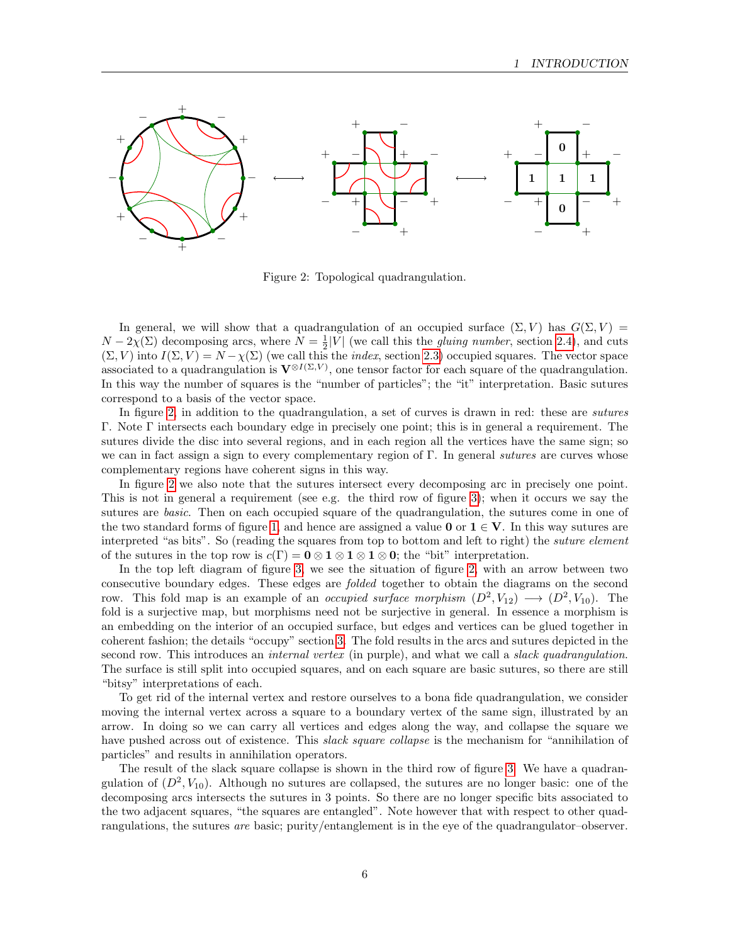

<span id="page-5-0"></span>Figure 2: Topological quadrangulation.

In general, we will show that a quadrangulation of an occupied surface  $(\Sigma, V)$  has  $G(\Sigma, V)$  =  $N-2\chi(\Sigma)$  decomposing arcs, where  $N=\frac{1}{2}|V|$  (we call this the *gluing number*, section [2.4\)](#page-10-1), and cuts  $(\Sigma, V)$  into  $I(\Sigma, V) = N - \chi(\Sigma)$  (we call this the *index*, section [2.3\)](#page-10-0) occupied squares. The vector space associated to a quadrangulation is  $V^{\otimes I(\Sigma,V)}$ , one tensor factor for each square of the quadrangulation. In this way the number of squares is the "number of particles"; the "it" interpretation. Basic sutures correspond to a basis of the vector space.

In figure [2,](#page-5-0) in addition to the quadrangulation, a set of curves is drawn in red: these are *sutures* Γ. Note Γ intersects each boundary edge in precisely one point; this is in general a requirement. The sutures divide the disc into several regions, and in each region all the vertices have the same sign; so we can in fact assign a sign to every complementary region of  $\Gamma$ . In general sutures are curves whose complementary regions have coherent signs in this way.

In figure [2](#page-5-0) we also note that the sutures intersect every decomposing arc in precisely one point. This is not in general a requirement (see e.g. the third row of figure [3\)](#page-6-0); when it occurs we say the sutures are *basic*. Then on each occupied square of the quadrangulation, the sutures come in one of the two standard forms of figure [1,](#page-2-0) and hence are assigned a value 0 or  $1 \in V$ . In this way sutures are interpreted "as bits". So (reading the squares from top to bottom and left to right) the suture element of the sutures in the top row is  $c(\Gamma) = 0 \otimes 1 \otimes 1 \otimes 1 \otimes 0$ ; the "bit" interpretation.

In the top left diagram of figure [3,](#page-6-0) we see the situation of figure [2,](#page-5-0) with an arrow between two consecutive boundary edges. These edges are folded together to obtain the diagrams on the second row. This fold map is an example of an *occupied surface morphism*  $(D^2, V_{12}) \longrightarrow (D^2, V_{10})$ . The fold is a surjective map, but morphisms need not be surjective in general. In essence a morphism is an embedding on the interior of an occupied surface, but edges and vertices can be glued together in coherent fashion; the details "occupy" section [3.](#page-11-0) The fold results in the arcs and sutures depicted in the second row. This introduces an *internal vertex* (in purple), and what we call a *slack quadrangulation*. The surface is still split into occupied squares, and on each square are basic sutures, so there are still "bitsy" interpretations of each.

To get rid of the internal vertex and restore ourselves to a bona fide quadrangulation, we consider moving the internal vertex across a square to a boundary vertex of the same sign, illustrated by an arrow. In doing so we can carry all vertices and edges along the way, and collapse the square we have pushed across out of existence. This *slack square collapse* is the mechanism for "annihilation of particles" and results in annihilation operators.

The result of the slack square collapse is shown in the third row of figure [3.](#page-6-0) We have a quadrangulation of  $(D^2, V_{10})$ . Although no sutures are collapsed, the sutures are no longer basic: one of the decomposing arcs intersects the sutures in 3 points. So there are no longer specific bits associated to the two adjacent squares, "the squares are entangled". Note however that with respect to other quadrangulations, the sutures are basic; purity/entanglement is in the eye of the quadrangulator–observer.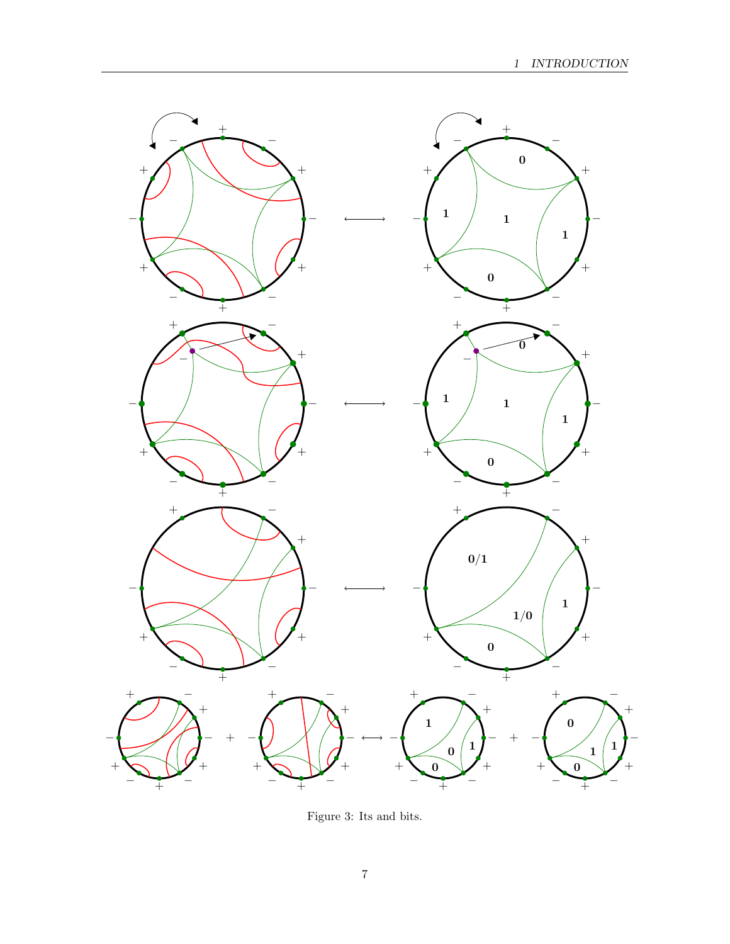

<span id="page-6-0"></span>Figure 3: Its and bits.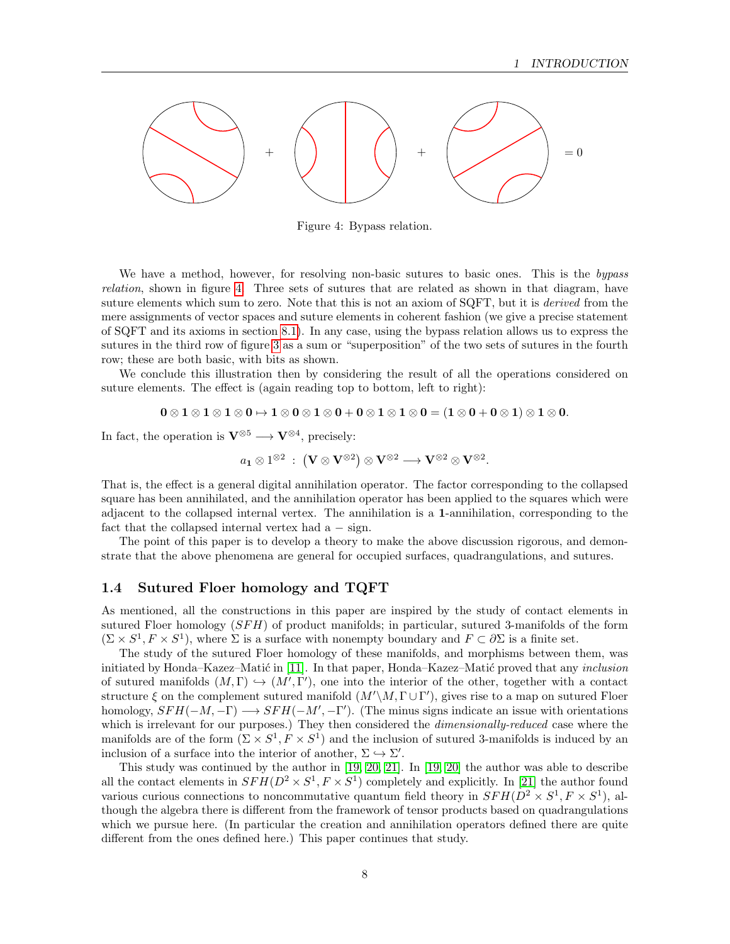

<span id="page-7-1"></span>Figure 4: Bypass relation.

We have a method, however, for resolving non-basic sutures to basic ones. This is the bypass relation, shown in figure [4.](#page-7-1) Three sets of sutures that are related as shown in that diagram, have suture elements which sum to zero. Note that this is not an axiom of SQFT, but it is *derived* from the mere assignments of vector spaces and suture elements in coherent fashion (we give a precise statement of SQFT and its axioms in section [8.1\)](#page-40-1). In any case, using the bypass relation allows us to express the sutures in the third row of figure [3](#page-6-0) as a sum or "superposition" of the two sets of sutures in the fourth row; these are both basic, with bits as shown.

We conclude this illustration then by considering the result of all the operations considered on suture elements. The effect is (again reading top to bottom, left to right):

$$
0 \otimes 1 \otimes 1 \otimes 1 \otimes 0 \mapsto 1 \otimes 0 \otimes 1 \otimes 0 + 0 \otimes 1 \otimes 1 \otimes 0 = (1 \otimes 0 + 0 \otimes 1) \otimes 1 \otimes 0.
$$

In fact, the operation is  $\mathbf{V}^{\otimes 5} \longrightarrow \mathbf{V}^{\otimes 4}$ , precisely:

$$
a_1\otimes 1^{\otimes 2} \;:\; \big(\mathbf{V}\otimes \mathbf{V}^{\otimes 2}\big)\otimes \mathbf{V}^{\otimes 2}\longrightarrow \mathbf{V}^{\otimes 2}\otimes \mathbf{V}^{\otimes 2}.
$$

That is, the effect is a general digital annihilation operator. The factor corresponding to the collapsed square has been annihilated, and the annihilation operator has been applied to the squares which were adjacent to the collapsed internal vertex. The annihilation is a 1-annihilation, corresponding to the fact that the collapsed internal vertex had  $a - sign$ .

The point of this paper is to develop a theory to make the above discussion rigorous, and demonstrate that the above phenomena are general for occupied surfaces, quadrangulations, and sutures.

#### <span id="page-7-0"></span>1.4 Sutured Floer homology and TQFT

As mentioned, all the constructions in this paper are inspired by the study of contact elements in sutured Floer homology  $(SFH)$  of product manifolds; in particular, sutured 3-manifolds of the form  $(\Sigma \times S^1, F \times S^1)$ , where  $\Sigma$  is a surface with nonempty boundary and  $F \subset \partial \Sigma$  is a finite set.

The study of the sutured Floer homology of these manifolds, and morphisms between them, was initiated by Honda–Kazez–Matić in [\[11\]](#page-52-1). In that paper, Honda–Kazez–Matić proved that any *inclusion* of sutured manifolds  $(M, \Gamma) \hookrightarrow (M', \Gamma')$ , one into the interior of the other, together with a contact structure  $\xi$  on the complement sutured manifold  $(M'\M, \Gamma \cup \Gamma')$ , gives rise to a map on sutured Floer homology,  $SFH(-M, -\Gamma) \longrightarrow SFH(-M', -\Gamma')$ . (The minus signs indicate an issue with orientations which is irrelevant for our purposes.) They then considered the *dimensionally-reduced* case where the manifolds are of the form  $(\Sigma \times S^1, F \times S^1)$  and the inclusion of sutured 3-manifolds is induced by an inclusion of a surface into the interior of another,  $\Sigma \hookrightarrow \Sigma'$ .

This study was continued by the author in [\[19,](#page-53-5) [20,](#page-53-1) [21\]](#page-53-2). In [\[19,](#page-53-5) [20\]](#page-53-1) the author was able to describe all the contact elements in  $SFH(D^2 \times S^1, F \times S^1)$  completely and explicitly. In [\[21\]](#page-53-2) the author found various curious connections to noncommutative quantum field theory in  $SFH(D^2 \times S^1, F \times S^1)$ , although the algebra there is different from the framework of tensor products based on quadrangulations which we pursue here. (In particular the creation and annihilation operators defined there are quite different from the ones defined here.) This paper continues that study.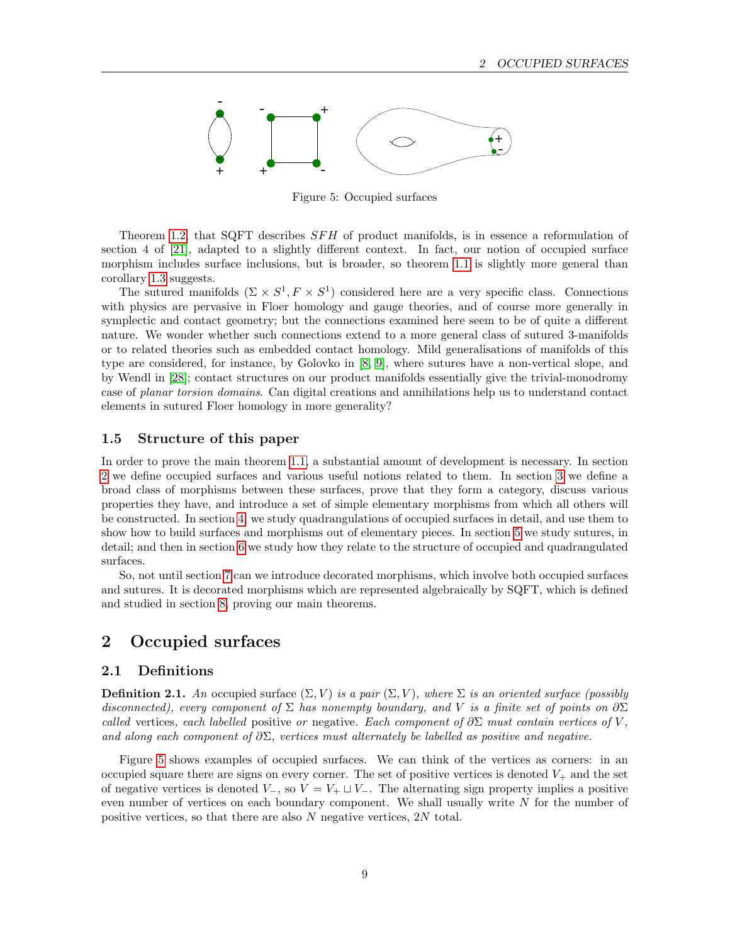

<span id="page-8-4"></span>Figure 5: Occupied surfaces

Theorem [1.2,](#page-2-2) that SQFT describes SFH of product manifolds, is in essence a reformulation of section 4 of [\[21\]](#page-53-2), adapted to a slightly different context. In fact, our notion of occupied surface morphism includes surface inclusions, but is broader, so theorem [1.1](#page-1-2) is slightly more general than corollary [1.3](#page-2-1) suggests.

The sutured manifolds  $(\Sigma \times S^1, F \times S^1)$  considered here are a very specific class. Connections with physics are pervasive in Floer homology and gauge theories, and of course more generally in symplectic and contact geometry; but the connections examined here seem to be of quite a different nature. We wonder whether such connections extend to a more general class of sutured 3-manifolds or to related theories such as embedded contact homology. Mild generalisations of manifolds of this type are considered, for instance, by Golovko in [\[8,](#page-52-5) [9\]](#page-52-6), where sutures have a non-vertical slope, and by Wendl in [\[28\]](#page-53-6); contact structures on our product manifolds essentially give the trivial-monodromy case of planar torsion domains. Can digital creations and annihilations help us to understand contact elements in sutured Floer homology in more generality?

### <span id="page-8-0"></span>1.5 Structure of this paper

In order to prove the main theorem [1.1,](#page-1-2) a substantial amount of development is necessary. In section [2](#page-8-1) we define occupied surfaces and various useful notions related to them. In section [3](#page-11-0) we define a broad class of morphisms between these surfaces, prove that they form a category, discuss various properties they have, and introduce a set of simple elementary morphisms from which all others will be constructed. In section [4,](#page-17-0) we study quadrangulations of occupied surfaces in detail, and use them to show how to build surfaces and morphisms out of elementary pieces. In section [5](#page-25-0) we study sutures, in detail; and then in section [6](#page-31-0) we study how they relate to the structure of occupied and quadrangulated surfaces.

So, not until section [7](#page-35-0) can we introduce decorated morphisms, which involve both occupied surfaces and sutures. It is decorated morphisms which are represented algebraically by SQFT, which is defined and studied in section [8,](#page-40-0) proving our main theorems.

## <span id="page-8-1"></span>2 Occupied surfaces

## <span id="page-8-2"></span>2.1 Definitions

<span id="page-8-3"></span>**Definition 2.1.** An occupied surface  $(\Sigma, V)$  is a pair  $(\Sigma, V)$ , where  $\Sigma$  is an oriented surface (possibly disconnected), every component of  $\Sigma$  has nonempty boundary, and V is a finite set of points on  $\partial \Sigma$ called vertices, each labelled positive or negative. Each component of  $\partial \Sigma$  must contain vertices of V, and along each component of  $\partial \Sigma$ , vertices must alternately be labelled as positive and negative.

Figure [5](#page-8-4) shows examples of occupied surfaces. We can think of the vertices as corners: in an occupied square there are signs on every corner. The set of positive vertices is denoted  $V_{+}$  and the set of negative vertices is denoted  $V_-,$  so  $V = V_+ \sqcup V_-$ . The alternating sign property implies a positive even number of vertices on each boundary component. We shall usually write  $N$  for the number of positive vertices, so that there are also N negative vertices, 2N total.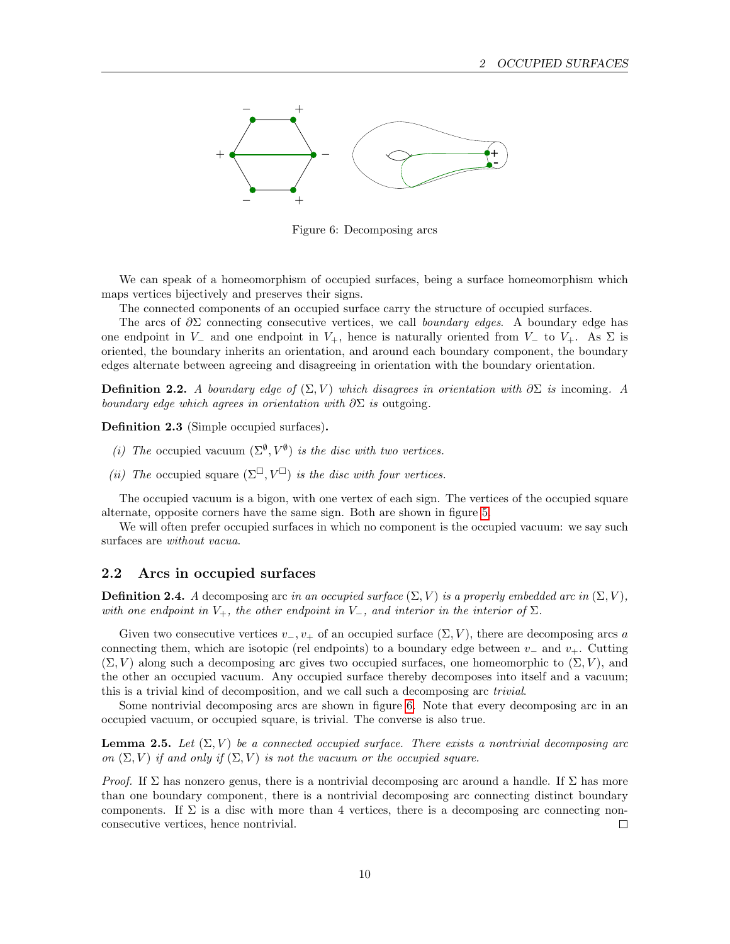

<span id="page-9-1"></span>Figure 6: Decomposing arcs

We can speak of a homeomorphism of occupied surfaces, being a surface homeomorphism which maps vertices bijectively and preserves their signs.

The connected components of an occupied surface carry the structure of occupied surfaces.

The arcs of  $\partial \Sigma$  connecting consecutive vertices, we call boundary edges. A boundary edge has one endpoint in  $V_-\,$  and one endpoint in  $V_+$ , hence is naturally oriented from  $V_-\,$  to  $V_+$ . As  $\Sigma$  is oriented, the boundary inherits an orientation, and around each boundary component, the boundary edges alternate between agreeing and disagreeing in orientation with the boundary orientation.

**Definition 2.2.** A boundary edge of  $(\Sigma, V)$  which disagrees in orientation with  $\partial \Sigma$  is incoming. A boundary edge which agrees in orientation with  $\partial \Sigma$  is outgoing.

Definition 2.3 (Simple occupied surfaces).

- (i) The occupied vacuum  $(\Sigma^{\emptyset}, V^{\emptyset})$  is the disc with two vertices.
- (ii) The occupied square  $(\Sigma^\square, V^\square)$  is the disc with four vertices.

The occupied vacuum is a bigon, with one vertex of each sign. The vertices of the occupied square alternate, opposite corners have the same sign. Both are shown in figure [5.](#page-8-4)

We will often prefer occupied surfaces in which no component is the occupied vacuum: we say such surfaces are without vacua.

#### <span id="page-9-0"></span>2.2 Arcs in occupied surfaces

**Definition 2.4.** A decomposing arc in an occupied surface  $(\Sigma, V)$  is a properly embedded arc in  $(\Sigma, V)$ , with one endpoint in  $V_+$ , the other endpoint in  $V_-$ , and interior in the interior of  $\Sigma$ .

Given two consecutive vertices  $v_-, v_+$  of an occupied surface  $(\Sigma, V)$ , there are decomposing arcs a connecting them, which are isotopic (rel endpoints) to a boundary edge between  $v_-\,$  and  $v_+\,$ . Cutting  $(\Sigma, V)$  along such a decomposing arc gives two occupied surfaces, one homeomorphic to  $(\Sigma, V)$ , and the other an occupied vacuum. Any occupied surface thereby decomposes into itself and a vacuum; this is a trivial kind of decomposition, and we call such a decomposing arc trivial.

Some nontrivial decomposing arcs are shown in figure [6.](#page-9-1) Note that every decomposing arc in an occupied vacuum, or occupied square, is trivial. The converse is also true.

<span id="page-9-2"></span>**Lemma 2.5.** Let  $(\Sigma, V)$  be a connected occupied surface. There exists a nontrivial decomposing arc on  $(\Sigma, V)$  if and only if  $(\Sigma, V)$  is not the vacuum or the occupied square.

*Proof.* If  $\Sigma$  has nonzero genus, there is a nontrivial decomposing arc around a handle. If  $\Sigma$  has more than one boundary component, there is a nontrivial decomposing arc connecting distinct boundary components. If  $\Sigma$  is a disc with more than 4 vertices, there is a decomposing arc connecting nonconsecutive vertices, hence nontrivial.  $\Box$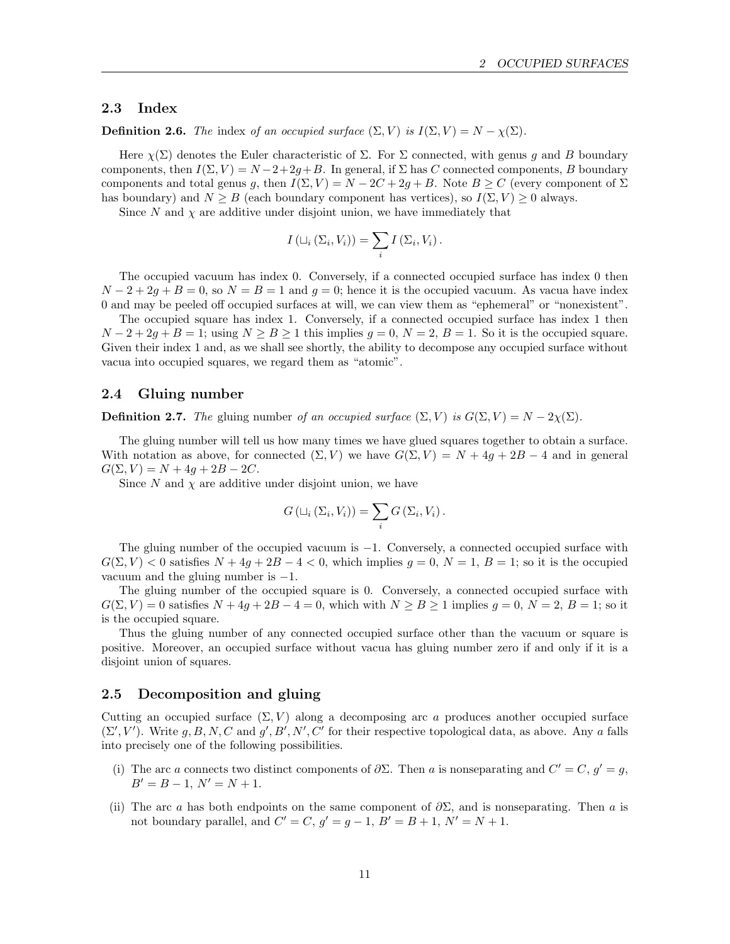### <span id="page-10-0"></span>2.3 Index

**Definition 2.6.** The index of an occupied surface  $(\Sigma, V)$  is  $I(\Sigma, V) = N - \chi(\Sigma)$ .

Here  $\chi(\Sigma)$  denotes the Euler characteristic of  $\Sigma$ . For  $\Sigma$  connected, with genus g and B boundary components, then  $I(\Sigma, V) = N - 2 + 2q + B$ . In general, if  $\Sigma$  has C connected components, B boundary components and total genus g, then  $I(\Sigma, V) = N - 2C + 2g + B$ . Note  $B \ge C$  (every component of  $\Sigma$ has boundary) and  $N \geq B$  (each boundary component has vertices), so  $I(\Sigma, V) \geq 0$  always.

Since N and  $\chi$  are additive under disjoint union, we have immediately that

$$
I\left(\sqcup_i\left(\Sigma_i,V_i\right)\right)=\sum_i I\left(\Sigma_i,V_i\right).
$$

The occupied vacuum has index 0. Conversely, if a connected occupied surface has index 0 then  $N-2+2g+B=0$ , so  $N = B = 1$  and  $g = 0$ ; hence it is the occupied vacuum. As vacua have index 0 and may be peeled off occupied surfaces at will, we can view them as "ephemeral" or "nonexistent".

The occupied square has index 1. Conversely, if a connected occupied surface has index 1 then  $N-2+2q+B=1$ ; using  $N > B > 1$  this implies  $q = 0$ ,  $N = 2$ ,  $B = 1$ . So it is the occupied square. Given their index 1 and, as we shall see shortly, the ability to decompose any occupied surface without vacua into occupied squares, we regard them as "atomic".

#### <span id="page-10-1"></span>2.4 Gluing number

**Definition 2.7.** The gluing number of an occupied surface  $(\Sigma, V)$  is  $G(\Sigma, V) = N - 2\chi(\Sigma)$ .

The gluing number will tell us how many times we have glued squares together to obtain a surface. With notation as above, for connected  $(\Sigma, V)$  we have  $G(\Sigma, V) = N + 4q + 2B - 4$  and in general  $G(\Sigma, V) = N + 4g + 2B - 2C.$ 

Since  $N$  and  $\chi$  are additive under disjoint union, we have

$$
G\left(\sqcup_i\left(\Sigma_i,V_i\right)\right)=\sum_i G\left(\Sigma_i,V_i\right).
$$

The gluing number of the occupied vacuum is −1. Conversely, a connected occupied surface with  $G(\Sigma, V) < 0$  satisfies  $N + 4g + 2B - 4 < 0$ , which implies  $g = 0$ ,  $N = 1$ ,  $B = 1$ ; so it is the occupied vacuum and the gluing number is  $-1$ .

The gluing number of the occupied square is 0. Conversely, a connected occupied surface with  $G(\Sigma, V) = 0$  satisfies  $N + 4g + 2B - 4 = 0$ , which with  $N \ge B \ge 1$  implies  $g = 0$ ,  $N = 2$ ,  $B = 1$ ; so it is the occupied square.

Thus the gluing number of any connected occupied surface other than the vacuum or square is positive. Moreover, an occupied surface without vacua has gluing number zero if and only if it is a disjoint union of squares.

#### <span id="page-10-2"></span>2.5 Decomposition and gluing

Cutting an occupied surface  $(\Sigma, V)$  along a decomposing arc a produces another occupied surface  $(\Sigma', V')$ . Write g, B, N, C and g', B', N', C' for their respective topological data, as above. Any a falls into precisely one of the following possibilities.

- (i) The arc a connects two distinct components of  $\partial \Sigma$ . Then a is nonseparating and  $C' = C, g' = g$ ,  $B' = B - 1$ ,  $N' = N + 1$ .
- (ii) The arc a has both endpoints on the same component of  $\partial \Sigma$ , and is nonseparating. Then a is not boundary parallel, and  $C' = C$ ,  $g' = g - 1$ ,  $B' = B + 1$ ,  $N' = N + 1$ .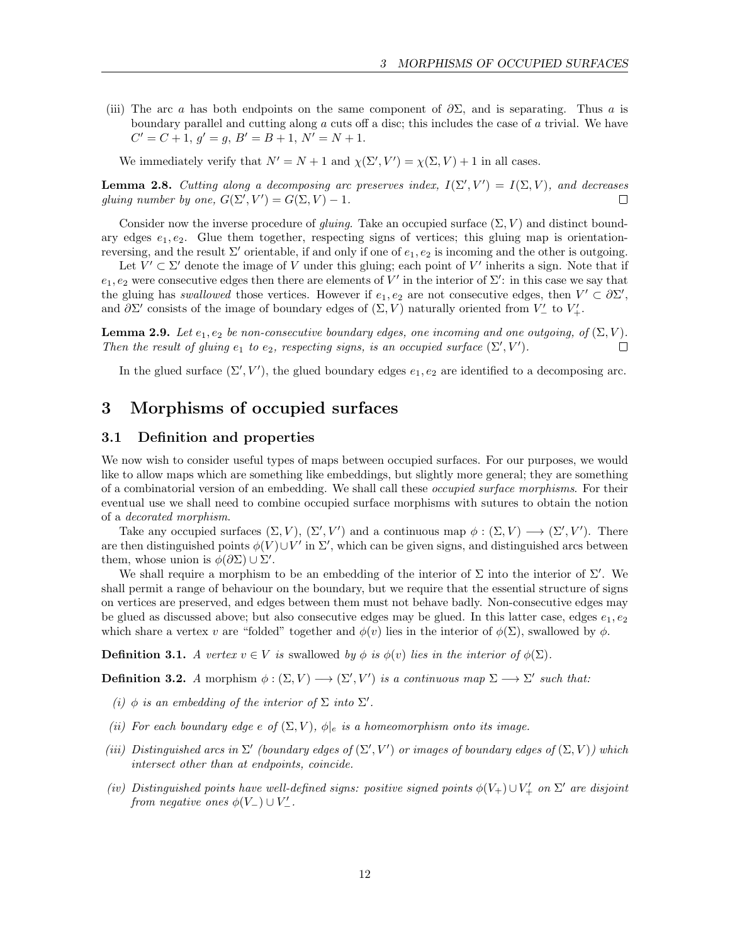(iii) The arc a has both endpoints on the same component of  $\partial \Sigma$ , and is separating. Thus a is boundary parallel and cutting along a cuts off a disc; this includes the case of a trivial. We have  $C' = C + 1, g' = g, B' = B + 1, N' = N + 1.$ 

We immediately verify that  $N' = N + 1$  and  $\chi(\Sigma', V') = \chi(\Sigma, V) + 1$  in all cases.

<span id="page-11-2"></span>**Lemma 2.8.** Cutting along a decomposing arc preserves index,  $I(\Sigma', V') = I(\Sigma, V)$ , and decreases gluing number by one,  $G(\Sigma', V') = G(\Sigma, V) - 1$ .  $\Box$ 

Consider now the inverse procedure of *gluing*. Take an occupied surface  $(\Sigma, V)$  and distinct boundary edges  $e_1, e_2$ . Glue them together, respecting signs of vertices; this gluing map is orientationreversing, and the result  $\Sigma'$  orientable, if and only if one of  $e_1, e_2$  is incoming and the other is outgoing.

Let  $V' \subset \Sigma'$  denote the image of V under this gluing; each point of V' inherits a sign. Note that if  $e_1, e_2$  were consecutive edges then there are elements of V' in the interior of  $\Sigma'$ : in this case we say that the gluing has swallowed those vertices. However if  $e_1, e_2$  are not consecutive edges, then  $V' \subset \partial \Sigma'$ , and  $\partial \Sigma'$  consists of the image of boundary edges of  $(\Sigma, V)$  naturally oriented from  $V'_{-}$  to  $V'_{+}$ .

**Lemma 2.9.** Let  $e_1, e_2$  be non-consecutive boundary edges, one incoming and one outgoing, of  $(\Sigma, V)$ . Then the result of gluing  $e_1$  to  $e_2$ , respecting signs, is an occupied surface  $(\Sigma', V')$ .  $\Box$ 

In the glued surface  $(\Sigma', V')$ , the glued boundary edges  $e_1, e_2$  are identified to a decomposing arc.

## <span id="page-11-0"></span>3 Morphisms of occupied surfaces

## <span id="page-11-1"></span>3.1 Definition and properties

We now wish to consider useful types of maps between occupied surfaces. For our purposes, we would like to allow maps which are something like embeddings, but slightly more general; they are something of a combinatorial version of an embedding. We shall call these *occupied surface morphisms*. For their eventual use we shall need to combine occupied surface morphisms with sutures to obtain the notion of a decorated morphism.

Take any occupied surfaces  $(\Sigma, V), (\Sigma', V')$  and a continuous map  $\phi : (\Sigma, V) \longrightarrow (\Sigma', V')$ . There are then distinguished points  $\phi(V) \cup V'$  in  $\Sigma'$ , which can be given signs, and distinguished arcs between them, whose union is  $\phi(\partial \Sigma) \cup \Sigma'$ .

We shall require a morphism to be an embedding of the interior of  $\Sigma$  into the interior of  $\Sigma'$ . We shall permit a range of behaviour on the boundary, but we require that the essential structure of signs on vertices are preserved, and edges between them must not behave badly. Non-consecutive edges may be glued as discussed above; but also consecutive edges may be glued. In this latter case, edges  $e_1, e_2$ which share a vertex v are "folded" together and  $\phi(v)$  lies in the interior of  $\phi(\Sigma)$ , swallowed by  $\phi$ .

**Definition 3.1.** A vertex  $v \in V$  is swallowed by  $\phi$  is  $\phi(v)$  lies in the interior of  $\phi(\Sigma)$ .

**Definition 3.2.** A morphism  $\phi : (\Sigma, V) \longrightarrow (\Sigma', V')$  is a continuous map  $\Sigma \longrightarrow \Sigma'$  such that:

- (i)  $\phi$  is an embedding of the interior of  $\Sigma$  into  $\Sigma'$ .
- (ii) For each boundary edge e of  $(\Sigma, V)$ ,  $\phi|_e$  is a homeomorphism onto its image.
- (iii) Distinguished arcs in  $\Sigma'$  (boundary edges of  $(\Sigma', V')$  or images of boundary edges of  $(\Sigma, V)$ ) which intersect other than at endpoints, coincide.
- (iv) Distinguished points have well-defined signs: positive signed points  $\phi(V_+) \cup V'_+$  on  $\Sigma'$  are disjoint from negative ones  $\phi(V_-) \cup V'_-$ .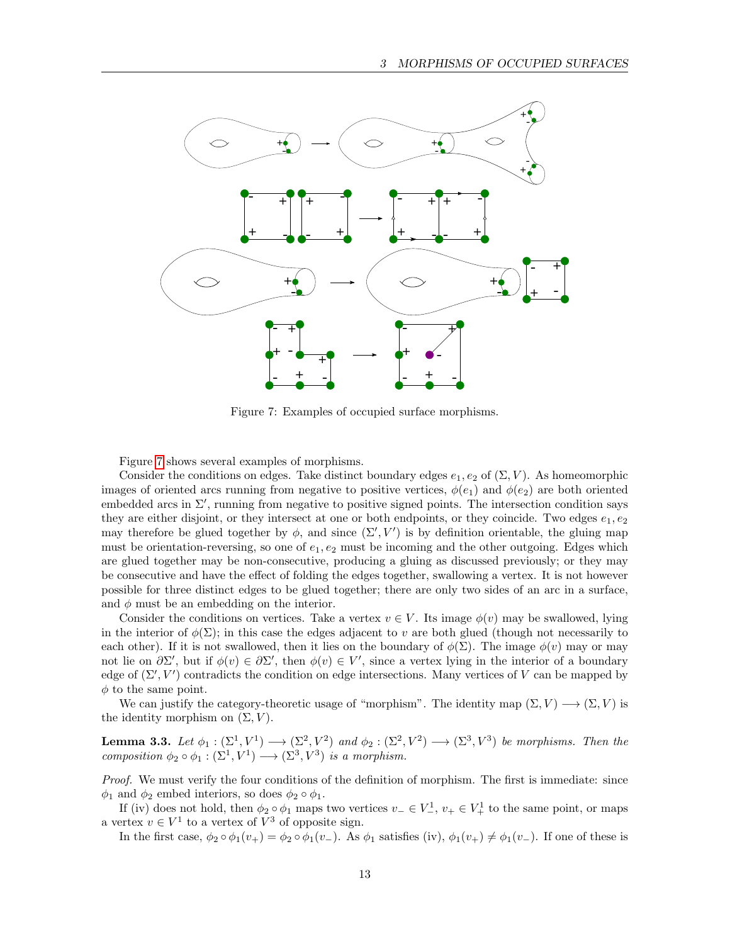

<span id="page-12-0"></span>Figure 7: Examples of occupied surface morphisms.

Figure [7](#page-12-0) shows several examples of morphisms.

Consider the conditions on edges. Take distinct boundary edges  $e_1, e_2$  of  $(\Sigma, V)$ . As homeomorphic images of oriented arcs running from negative to positive vertices,  $\phi(e_1)$  and  $\phi(e_2)$  are both oriented embedded arcs in  $\Sigma'$ , running from negative to positive signed points. The intersection condition says they are either disjoint, or they intersect at one or both endpoints, or they coincide. Two edges  $e_1, e_2$ may therefore be glued together by  $\phi$ , and since  $(\Sigma', V')$  is by definition orientable, the gluing map must be orientation-reversing, so one of  $e_1, e_2$  must be incoming and the other outgoing. Edges which are glued together may be non-consecutive, producing a gluing as discussed previously; or they may be consecutive and have the effect of folding the edges together, swallowing a vertex. It is not however possible for three distinct edges to be glued together; there are only two sides of an arc in a surface, and  $\phi$  must be an embedding on the interior.

Consider the conditions on vertices. Take a vertex  $v \in V$ . Its image  $\phi(v)$  may be swallowed, lying in the interior of  $\phi(\Sigma)$ ; in this case the edges adjacent to v are both glued (though not necessarily to each other). If it is not swallowed, then it lies on the boundary of  $\phi(\Sigma)$ . The image  $\phi(v)$  may or may not lie on  $\partial \Sigma'$ , but if  $\phi(v) \in \partial \Sigma'$ , then  $\phi(v) \in V'$ , since a vertex lying in the interior of a boundary edge of  $(\Sigma', V')$  contradicts the condition on edge intersections. Many vertices of V can be mapped by  $\phi$  to the same point.

We can justify the category-theoretic usage of "morphism". The identity map  $(\Sigma, V) \longrightarrow (\Sigma, V)$  is the identity morphism on  $(\Sigma, V)$ .

**Lemma 3.3.** Let  $\phi_1 : (\Sigma^1, V^1) \longrightarrow (\Sigma^2, V^2)$  and  $\phi_2 : (\Sigma^2, V^2) \longrightarrow (\Sigma^3, V^3)$  be morphisms. Then the composition  $\phi_2 \circ \phi_1 : (\Sigma^1, V^1) \longrightarrow (\Sigma^3, V^3)$  is a morphism.

Proof. We must verify the four conditions of the definition of morphism. The first is immediate: since  $\phi_1$  and  $\phi_2$  embed interiors, so does  $\phi_2 \circ \phi_1$ .

If (iv) does not hold, then  $\phi_2 \circ \phi_1$  maps two vertices  $v_- \in V_-^1$ ,  $v_+ \in V_+^1$  to the same point, or maps a vertex  $v \in V^1$  to a vertex of  $V^3$  of opposite sign.

In the first case,  $\phi_2 \circ \phi_1(v_+) = \phi_2 \circ \phi_1(v_-)$ . As  $\phi_1$  satisfies (iv),  $\phi_1(v_+) \neq \phi_1(v_-)$ . If one of these is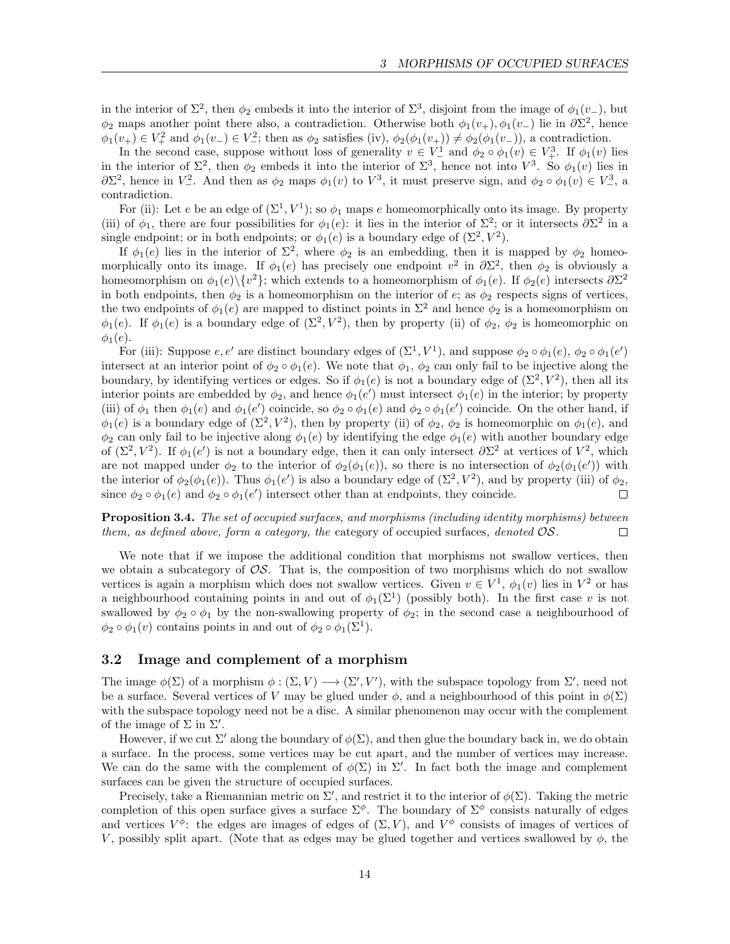in the interior of  $\Sigma^2$ , then  $\phi_2$  embeds it into the interior of  $\Sigma^3$ , disjoint from the image of  $\phi_1(v_-)$ , but  $\phi_2$  maps another point there also, a contradiction. Otherwise both  $\phi_1(v_+), \phi_1(v_-)$  lie in  $\partial \Sigma^2$ , hence  $\phi_1(v_+) \in V_+^2$  and  $\phi_1(v_-) \in V_-^2$ ; then as  $\phi_2$  satisfies (iv),  $\phi_2(\phi_1(v_+)) \neq \phi_2(\phi_1(v_-))$ , a contradiction.

In the second case, suppose without loss of generality  $v \in V^1$  and  $\phi_2 \circ \phi_1(v) \in V^3$ . If  $\phi_1(v)$  lies in the interior of  $\Sigma^2$ , then  $\phi_2$  embeds it into the interior of  $\Sigma^3$ , hence not into  $V^3$ . So  $\phi_1(v)$  lies in  $\partial\Sigma^2$ , hence in  $V^2$ . And then as  $\phi_2$  maps  $\phi_1(v)$  to  $V^3$ , it must preserve sign, and  $\phi_2 \circ \phi_1(v) \in V^3$ , a contradiction.

For (ii): Let e be an edge of  $(\Sigma^1, V^1)$ ; so  $\phi_1$  maps e homeomorphically onto its image. By property (iii) of  $\phi_1$ , there are four possibilities for  $\phi_1(e)$ : it lies in the interior of  $\Sigma^2$ ; or it intersects  $\partial \Sigma^2$  in a single endpoint; or in both endpoints; or  $\phi_1(e)$  is a boundary edge of  $(\Sigma^2, V^2)$ .

If  $\phi_1(e)$  lies in the interior of  $\Sigma^2$ , where  $\phi_2$  is an embedding, then it is mapped by  $\phi_2$  homeomorphically onto its image. If  $\phi_1(e)$  has precisely one endpoint  $v^2$  in  $\partial \Sigma^2$ , then  $\phi_2$  is obviously a homeomorphism on  $\phi_1(e)\setminus \{v^2\}$ ; which extends to a homeomorphism of  $\phi_1(e)$ . If  $\phi_2(e)$  intersects  $\partial \Sigma^2$ in both endpoints, then  $\phi_2$  is a homeomorphism on the interior of e; as  $\phi_2$  respects signs of vertices, the two endpoints of  $\phi_1(e)$  are mapped to distinct points in  $\Sigma^2$  and hence  $\phi_2$  is a homeomorphism on  $\phi_1(e)$ . If  $\phi_1(e)$  is a boundary edge of  $(\Sigma^2, V^2)$ , then by property (ii) of  $\phi_2$ ,  $\phi_2$  is homeomorphic on  $\phi_1(e)$ .

For (iii): Suppose  $e, e'$  are distinct boundary edges of  $(\Sigma^1, V^1)$ , and suppose  $\phi_2 \circ \phi_1(e), \phi_2 \circ \phi_1(e')$ intersect at an interior point of  $\phi_2 \circ \phi_1(e)$ . We note that  $\phi_1$ ,  $\phi_2$  can only fail to be injective along the boundary, by identifying vertices or edges. So if  $\phi_1(e)$  is not a boundary edge of  $(\Sigma^2, V^2)$ , then all its interior points are embedded by  $\phi_2$ , and hence  $\phi_1(e')$  must intersect  $\phi_1(e)$  in the interior; by property (iii) of  $\phi_1$  then  $\phi_1(e)$  and  $\phi_1(e')$  coincide, so  $\phi_2 \circ \phi_1(e)$  and  $\phi_2 \circ \phi_1(e')$  coincide. On the other hand, if  $\phi_1(e)$  is a boundary edge of  $(\Sigma^2, V^2)$ , then by property (ii) of  $\phi_2$ ,  $\phi_2$  is homeomorphic on  $\phi_1(e)$ , and  $\phi_2$  can only fail to be injective along  $\phi_1(e)$  by identifying the edge  $\phi_1(e)$  with another boundary edge of  $(\Sigma^2, V^2)$ . If  $\phi_1(e')$  is not a boundary edge, then it can only intersect  $\partial\Sigma^2$  at vertices of  $V^2$ , which are not mapped under  $\phi_2$  to the interior of  $\phi_2(\phi_1(e))$ , so there is no intersection of  $\phi_2(\phi_1(e'))$  with the interior of  $\phi_2(\phi_1(e))$ . Thus  $\phi_1(e')$  is also a boundary edge of  $(\Sigma^2, V^2)$ , and by property (iii) of  $\phi_2$ , since  $\phi_2 \circ \phi_1(e)$  and  $\phi_2 \circ \phi_1(e')$  intersect other than at endpoints, they coincide.  $\Box$ 

Proposition 3.4. The set of occupied surfaces, and morphisms (including identity morphisms) between them, as defined above, form a category, the category of occupied surfaces, denoted  $\mathcal{OS}.$  $\Box$ 

We note that if we impose the additional condition that morphisms not swallow vertices, then we obtain a subcategory of  $\mathcal{OS}$ . That is, the composition of two morphisms which do not swallow vertices is again a morphism which does not swallow vertices. Given  $v \in V^1$ ,  $\phi_1(v)$  lies in  $V^2$  or has a neighbourhood containing points in and out of  $\phi_1(\Sigma^1)$  (possibly both). In the first case v is not swallowed by  $\phi_2 \circ \phi_1$  by the non-swallowing property of  $\phi_2$ ; in the second case a neighbourhood of  $\phi_2 \circ \phi_1(v)$  contains points in and out of  $\phi_2 \circ \phi_1(\Sigma^1)$ .

#### <span id="page-13-0"></span>3.2 Image and complement of a morphism

The image  $\phi(\Sigma)$  of a morphism  $\phi: (\Sigma, V) \longrightarrow (\Sigma', V')$ , with the subspace topology from  $\Sigma'$ , need not be a surface. Several vertices of V may be glued under  $\phi$ , and a neighbourhood of this point in  $\phi(\Sigma)$ with the subspace topology need not be a disc. A similar phenomenon may occur with the complement of the image of  $\Sigma$  in  $\Sigma'$ .

However, if we cut  $\Sigma'$  along the boundary of  $\phi(\Sigma)$ , and then glue the boundary back in, we do obtain a surface. In the process, some vertices may be cut apart, and the number of vertices may increase. We can do the same with the complement of  $\phi(\Sigma)$  in  $\Sigma'$ . In fact both the image and complement surfaces can be given the structure of occupied surfaces.

Precisely, take a Riemannian metric on  $\Sigma'$ , and restrict it to the interior of  $\phi(\Sigma)$ . Taking the metric completion of this open surface gives a surface  $\Sigma^{\phi}$ . The boundary of  $\Sigma^{\phi}$  consists naturally of edges and vertices  $V^{\phi}$ : the edges are images of edges of  $(\Sigma, V)$ , and  $V^{\phi}$  consists of images of vertices of V, possibly split apart. (Note that as edges may be glued together and vertices swallowed by  $\phi$ , the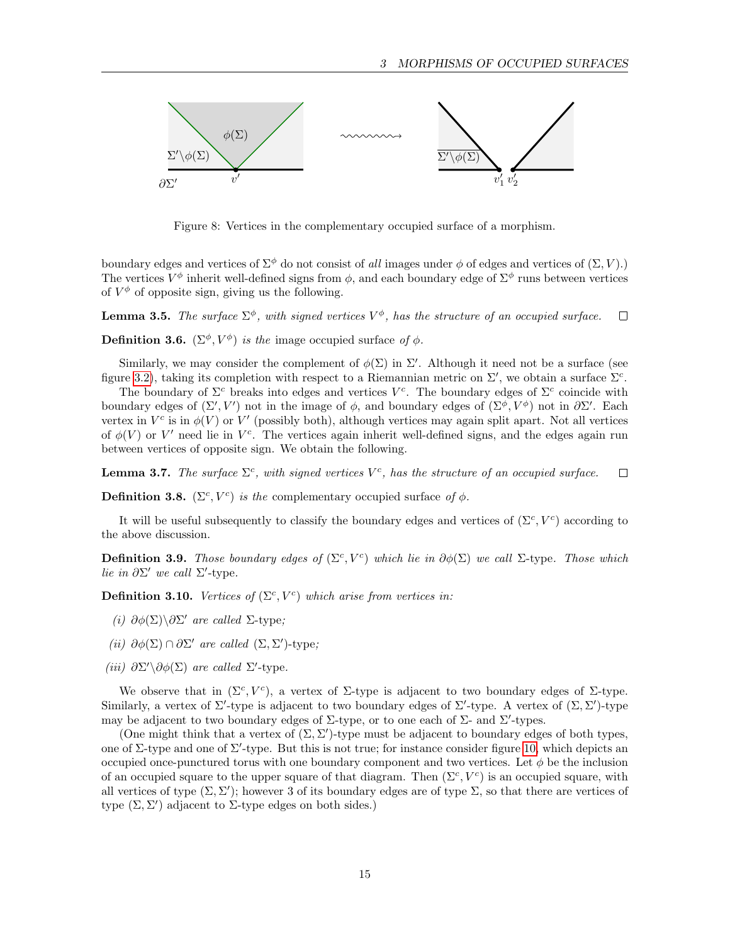

Figure 8: Vertices in the complementary occupied surface of a morphism.

boundary edges and vertices of  $\Sigma^{\phi}$  do not consist of all images under  $\phi$  of edges and vertices of  $(\Sigma, V)$ .) The vertices  $V^{\phi}$  inherit well-defined signs from  $\phi$ , and each boundary edge of  $\Sigma^{\phi}$  runs between vertices of  $V^{\phi}$  of opposite sign, giving us the following.

**Lemma 3.5.** The surface  $\Sigma^{\phi}$ , with signed vertices  $V^{\phi}$ , has the structure of an occupied surface.  $\Box$ 

**Definition 3.6.** ( $\Sigma^{\phi}$ ,  $V^{\phi}$ ) is the image occupied surface of  $\phi$ .

Similarly, we may consider the complement of  $\phi(\Sigma)$  in  $\Sigma'$ . Although it need not be a surface (see figure [3.2\)](#page-14-0), taking its completion with respect to a Riemannian metric on  $\Sigma'$ , we obtain a surface  $\Sigma^c$ .

The boundary of  $\Sigma^c$  breaks into edges and vertices  $V^c$ . The boundary edges of  $\Sigma^c$  coincide with boundary edges of  $(\Sigma', V')$  not in the image of  $\phi$ , and boundary edges of  $(\Sigma^{\phi}, V^{\phi})$  not in  $\partial \Sigma'$ . Each vertex in  $V^c$  is in  $\phi(V)$  or  $V'$  (possibly both), although vertices may again split apart. Not all vertices of  $\phi(V)$  or V' need lie in V<sup>c</sup>. The vertices again inherit well-defined signs, and the edges again run between vertices of opposite sign. We obtain the following.

**Lemma 3.7.** The surface  $\Sigma^c$ , with signed vertices  $V^c$ , has the structure of an occupied surface.  $\Box$ 

<span id="page-14-0"></span>**Definition 3.8.** ( $\Sigma^c$ ,  $V^c$ ) is the complementary occupied surface of  $\phi$ .

It will be useful subsequently to classify the boundary edges and vertices of  $(\Sigma^c, V^c)$  according to the above discussion.

**Definition 3.9.** Those boundary edges of  $(\Sigma^c, V^c)$  which lie in  $\partial \phi(\Sigma)$  we call  $\Sigma$ -type. Those which lie in  $\partial \Sigma'$  we call  $\Sigma'$ -type.

**Definition 3.10.** Vertices of  $(\Sigma^c, V^c)$  which arise from vertices in:

- (i)  $\partial \phi(\Sigma) \backslash \partial \Sigma'$  are called  $\Sigma$ -type;
- (ii)  $\partial \phi(\Sigma) \cap \partial \Sigma'$  are called  $(\Sigma, \Sigma')$ -type;
- (iii)  $\partial \Sigma' \backslash \partial \phi(\Sigma)$  are called  $\Sigma'$ -type.

We observe that in  $(\Sigma^c, V^c)$ , a vertex of  $\Sigma$ -type is adjacent to two boundary edges of  $\Sigma$ -type. Similarly, a vertex of  $\Sigma'$ -type is adjacent to two boundary edges of  $\Sigma'$ -type. A vertex of  $(\Sigma, \Sigma')$ -type may be adjacent to two boundary edges of  $\Sigma$ -type, or to one each of  $\Sigma$ - and  $\Sigma'$ -types.

(One might think that a vertex of  $(\Sigma, \Sigma')$ -type must be adjacent to boundary edges of both types, one of  $\Sigma$ -type and one of  $\Sigma'$ -type. But this is not true; for instance consider figure [10,](#page-18-1) which depicts an occupied once-punctured torus with one boundary component and two vertices. Let  $\phi$  be the inclusion of an occupied square to the upper square of that diagram. Then  $(\Sigma^c, V^c)$  is an occupied square, with all vertices of type  $(\Sigma, \Sigma')$ ; however 3 of its boundary edges are of type  $\Sigma$ , so that there are vertices of type  $(\Sigma, \Sigma')$  adjacent to  $\Sigma$ -type edges on both sides.)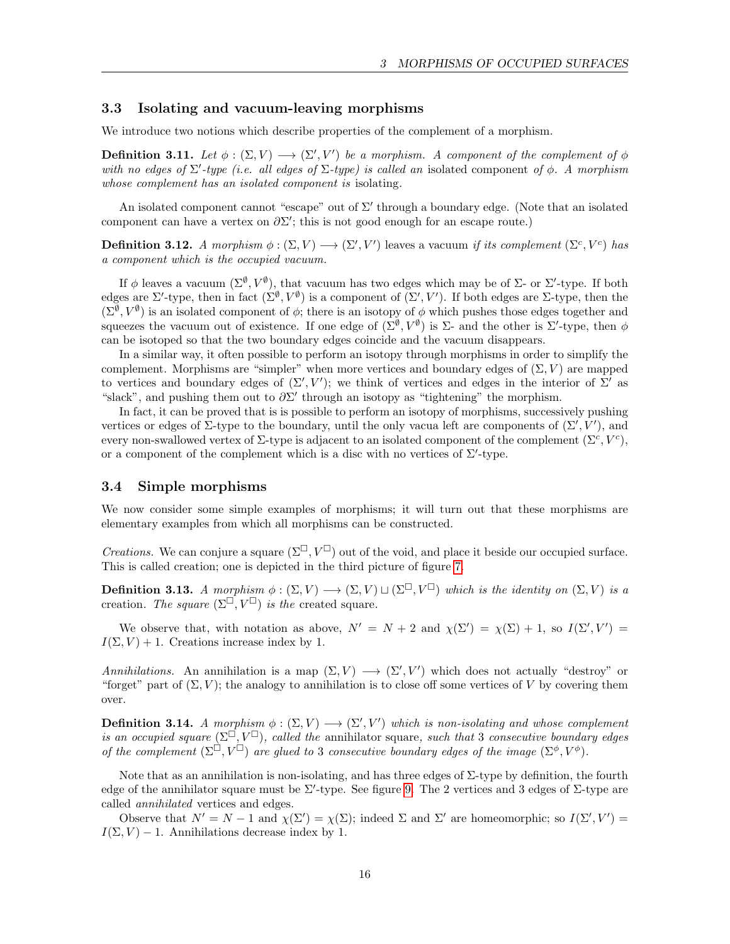#### <span id="page-15-0"></span>3.3 Isolating and vacuum-leaving morphisms

We introduce two notions which describe properties of the complement of a morphism.

**Definition 3.11.** Let  $\phi : (\Sigma, V) \longrightarrow (\Sigma', V')$  be a morphism. A component of the complement of  $\phi$ with no edges of  $\Sigma$ -type (i.e. all edges of  $\Sigma$ -type) is called an isolated component of  $\phi$ . A morphism whose complement has an isolated component is isolating.

An isolated component cannot "escape" out of  $\Sigma'$  through a boundary edge. (Note that an isolated component can have a vertex on  $\partial \Sigma'$ ; this is not good enough for an escape route.)

**Definition 3.12.** A morphism  $\phi : (\Sigma, V) \longrightarrow (\Sigma', V')$  leaves a vacuum if its complement  $(\Sigma^c, V^c)$  has a component which is the occupied vacuum.

If  $\phi$  leaves a vacuum  $(\Sigma^{\emptyset}, V^{\emptyset})$ , that vacuum has two edges which may be of  $\Sigma$ - or  $\Sigma'$ -type. If both edges are  $\Sigma'$ -type, then in fact  $(\Sigma^{\emptyset}, V^{\emptyset})$  is a component of  $(\Sigma', V')$ . If both edges are  $\Sigma$ -type, then the  $(\Sigma^{\emptyset}, V^{\emptyset})$  is an isolated component of  $\phi$ ; there is an isotopy of  $\phi$  which pushes those edges together and squeezes the vacuum out of existence. If one edge of  $(\Sigma^{\emptyset}, V^{\emptyset})$  is  $\Sigma$ - and the other is  $\Sigma'$ -type, then  $\phi$ can be isotoped so that the two boundary edges coincide and the vacuum disappears.

In a similar way, it often possible to perform an isotopy through morphisms in order to simplify the complement. Morphisms are "simpler" when more vertices and boundary edges of  $(\Sigma, V)$  are mapped to vertices and boundary edges of  $(\Sigma', V')$ ; we think of vertices and edges in the interior of  $\Sigma'$  as "slack", and pushing them out to  $\partial \Sigma'$  through an isotopy as "tightening" the morphism.

In fact, it can be proved that is is possible to perform an isotopy of morphisms, successively pushing vertices or edges of  $\Sigma$ -type to the boundary, until the only vacua left are components of  $(\Sigma', V')$ , and every non-swallowed vertex of  $\Sigma$ -type is adjacent to an isolated component of the complement  $(\Sigma^c, V^c)$ , or a component of the complement which is a disc with no vertices of  $\Sigma'$ -type.

#### <span id="page-15-1"></span>3.4 Simple morphisms

We now consider some simple examples of morphisms; it will turn out that these morphisms are elementary examples from which all morphisms can be constructed.

*Creations.* We can conjure a square  $(\Sigma^\square, V^\square)$  out of the void, and place it beside our occupied surface. This is called creation; one is depicted in the third picture of figure [7.](#page-12-0)

<span id="page-15-2"></span>**Definition 3.13.** A morphism  $\phi : (\Sigma, V) \longrightarrow (\Sigma, V) \sqcup (\Sigma^{\square}, V^{\square})$  which is the identity on  $(\Sigma, V)$  is a creation. The square  $(\Sigma^\square, V^\square)$  is the created square.

We observe that, with notation as above,  $N' = N + 2$  and  $\chi(\Sigma') = \chi(\Sigma) + 1$ , so  $I(\Sigma', V') =$  $I(\Sigma, V) + 1$ . Creations increase index by 1.

Annihilations. An annihilation is a map  $(\Sigma, V) \longrightarrow (\Sigma', V')$  which does not actually "destroy" or "forget" part of  $(\Sigma, V)$ ; the analogy to annihilation is to close off some vertices of V by covering them over.

<span id="page-15-3"></span>**Definition 3.14.** A morphism  $\phi : (\Sigma, V) \longrightarrow (\Sigma', V')$  which is non-isolating and whose complement is an occupied square  $(\Sigma^{\square}, V^{\square})$ , called the annihilator square, such that 3 consecutive boundary edges of the complement  $(\Sigma^{\Box}, V^{\Box})$  are glued to 3 consecutive boundary edges of the image  $(\Sigma^{\phi}, V^{\phi})$ .

Note that as an annihilation is non-isolating, and has three edges of  $\Sigma$ -type by definition, the fourth edge of the annihilator square must be  $\Sigma'$ -type. See figure [9.](#page-16-0) The 2 vertices and 3 edges of  $\Sigma$ -type are called annihilated vertices and edges.

Observe that  $N' = N - 1$  and  $\chi(\Sigma') = \chi(\Sigma)$ ; indeed  $\Sigma$  and  $\Sigma'$  are homeomorphic; so  $I(\Sigma', V') =$  $I(\Sigma, V) - 1$ . Annihilations decrease index by 1.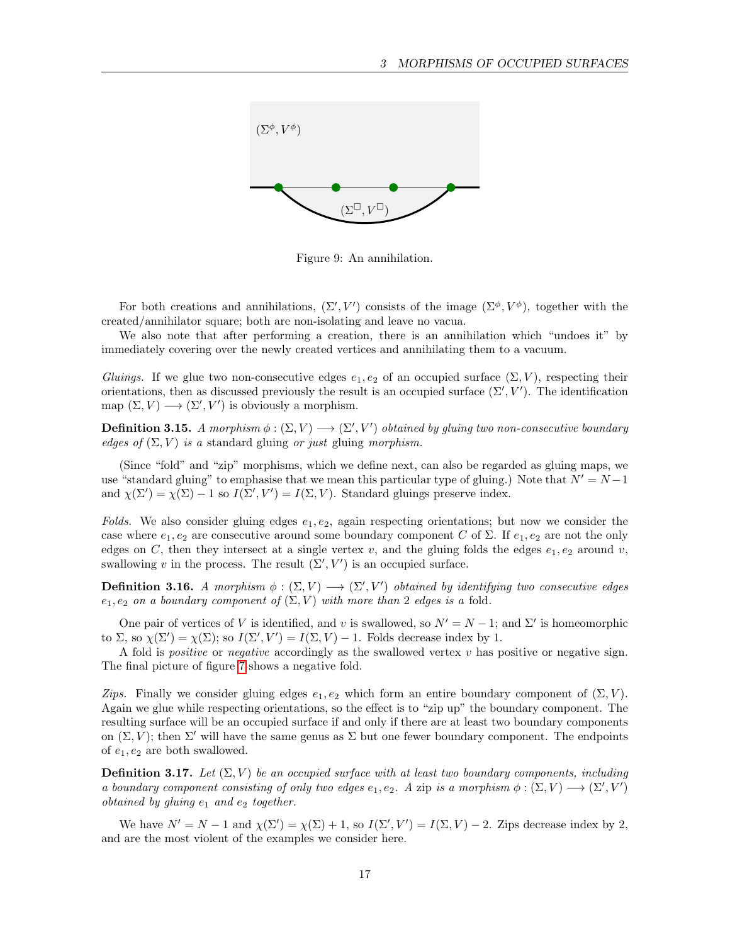

<span id="page-16-0"></span>Figure 9: An annihilation.

For both creations and annihilations,  $(\Sigma', V')$  consists of the image  $(\Sigma^{\phi}, V^{\phi})$ , together with the created/annihilator square; both are non-isolating and leave no vacua.

We also note that after performing a creation, there is an annihilation which "undoes it" by immediately covering over the newly created vertices and annihilating them to a vacuum.

Gluings. If we glue two non-consecutive edges  $e_1, e_2$  of an occupied surface  $(\Sigma, V)$ , respecting their orientations, then as discussed previously the result is an occupied surface  $(\Sigma', V')$ . The identification map  $(\Sigma, V) \longrightarrow (\Sigma', V')$  is obviously a morphism.

**Definition 3.15.** A morphism  $\phi : (\Sigma, V) \longrightarrow (\Sigma', V')$  obtained by gluing two non-consecutive boundary edges of  $(\Sigma, V)$  is a standard gluing or just gluing morphism.

(Since "fold" and "zip" morphisms, which we define next, can also be regarded as gluing maps, we use "standard gluing" to emphasise that we mean this particular type of gluing.) Note that  $N' = N - 1$ and  $\chi(\Sigma') = \chi(\Sigma) - 1$  so  $I(\Sigma', V') = I(\Sigma, V)$ . Standard gluings preserve index.

Folds. We also consider gluing edges  $e_1, e_2$ , again respecting orientations; but now we consider the case where  $e_1, e_2$  are consecutive around some boundary component C of  $\Sigma$ . If  $e_1, e_2$  are not the only edges on C, then they intersect at a single vertex v, and the gluing folds the edges  $e_1, e_2$  around v, swallowing v in the process. The result  $(\Sigma', V')$  is an occupied surface.

**Definition 3.16.** A morphism  $\phi : (\Sigma, V) \longrightarrow (\Sigma', V')$  obtained by identifying two consecutive edges  $e_1, e_2$  on a boundary component of  $(\Sigma, V)$  with more than 2 edges is a fold.

One pair of vertices of V is identified, and v is swallowed, so  $N' = N - 1$ ; and  $\Sigma'$  is homeomorphic to  $\Sigma$ , so  $\chi(\Sigma') = \chi(\Sigma)$ ; so  $I(\Sigma', V') = I(\Sigma, V) - 1$ . Folds decrease index by 1.

A fold is *positive* or *negative* accordingly as the swallowed vertex  $v$  has positive or negative sign. The final picture of figure [7](#page-12-0) shows a negative fold.

Zips. Finally we consider gluing edges  $e_1, e_2$  which form an entire boundary component of  $(\Sigma, V)$ . Again we glue while respecting orientations, so the effect is to "zip up" the boundary component. The resulting surface will be an occupied surface if and only if there are at least two boundary components on  $(\Sigma, V)$ ; then  $\Sigma'$  will have the same genus as  $\Sigma$  but one fewer boundary component. The endpoints of  $e_1, e_2$  are both swallowed.

**Definition 3.17.** Let  $(\Sigma, V)$  be an occupied surface with at least two boundary components, including a boundary component consisting of only two edges  $e_1, e_2$ . A zip is a morphism  $\phi : (\Sigma, V) \longrightarrow (\Sigma', V')$ obtained by gluing  $e_1$  and  $e_2$  together.

<span id="page-16-1"></span>We have  $N' = N - 1$  and  $\chi(\Sigma') = \chi(\Sigma) + 1$ , so  $I(\Sigma', V') = I(\Sigma, V) - 2$ . Zips decrease index by 2, and are the most violent of the examples we consider here.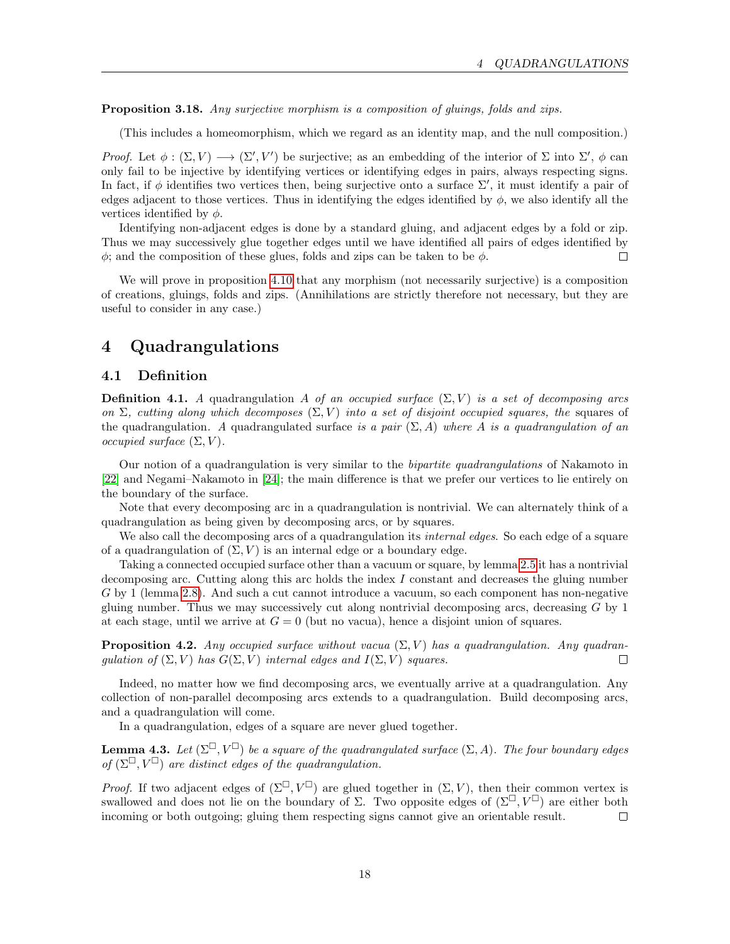Proposition 3.18. Any surjective morphism is a composition of gluings, folds and zips.

(This includes a homeomorphism, which we regard as an identity map, and the null composition.)

Proof. Let  $\phi : (\Sigma, V) \longrightarrow (\Sigma', V')$  be surjective; as an embedding of the interior of  $\Sigma$  into  $\Sigma'$ ,  $\phi$  can only fail to be injective by identifying vertices or identifying edges in pairs, always respecting signs. In fact, if  $\phi$  identifies two vertices then, being surjective onto a surface  $\Sigma'$ , it must identify a pair of edges adjacent to those vertices. Thus in identifying the edges identified by  $\phi$ , we also identify all the vertices identified by  $\phi$ .

Identifying non-adjacent edges is done by a standard gluing, and adjacent edges by a fold or zip. Thus we may successively glue together edges until we have identified all pairs of edges identified by  $\phi$ ; and the composition of these glues, folds and zips can be taken to be  $\phi$ .  $\Box$ 

We will prove in proposition [4.10](#page-21-1) that any morphism (not necessarily surjective) is a composition of creations, gluings, folds and zips. (Annihilations are strictly therefore not necessary, but they are useful to consider in any case.)

## <span id="page-17-0"></span>4 Quadrangulations

### <span id="page-17-1"></span>4.1 Definition

**Definition 4.1.** A quadrangulation A of an occupied surface  $(\Sigma, V)$  is a set of decomposing arcs on  $\Sigma$ , cutting along which decomposes  $(\Sigma, V)$  into a set of disjoint occupied squares, the squares of the quadrangulation. A quadrangulated surface is a pair  $(\Sigma, A)$  where A is a quadrangulation of an occupied surface  $(\Sigma, V)$ .

Our notion of a quadrangulation is very similar to the bipartite quadrangulations of Nakamoto in [\[22\]](#page-53-7) and Negami–Nakamoto in [\[24\]](#page-53-8); the main difference is that we prefer our vertices to lie entirely on the boundary of the surface.

Note that every decomposing arc in a quadrangulation is nontrivial. We can alternately think of a quadrangulation as being given by decomposing arcs, or by squares.

We also call the decomposing arcs of a quadrangulation its *internal edges*. So each edge of a square of a quadrangulation of  $(\Sigma, V)$  is an internal edge or a boundary edge.

Taking a connected occupied surface other than a vacuum or square, by lemma [2.5](#page-9-2) it has a nontrivial decomposing arc. Cutting along this arc holds the index  $I$  constant and decreases the gluing number G by 1 (lemma [2.8\)](#page-11-2). And such a cut cannot introduce a vacuum, so each component has non-negative gluing number. Thus we may successively cut along nontrivial decomposing arcs, decreasing  $G$  by 1 at each stage, until we arrive at  $G = 0$  (but no vacua), hence a disjoint union of squares.

<span id="page-17-2"></span>**Proposition 4.2.** Any occupied surface without vacua  $(\Sigma, V)$  has a quadrangulation. Any quadrangulation of  $(\Sigma, V)$  has  $G(\Sigma, V)$  internal edges and  $I(\Sigma, V)$  squares.  $\Box$ 

Indeed, no matter how we find decomposing arcs, we eventually arrive at a quadrangulation. Any collection of non-parallel decomposing arcs extends to a quadrangulation. Build decomposing arcs, and a quadrangulation will come.

In a quadrangulation, edges of a square are never glued together.

**Lemma 4.3.** Let  $(\Sigma^{\square}, V^{\square})$  be a square of the quadrangulated surface  $(\Sigma, A)$ . The four boundary edges of  $(\Sigma^{\square}, V^{\square})$  are distinct edges of the quadrangulation.

*Proof.* If two adjacent edges of  $(\Sigma^{\square}, V^{\square})$  are glued together in  $(\Sigma, V)$ , then their common vertex is swallowed and does not lie on the boundary of  $\Sigma$ . Two opposite edges of  $(\Sigma^{\square}, V^{\square})$  are either both incoming or both outgoing; gluing them respecting signs cannot give an orientable result.  $\Box$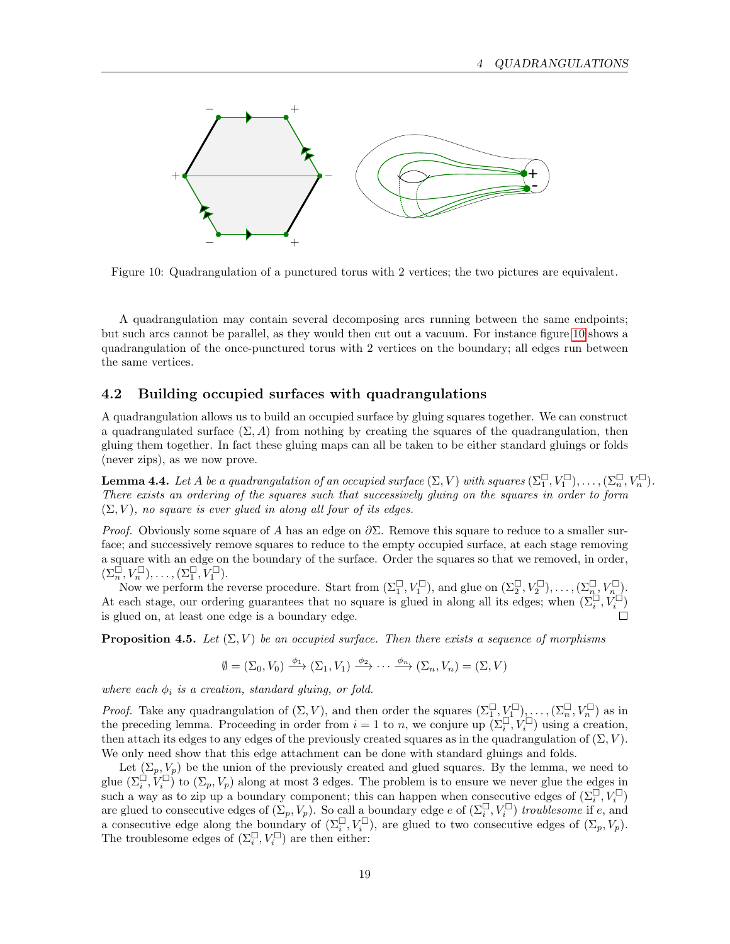

<span id="page-18-1"></span>Figure 10: Quadrangulation of a punctured torus with 2 vertices; the two pictures are equivalent.

A quadrangulation may contain several decomposing arcs running between the same endpoints; but such arcs cannot be parallel, as they would then cut out a vacuum. For instance figure [10](#page-18-1) shows a quadrangulation of the once-punctured torus with 2 vertices on the boundary; all edges run between the same vertices.

#### <span id="page-18-0"></span>4.2 Building occupied surfaces with quadrangulations

A quadrangulation allows us to build an occupied surface by gluing squares together. We can construct a quadrangulated surface  $(\Sigma, A)$  from nothing by creating the squares of the quadrangulation, then gluing them together. In fact these gluing maps can all be taken to be either standard gluings or folds (never zips), as we now prove.

<span id="page-18-3"></span>**Lemma 4.4.** Let A be a quadrangulation of an occupied surface  $(\Sigma, V)$  with squares  $(\Sigma_1^{\square}, V_1^{\square}), \ldots, (\Sigma_n^{\square}, V_n^{\square})$ . There exists an ordering of the squares such that successively gluing on the squares in order to form  $(\Sigma, V)$ , no square is ever glued in along all four of its edges.

*Proof.* Obviously some square of A has an edge on  $\partial \Sigma$ . Remove this square to reduce to a smaller surface; and successively remove squares to reduce to the empty occupied surface, at each stage removing a square with an edge on the boundary of the surface. Order the squares so that we removed, in order,  $(\Sigma_n^{\square}, V_n^{\square}), \ldots, (\Sigma_1^{\square}, V_1^{\square}).$ 

Now we perform the reverse procedure. Start from  $(\Sigma_1^\square, V_1^\square)$ , and glue on  $(\Sigma_2^\square, V_2^\square)$ ,...,  $(\Sigma_n^\square, V_n^\square)$ . At each stage, our ordering guarantees that no square is glued in along all its edges; when  $(\Sigma_i^{\Box}, \check{V}_i^{\Box})$ is glued on, at least one edge is a boundary edge.

<span id="page-18-2"></span>**Proposition 4.5.** Let  $(\Sigma, V)$  be an occupied surface. Then there exists a sequence of morphisms

$$
\emptyset = (\Sigma_0, V_0) \xrightarrow{\phi_1} (\Sigma_1, V_1) \xrightarrow{\phi_2} \cdots \xrightarrow{\phi_n} (\Sigma_n, V_n) = (\Sigma, V)
$$

where each  $\phi_i$  is a creation, standard gluing, or fold.

*Proof.* Take any quadrangulation of  $(\Sigma, V)$ , and then order the squares  $(\Sigma_1^{\square}, \underline{V}_1^{\square}), \ldots, (\Sigma_n^{\square}, V_n^{\square})$  as in the preceding lemma. Proceeding in order from  $i = 1$  to n, we conjure up  $(\Sigma_i^{\square}, V_i^{\square})$  using a creation, then attach its edges to any edges of the previously created squares as in the quadrangulation of  $(\Sigma, V)$ . We only need show that this edge attachment can be done with standard gluings and folds.

Let  $(\Sigma_p, V_p)$  be the union of the previously created and glued squares. By the lemma, we need to glue  $(\Sigma_i^{\square}, V_i^{\square})$  to  $(\Sigma_p, V_p)$  along at most 3 edges. The problem is to ensure we never glue the edges in such a way as to zip up a boundary component; this can happen when consecutive edges of  $(\Sigma_i^{\square}, V_i^{\square})$ are glued to consecutive edges of  $(\Sigma_p, V_p)$ . So call a boundary edge e of  $(\Sigma_i^{\square}, V_i^{\square})$  troublesome if e, and a consecutive edge along the boundary of  $(\Sigma_i^{\square}, V_i^{\square})$ , are glued to two consecutive edges of  $(\Sigma_p, V_p)$ . The troublesome edges of  $(\Sigma_i^{\square}, V_i^{\square})$  are then either: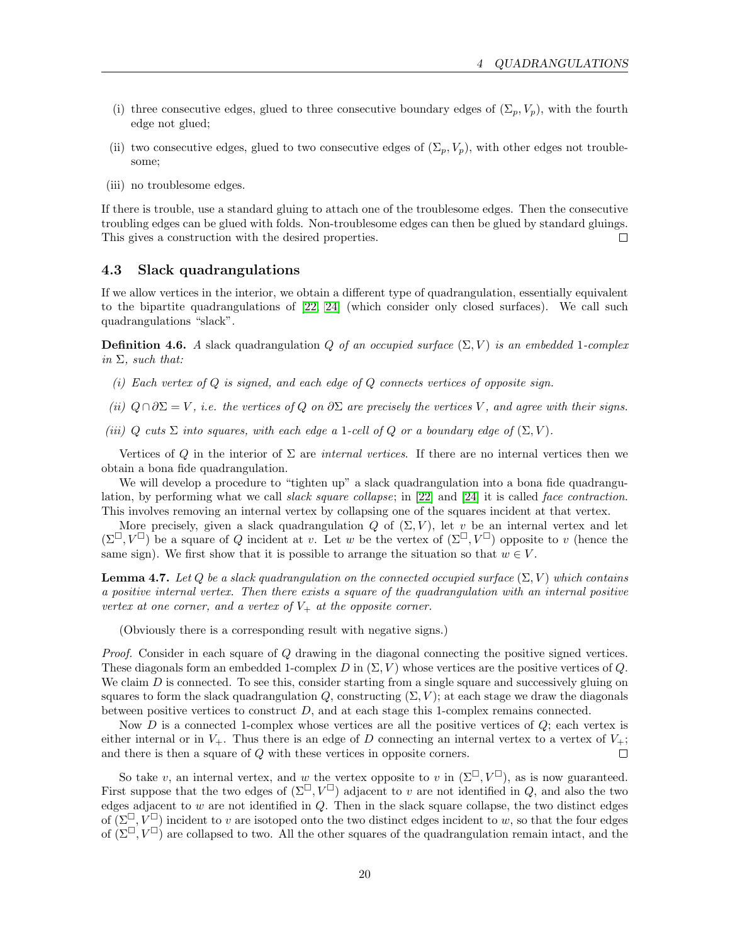- (i) three consecutive edges, glued to three consecutive boundary edges of  $(\Sigma_p, V_p)$ , with the fourth edge not glued;
- (ii) two consecutive edges, glued to two consecutive edges of  $(\Sigma_p, V_p)$ , with other edges not troublesome;
- (iii) no troublesome edges.

If there is trouble, use a standard gluing to attach one of the troublesome edges. Then the consecutive troubling edges can be glued with folds. Non-troublesome edges can then be glued by standard gluings. This gives a construction with the desired properties.  $\Box$ 

### <span id="page-19-0"></span>4.3 Slack quadrangulations

If we allow vertices in the interior, we obtain a different type of quadrangulation, essentially equivalent to the bipartite quadrangulations of [\[22,](#page-53-7) [24\]](#page-53-8) (which consider only closed surfaces). We call such quadrangulations "slack".

**Definition 4.6.** A slack quadrangulation Q of an occupied surface  $(\Sigma, V)$  is an embedded 1-complex in  $\Sigma$ , such that:

- (i) Each vertex of  $Q$  is signed, and each edge of  $Q$  connects vertices of opposite sign.
- (ii)  $Q \cap \partial \Sigma = V$ , i.e. the vertices of Q on  $\partial \Sigma$  are precisely the vertices V, and agree with their signs.

(iii) Q cuts  $\Sigma$  into squares, with each edge a 1-cell of Q or a boundary edge of  $(\Sigma, V)$ .

Vertices of Q in the interior of  $\Sigma$  are *internal vertices*. If there are no internal vertices then we obtain a bona fide quadrangulation.

We will develop a procedure to "tighten up" a slack quadrangulation into a bona fide quadrangulation, by performing what we call slack square collapse; in [\[22\]](#page-53-7) and [\[24\]](#page-53-8) it is called face contraction. This involves removing an internal vertex by collapsing one of the squares incident at that vertex.

More precisely, given a slack quadrangulation Q of  $(\Sigma, V)$ , let v be an internal vertex and let  $(\Sigma^{\square}, V^{\square})$  be a square of Q incident at v. Let w be the vertex of  $(\Sigma^{\square}, V^{\square})$  opposite to v (hence the same sign). We first show that it is possible to arrange the situation so that  $w \in V$ .

**Lemma 4.7.** Let Q be a slack quadrangulation on the connected occupied surface  $(\Sigma, V)$  which contains a positive internal vertex. Then there exists a square of the quadrangulation with an internal positive vertex at one corner, and a vertex of  $V_+$  at the opposite corner.

(Obviously there is a corresponding result with negative signs.)

Proof. Consider in each square of Q drawing in the diagonal connecting the positive signed vertices. These diagonals form an embedded 1-complex D in  $(\Sigma, V)$  whose vertices are the positive vertices of Q. We claim  $D$  is connected. To see this, consider starting from a single square and successively gluing on squares to form the slack quadrangulation  $Q$ , constructing  $(\Sigma, V)$ ; at each stage we draw the diagonals between positive vertices to construct  $D$ , and at each stage this 1-complex remains connected.

Now  $D$  is a connected 1-complex whose vertices are all the positive vertices of  $Q$ ; each vertex is either internal or in  $V_+$ . Thus there is an edge of D connecting an internal vertex to a vertex of  $V_+$ ; and there is then a square of Q with these vertices in opposite corners.  $\Box$ 

So take v, an internal vertex, and w the vertex opposite to v in  $(\Sigma^{\square}, V^{\square})$ , as is now guaranteed. First suppose that the two edges of  $(\Sigma^{\square}, V^{\square})$  adjacent to v are not identified in Q, and also the two edges adjacent to  $w$  are not identified in  $Q$ . Then in the slack square collapse, the two distinct edges of  $(\Sigma^{\square}, V^{\square})$  incident to v are isotoped onto the two distinct edges incident to w, so that the four edges of  $(\Sigma^{\square}, V^{\square})$  are collapsed to two. All the other squares of the quadrangulation remain intact, and the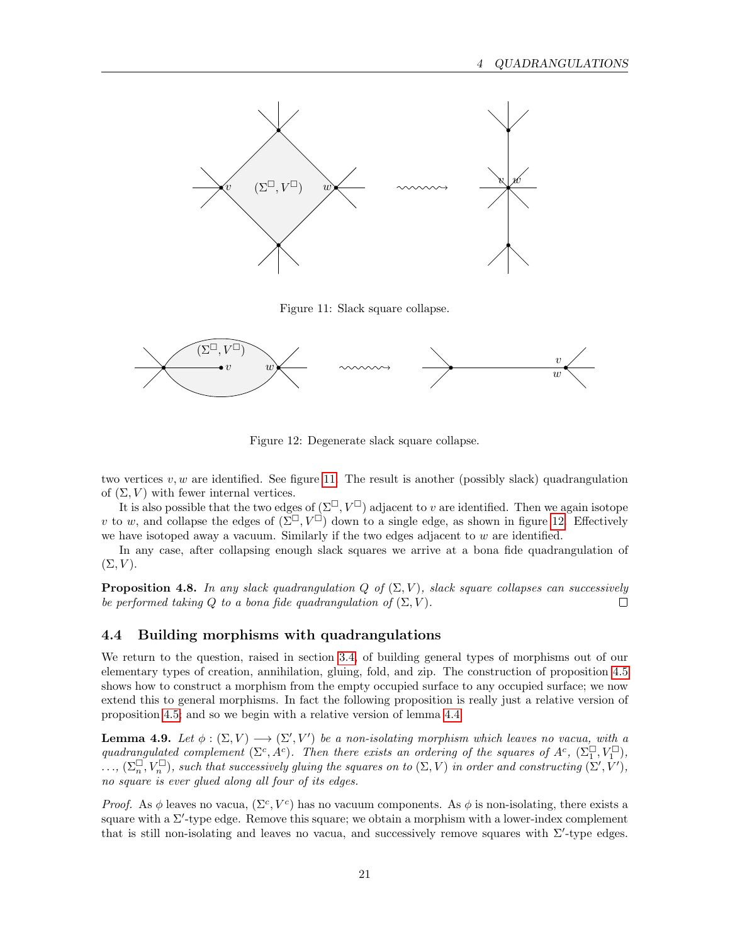

<span id="page-20-1"></span>Figure 11: Slack square collapse.



<span id="page-20-2"></span>Figure 12: Degenerate slack square collapse.

two vertices  $v, w$  are identified. See figure [11.](#page-20-1) The result is another (possibly slack) quadrangulation of  $(\Sigma, V)$  with fewer internal vertices.

It is also possible that the two edges of  $(\Sigma^{\square}, V^{\square})$  adjacent to v are identified. Then we again isotope v to w, and collapse the edges of  $(\Sigma^\square, V^\square)$  down to a single edge, as shown in figure [12.](#page-20-2) Effectively we have isotoped away a vacuum. Similarly if the two edges adjacent to  $w$  are identified.

In any case, after collapsing enough slack squares we arrive at a bona fide quadrangulation of  $(\Sigma, V)$ .

<span id="page-20-4"></span>**Proposition 4.8.** In any slack quadrangulation Q of  $(\Sigma, V)$ , slack square collapses can successively be performed taking Q to a bona fide quadrangulation of  $(\Sigma, V)$ .  $\Box$ 

### <span id="page-20-0"></span>4.4 Building morphisms with quadrangulations

We return to the question, raised in section [3.4,](#page-15-1) of building general types of morphisms out of our elementary types of creation, annihilation, gluing, fold, and zip. The construction of proposition [4.5](#page-18-2) shows how to construct a morphism from the empty occupied surface to any occupied surface; we now extend this to general morphisms. In fact the following proposition is really just a relative version of proposition [4.5;](#page-18-2) and so we begin with a relative version of lemma [4.4.](#page-18-3)

<span id="page-20-3"></span>**Lemma 4.9.** Let  $\phi : (\Sigma, V) \longrightarrow (\Sigma', V')$  be a non-isolating morphism which leaves no vacua, with a quadrangulated complement  $(\Sigma^c, A^c)$ . Then there exists an ordering of the squares of  $A^c$ ,  $(\Sigma_1^{\square}, V_1^{\square})$ ,  $\ldots$ ,  $(\Sigma_n^{\square}, V_n^{\square})$ , such that successively gluing the squares on to  $(\Sigma, V)$  in order and constructing  $(\Sigma', V'),$ no square is ever glued along all four of its edges.

Proof. As  $\phi$  leaves no vacua,  $(\Sigma^c, V^c)$  has no vacuum components. As  $\phi$  is non-isolating, there exists a square with a  $\Sigma'$ -type edge. Remove this square; we obtain a morphism with a lower-index complement that is still non-isolating and leaves no vacua, and successively remove squares with  $\Sigma'$ -type edges.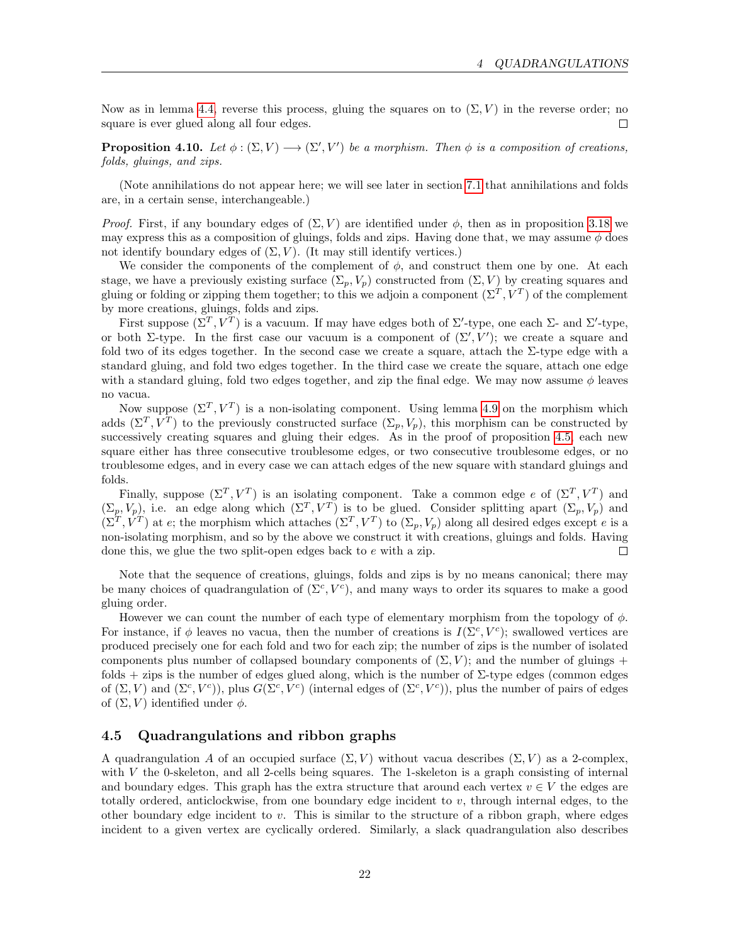Now as in lemma [4.4,](#page-18-3) reverse this process, gluing the squares on to  $(\Sigma, V)$  in the reverse order; no square is ever glued along all four edges.  $\Box$ 

<span id="page-21-1"></span>**Proposition 4.10.** Let  $\phi : (\Sigma, V) \longrightarrow (\Sigma', V')$  be a morphism. Then  $\phi$  is a composition of creations, folds, gluings, and zips.

(Note annihilations do not appear here; we will see later in section [7.1](#page-35-1) that annihilations and folds are, in a certain sense, interchangeable.)

*Proof.* First, if any boundary edges of  $(\Sigma, V)$  are identified under  $\phi$ , then as in proposition [3.18](#page-16-1) we may express this as a composition of gluings, folds and zips. Having done that, we may assume  $\phi$  does not identify boundary edges of  $(\Sigma, V)$ . (It may still identify vertices.)

We consider the components of the complement of  $\phi$ , and construct them one by one. At each stage, we have a previously existing surface  $(\Sigma_p, V_p)$  constructed from  $(\Sigma, V)$  by creating squares and gluing or folding or zipping them together; to this we adjoin a component  $(\Sigma^T, V^T)$  of the complement by more creations, gluings, folds and zips.

First suppose  $(\Sigma^T, V^T)$  is a vacuum. If may have edges both of  $\Sigma'$ -type, one each  $\Sigma$ - and  $\Sigma'$ -type, or both  $\Sigma$ -type. In the first case our vacuum is a component of  $(\Sigma', V')$ ; we create a square and fold two of its edges together. In the second case we create a square, attach the Σ-type edge with a standard gluing, and fold two edges together. In the third case we create the square, attach one edge with a standard gluing, fold two edges together, and zip the final edge. We may now assume  $\phi$  leaves no vacua.

Now suppose  $(\Sigma^T, V^T)$  is a non-isolating component. Using lemma [4.9](#page-20-3) on the morphism which adds  $(\Sigma^T, V^T)$  to the previously constructed surface  $(\Sigma_p, V_p)$ , this morphism can be constructed by successively creating squares and gluing their edges. As in the proof of proposition [4.5,](#page-18-2) each new square either has three consecutive troublesome edges, or two consecutive troublesome edges, or no troublesome edges, and in every case we can attach edges of the new square with standard gluings and folds.

Finally, suppose  $(\Sigma^T, V^T)$  is an isolating component. Take a common edge e of  $(\Sigma^T, V^T)$  and  $(\Sigma_p, V_p)$ , i.e. an edge along which  $(\Sigma^T, V^T)$  is to be glued. Consider splitting apart  $(\Sigma_p, V_p)$  and  $(\Sigma^T, V^T)$  at e; the morphism which attaches  $(\Sigma^T, V^T)$  to  $(\Sigma_p, V_p)$  along all desired edges except e is a non-isolating morphism, and so by the above we construct it with creations, gluings and folds. Having done this, we glue the two split-open edges back to e with a zip.  $\Box$ 

Note that the sequence of creations, gluings, folds and zips is by no means canonical; there may be many choices of quadrangulation of  $(\Sigma^c, V^c)$ , and many ways to order its squares to make a good gluing order.

However we can count the number of each type of elementary morphism from the topology of  $\phi$ . For instance, if  $\phi$  leaves no vacua, then the number of creations is  $I(\Sigma^c, V^c)$ ; swallowed vertices are produced precisely one for each fold and two for each zip; the number of zips is the number of isolated components plus number of collapsed boundary components of  $(\Sigma, V)$ ; and the number of gluings + folds  $+$  zips is the number of edges glued along, which is the number of  $\Sigma$ -type edges (common edges of  $(\Sigma, V)$  and  $(\Sigma^c, V^c)$ , plus  $G(\Sigma^c, V^c)$  (internal edges of  $(\Sigma^c, V^c)$ ), plus the number of pairs of edges of  $(\Sigma, V)$  identified under  $\phi$ .

#### <span id="page-21-0"></span>4.5 Quadrangulations and ribbon graphs

A quadrangulation A of an occupied surface  $(\Sigma, V)$  without vacua describes  $(\Sigma, V)$  as a 2-complex, with  $V$  the 0-skeleton, and all 2-cells being squares. The 1-skeleton is a graph consisting of internal and boundary edges. This graph has the extra structure that around each vertex  $v \in V$  the edges are totally ordered, anticlockwise, from one boundary edge incident to  $v$ , through internal edges, to the other boundary edge incident to  $v$ . This is similar to the structure of a ribbon graph, where edges incident to a given vertex are cyclically ordered. Similarly, a slack quadrangulation also describes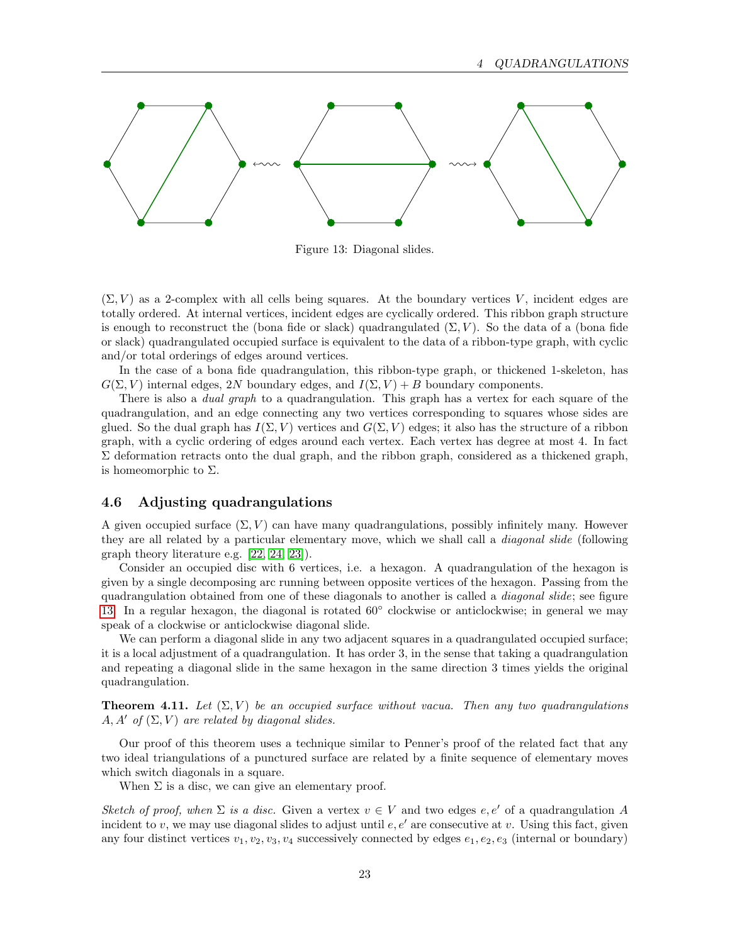

<span id="page-22-1"></span>Figure 13: Diagonal slides.

 $(\Sigma, V)$  as a 2-complex with all cells being squares. At the boundary vertices V, incident edges are totally ordered. At internal vertices, incident edges are cyclically ordered. This ribbon graph structure is enough to reconstruct the (bona fide or slack) quadrangulated  $(\Sigma, V)$ . So the data of a (bona fide or slack) quadrangulated occupied surface is equivalent to the data of a ribbon-type graph, with cyclic and/or total orderings of edges around vertices.

In the case of a bona fide quadrangulation, this ribbon-type graph, or thickened 1-skeleton, has  $G(\Sigma, V)$  internal edges, 2N boundary edges, and  $I(\Sigma, V) + B$  boundary components.

There is also a *dual graph* to a quadrangulation. This graph has a vertex for each square of the quadrangulation, and an edge connecting any two vertices corresponding to squares whose sides are glued. So the dual graph has  $I(\Sigma, V)$  vertices and  $G(\Sigma, V)$  edges; it also has the structure of a ribbon graph, with a cyclic ordering of edges around each vertex. Each vertex has degree at most 4. In fact  $\Sigma$  deformation retracts onto the dual graph, and the ribbon graph, considered as a thickened graph, is homeomorphic to  $\Sigma$ .

#### <span id="page-22-0"></span>4.6 Adjusting quadrangulations

A given occupied surface  $(\Sigma, V)$  can have many quadrangulations, possibly infinitely many. However they are all related by a particular elementary move, which we shall call a *diagonal slide* (following graph theory literature e.g. [\[22,](#page-53-7) [24,](#page-53-8) [23\]](#page-53-9)).

Consider an occupied disc with 6 vertices, i.e. a hexagon. A quadrangulation of the hexagon is given by a single decomposing arc running between opposite vertices of the hexagon. Passing from the quadrangulation obtained from one of these diagonals to another is called a *diagonal slide*; see figure [13.](#page-22-1) In a regular hexagon, the diagonal is rotated 60° clockwise or anticlockwise; in general we may speak of a clockwise or anticlockwise diagonal slide.

We can perform a diagonal slide in any two adjacent squares in a quadrangulated occupied surface; it is a local adjustment of a quadrangulation. It has order 3, in the sense that taking a quadrangulation and repeating a diagonal slide in the same hexagon in the same direction 3 times yields the original quadrangulation.

**Theorem 4.11.** Let  $(\Sigma, V)$  be an occupied surface without vacua. Then any two quadrangulations  $A, A'$  of  $(\Sigma, V)$  are related by diagonal slides.

Our proof of this theorem uses a technique similar to Penner's proof of the related fact that any two ideal triangulations of a punctured surface are related by a finite sequence of elementary moves which switch diagonals in a square.

When  $\Sigma$  is a disc, we can give an elementary proof.

Sketch of proof, when  $\Sigma$  is a disc. Given a vertex  $v \in V$  and two edges  $e, e'$  of a quadrangulation A incident to v, we may use diagonal slides to adjust until  $e, e'$  are consecutive at v. Using this fact, given any four distinct vertices  $v_1, v_2, v_3, v_4$  successively connected by edges  $e_1, e_2, e_3$  (internal or boundary)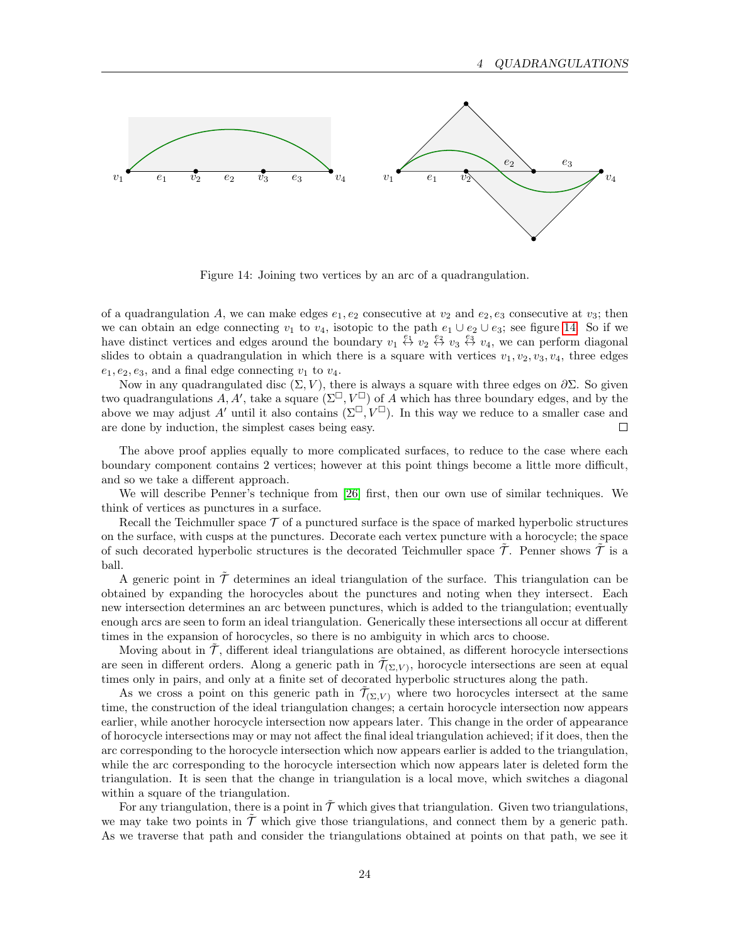

<span id="page-23-0"></span>Figure 14: Joining two vertices by an arc of a quadrangulation.

of a quadrangulation A, we can make edges  $e_1, e_2$  consecutive at  $v_2$  and  $e_2, e_3$  consecutive at  $v_3$ ; then we can obtain an edge connecting  $v_1$  to  $v_4$ , isotopic to the path  $e_1 \cup e_2 \cup e_3$ ; see figure [14.](#page-23-0) So if we have distinct vertices and edges around the boundary  $v_1 \stackrel{e_1}{\leftrightarrow} v_2 \stackrel{e_2}{\leftrightarrow} v_3 \stackrel{e_3}{\leftrightarrow} v_4$ , we can perform diagonal slides to obtain a quadrangulation in which there is a square with vertices  $v_1, v_2, v_3, v_4$ , three edges  $e_1, e_2, e_3$ , and a final edge connecting  $v_1$  to  $v_4$ .

Now in any quadrangulated disc  $(\Sigma, V)$ , there is always a square with three edges on  $\partial \Sigma$ . So given two quadrangulations  $\tilde{A}, A'$ , take a square  $(\Sigma^{\square}, V^{\square})$  of  $\tilde{A}$  which has three boundary edges, and by the above we may adjust A' until it also contains  $(\Sigma^{\square}, V^{\square})$ . In this way we reduce to a smaller case and are done by induction, the simplest cases being easy.  $\Box$ 

The above proof applies equally to more complicated surfaces, to reduce to the case where each boundary component contains 2 vertices; however at this point things become a little more difficult, and so we take a different approach.

We will describe Penner's technique from [\[26\]](#page-53-10) first, then our own use of similar techniques. We think of vertices as punctures in a surface.

Recall the Teichmuller space  $\mathcal T$  of a punctured surface is the space of marked hyperbolic structures on the surface, with cusps at the punctures. Decorate each vertex puncture with a horocycle; the space of such decorated hyperbolic structures is the decorated Teichmuller space  $\tilde{\mathcal{T}}$ . Penner shows  $\tilde{\mathcal{T}}$  is a ball.

A generic point in  $\tilde{\mathcal{T}}$  determines an ideal triangulation of the surface. This triangulation can be obtained by expanding the horocycles about the punctures and noting when they intersect. Each new intersection determines an arc between punctures, which is added to the triangulation; eventually enough arcs are seen to form an ideal triangulation. Generically these intersections all occur at different times in the expansion of horocycles, so there is no ambiguity in which arcs to choose.

Moving about in  $\mathcal T$ , different ideal triangulations are obtained, as different horocycle intersections are seen in different orders. Along a generic path in  $\tilde{\mathcal{T}}_{(\Sigma,V)}$ , horocycle intersections are seen at equal times only in pairs, and only at a finite set of decorated hyperbolic structures along the path.

As we cross a point on this generic path in  $\tilde{\mathcal{T}}_{(\Sigma,V)}$  where two horocycles intersect at the same time, the construction of the ideal triangulation changes; a certain horocycle intersection now appears earlier, while another horocycle intersection now appears later. This change in the order of appearance of horocycle intersections may or may not affect the final ideal triangulation achieved; if it does, then the arc corresponding to the horocycle intersection which now appears earlier is added to the triangulation, while the arc corresponding to the horocycle intersection which now appears later is deleted form the triangulation. It is seen that the change in triangulation is a local move, which switches a diagonal within a square of the triangulation.

For any triangulation, there is a point in  $\tilde{\mathcal{T}}$  which gives that triangulation. Given two triangulations, we may take two points in  $\tilde{T}$  which give those triangulations, and connect them by a generic path. As we traverse that path and consider the triangulations obtained at points on that path, we see it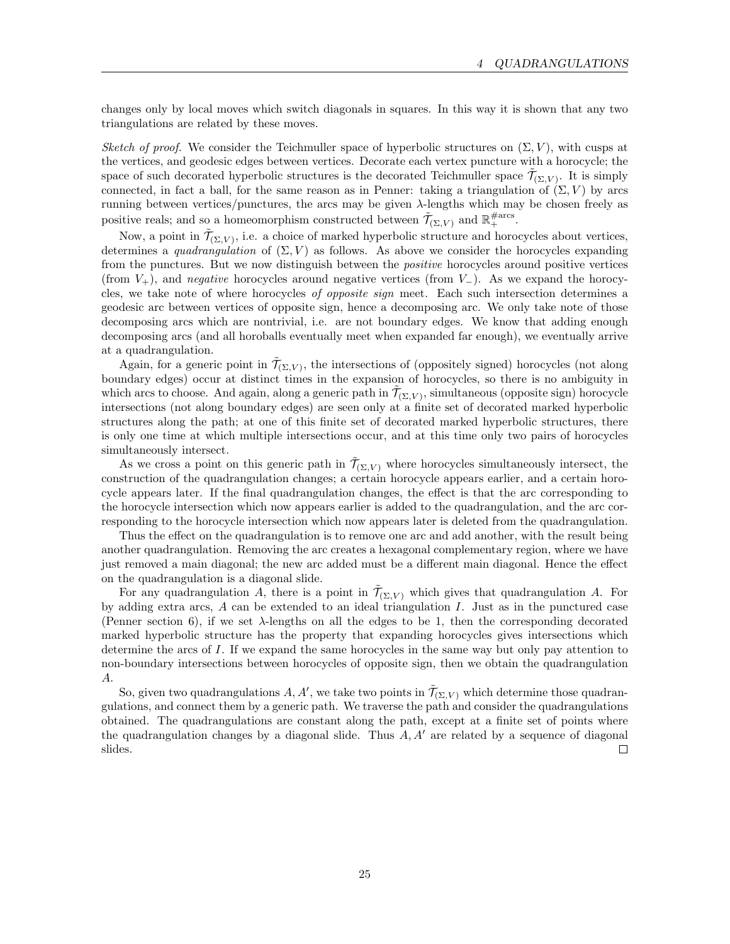changes only by local moves which switch diagonals in squares. In this way it is shown that any two triangulations are related by these moves.

Sketch of proof. We consider the Teichmuller space of hyperbolic structures on  $(\Sigma, V)$ , with cusps at the vertices, and geodesic edges between vertices. Decorate each vertex puncture with a horocycle; the space of such decorated hyperbolic structures is the decorated Teichmuller space  $\tilde{\mathcal{T}}_{(\Sigma,V)}$ . It is simply connected, in fact a ball, for the same reason as in Penner: taking a triangulation of  $(\Sigma, V)$  by arcs running between vertices/punctures, the arcs may be given λ-lengths which may be chosen freely as positive reals; and so a homeomorphism constructed between  $\tilde{\mathcal{T}}_{(\Sigma,V)}$  and  $\mathbb{R}^{\# \text{arcs}}_+$ .

Now, a point in  $\tilde{\mathcal{T}}_{(\Sigma,V)}$ , i.e. a choice of marked hyperbolic structure and horocycles about vertices, determines a quadrangulation of  $(\Sigma, V)$  as follows. As above we consider the horocycles expanding from the punctures. But we now distinguish between the *positive* horocycles around positive vertices (from  $V_+$ ), and *negative* horocycles around negative vertices (from  $V_-$ ). As we expand the horocycles, we take note of where horocycles of opposite sign meet. Each such intersection determines a geodesic arc between vertices of opposite sign, hence a decomposing arc. We only take note of those decomposing arcs which are nontrivial, i.e. are not boundary edges. We know that adding enough decomposing arcs (and all horoballs eventually meet when expanded far enough), we eventually arrive at a quadrangulation.

Again, for a generic point in  $\tilde{\mathcal{T}}_{(\Sigma,V)}$ , the intersections of (oppositely signed) horocycles (not along boundary edges) occur at distinct times in the expansion of horocycles, so there is no ambiguity in which arcs to choose. And again, along a generic path in  $\tilde{\mathcal{T}}_{(\Sigma,V)}$ , simultaneous (opposite sign) horocycle intersections (not along boundary edges) are seen only at a finite set of decorated marked hyperbolic structures along the path; at one of this finite set of decorated marked hyperbolic structures, there is only one time at which multiple intersections occur, and at this time only two pairs of horocycles simultaneously intersect.

As we cross a point on this generic path in  $\tilde{\mathcal{T}}_{(\Sigma,V)}$  where horocycles simultaneously intersect, the construction of the quadrangulation changes; a certain horocycle appears earlier, and a certain horocycle appears later. If the final quadrangulation changes, the effect is that the arc corresponding to the horocycle intersection which now appears earlier is added to the quadrangulation, and the arc corresponding to the horocycle intersection which now appears later is deleted from the quadrangulation.

Thus the effect on the quadrangulation is to remove one arc and add another, with the result being another quadrangulation. Removing the arc creates a hexagonal complementary region, where we have just removed a main diagonal; the new arc added must be a different main diagonal. Hence the effect on the quadrangulation is a diagonal slide.

For any quadrangulation A, there is a point in  $\tilde{\mathcal{T}}_{(\Sigma,V)}$  which gives that quadrangulation A. For by adding extra arcs, A can be extended to an ideal triangulation I. Just as in the punctured case (Penner section 6), if we set  $\lambda$ -lengths on all the edges to be 1, then the corresponding decorated marked hyperbolic structure has the property that expanding horocycles gives intersections which determine the arcs of I. If we expand the same horocycles in the same way but only pay attention to non-boundary intersections between horocycles of opposite sign, then we obtain the quadrangulation A.

So, given two quadrangulations A, A', we take two points in  $\tilde{\mathcal{T}}_{(\Sigma,V)}$  which determine those quadrangulations, and connect them by a generic path. We traverse the path and consider the quadrangulations obtained. The quadrangulations are constant along the path, except at a finite set of points where the quadrangulation changes by a diagonal slide. Thus  $A, A'$  are related by a sequence of diagonal  $\Box$ slides.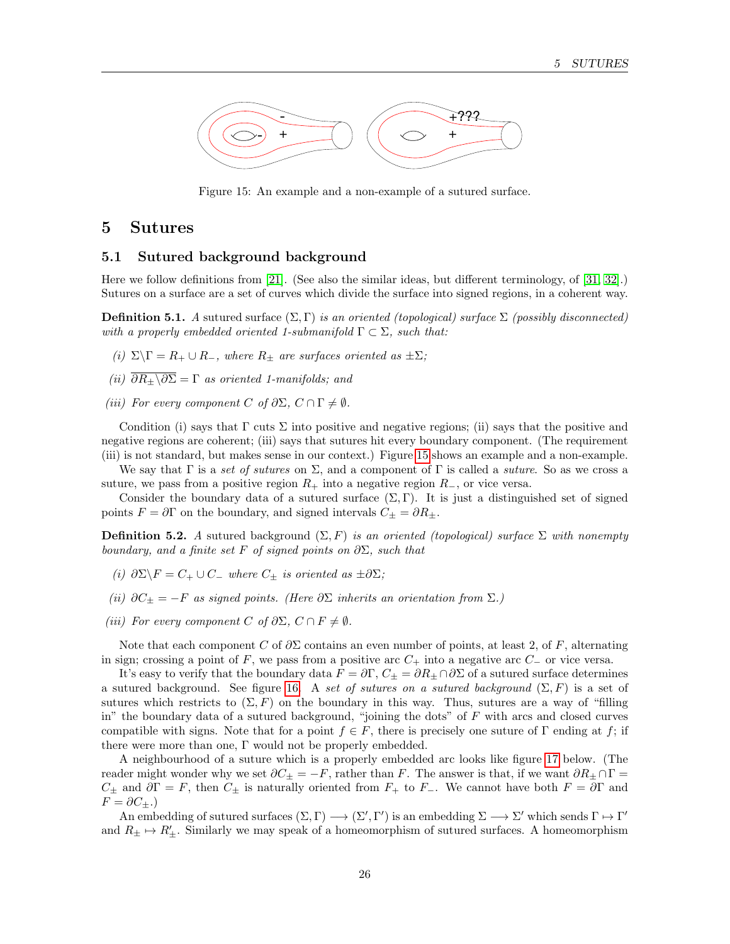

<span id="page-25-2"></span>Figure 15: An example and a non-example of a sutured surface.

## <span id="page-25-0"></span>5 Sutures

#### <span id="page-25-1"></span>5.1 Sutured background background

Here we follow definitions from [\[21\]](#page-53-2). (See also the similar ideas, but different terminology, of [\[31,](#page-53-11) [32\]](#page-53-12).) Sutures on a surface are a set of curves which divide the surface into signed regions, in a coherent way.

**Definition 5.1.** A sutured surface  $(\Sigma, \Gamma)$  is an oriented (topological) surface  $\Sigma$  (possibly disconnected) with a properly embedded oriented 1-submanifold  $\Gamma \subset \Sigma$ , such that:

- (i)  $\Sigma \backslash \Gamma = R_+ \cup R_-,$  where  $R_{\pm}$  are surfaces oriented as  $\pm \Sigma$ ;
- (ii)  $\overline{\partial R_{\pm}}\setminus \overline{\partial \Sigma} = \Gamma$  as oriented 1-manifolds; and
- (iii) For every component C of  $\partial \Sigma$ ,  $C \cap \Gamma \neq \emptyset$ .

Condition (i) says that  $\Gamma$  cuts  $\Sigma$  into positive and negative regions; (ii) says that the positive and negative regions are coherent; (iii) says that sutures hit every boundary component. (The requirement (iii) is not standard, but makes sense in our context.) Figure [15](#page-25-2) shows an example and a non-example.

We say that  $\Gamma$  is a set of sutures on  $\Sigma$ , and a component of  $\Gamma$  is called a suture. So as we cross a suture, we pass from a positive region  $R_+$  into a negative region  $R_-,$  or vice versa.

Consider the boundary data of a sutured surface  $(\Sigma, \Gamma)$ . It is just a distinguished set of signed points  $F = \partial \Gamma$  on the boundary, and signed intervals  $C_{\pm} = \partial R_{\pm}$ .

**Definition 5.2.** A sutured background  $(\Sigma, F)$  is an oriented (topological) surface  $\Sigma$  with nonempty boundary, and a finite set F of signed points on  $\partial \Sigma$ , such that

- (i)  $\partial \Sigma \backslash F = C_+ \cup C_-$  where  $C_+$  is oriented as  $\pm \partial \Sigma$ ;
- (ii)  $\partial C_{\pm} = -F$  as signed points. (Here  $\partial \Sigma$  inherits an orientation from  $\Sigma$ .)
- (iii) For every component C of  $\partial \Sigma$ ,  $C \cap F \neq \emptyset$ .

Note that each component C of  $\partial \Sigma$  contains an even number of points, at least 2, of F, alternating in sign; crossing a point of F, we pass from a positive arc  $C_+$  into a negative arc  $C_-\,$  or vice versa.

It's easy to verify that the boundary data  $F = \partial \Gamma$ ,  $C_{\pm} = \partial R_{\pm} \cap \partial \Sigma$  of a sutured surface determines a sutured background. See figure [16.](#page-26-1) A set of sutures on a sutured background  $(\Sigma, F)$  is a set of sutures which restricts to  $(\Sigma, F)$  on the boundary in this way. Thus, sutures are a way of "filling" in" the boundary data of a sutured background, "joining the dots" of  $F$  with arcs and closed curves compatible with signs. Note that for a point  $f \in F$ , there is precisely one suture of Γ ending at f; if there were more than one, Γ would not be properly embedded.

A neighbourhood of a suture which is a properly embedded arc looks like figure [17](#page-26-2) below. (The reader might wonder why we set  $\partial C_{\pm} = -F$ , rather than F. The answer is that, if we want  $\partial R_{\pm} \cap \Gamma =$  $C_{\pm}$  and  $\partial \Gamma = F$ , then  $C_{\pm}$  is naturally oriented from  $F_{+}$  to  $F_{-}$ . We cannot have both  $F = \partial \Gamma$  and  $F = \partial C_{\pm}.$ 

An embedding of sutured surfaces  $(\Sigma, \Gamma) \longrightarrow (\Sigma', \Gamma')$  is an embedding  $\Sigma \longrightarrow \Sigma'$  which sends  $\Gamma \mapsto \Gamma'$ and  $R_{\pm} \mapsto R_{\pm}'$ . Similarly we may speak of a homeomorphism of sutured surfaces. A homeomorphism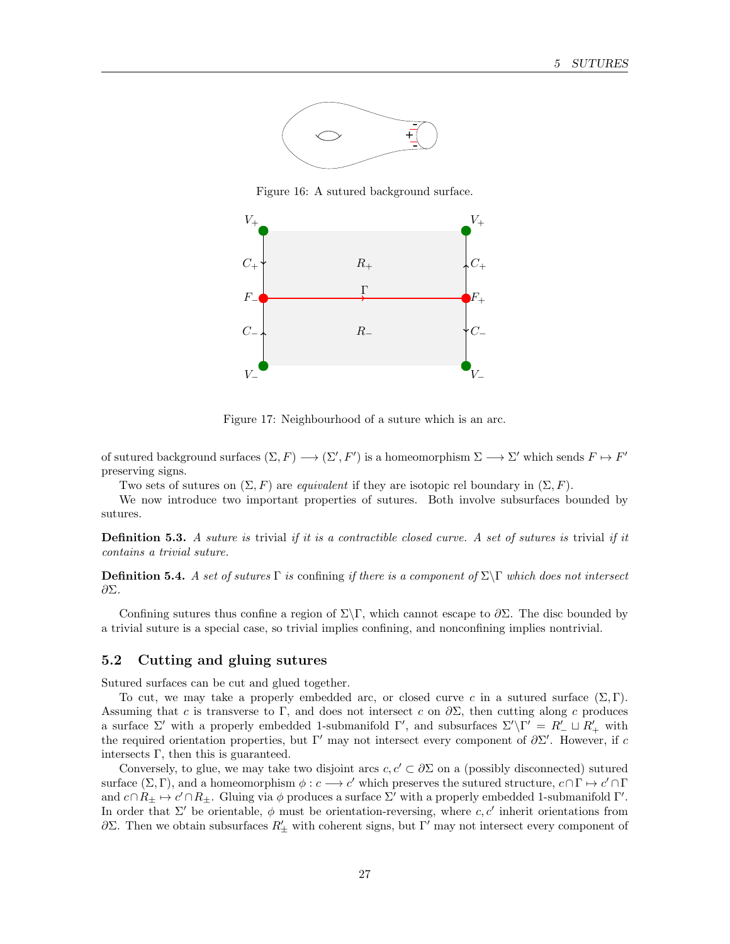

<span id="page-26-1"></span>Figure 16: A sutured background surface.



<span id="page-26-2"></span>Figure 17: Neighbourhood of a suture which is an arc.

of sutured background surfaces  $(\Sigma, F) \longrightarrow (\Sigma', F')$  is a homeomorphism  $\Sigma \longrightarrow \Sigma'$  which sends  $F \mapsto F'$ preserving signs.

Two sets of sutures on  $(\Sigma, F)$  are *equivalent* if they are isotopic rel boundary in  $(\Sigma, F)$ .

We now introduce two important properties of sutures. Both involve subsurfaces bounded by sutures.

**Definition 5.3.** A suture is trivial if it is a contractible closed curve. A set of sutures is trivial if it contains a trivial suture.

**Definition 5.4.** A set of sutures  $\Gamma$  is confining if there is a component of  $\Sigma\Gamma$  which does not intersect ∂Σ.

Confining sutures thus confine a region of  $\Sigma\Gamma$ , which cannot escape to  $\partial\Sigma$ . The disc bounded by a trivial suture is a special case, so trivial implies confining, and nonconfining implies nontrivial.

## <span id="page-26-0"></span>5.2 Cutting and gluing sutures

Sutured surfaces can be cut and glued together.

To cut, we may take a properly embedded arc, or closed curve c in a sutured surface  $(\Sigma, \Gamma)$ . Assuming that c is transverse to Γ, and does not intersect c on  $\partial \Sigma$ , then cutting along c produces a surface  $\Sigma'$  with a properly embedded 1-submanifold  $\Gamma'$ , and subsurfaces  $\Sigma'\backslash \Gamma' = R'_{-} \sqcup R'_{+}$  with the required orientation properties, but  $\Gamma'$  may not intersect every component of  $\partial \Sigma'$ . However, if c intersects  $\Gamma$ , then this is guaranteed.

Conversely, to glue, we may take two disjoint arcs  $c, c' \subset \partial \Sigma$  on a (possibly disconnected) sutured surface  $(\Sigma, \Gamma)$ , and a homeomorphism  $\phi : c \longrightarrow c'$  which preserves the sutured structure,  $c \cap \Gamma \mapsto c' \cap \Gamma$ and  $c \cap R_{\pm} \mapsto c' \cap R_{\pm}$ . Gluing via  $\phi$  produces a surface  $\Sigma'$  with a properly embedded 1-submanifold  $\Gamma'$ . In order that  $\Sigma'$  be orientable,  $\phi$  must be orientation-reversing, where c, c' inherit orientations from  $\partial\Sigma$ . Then we obtain subsurfaces  $R'_\pm$  with coherent signs, but Γ' may not intersect every component of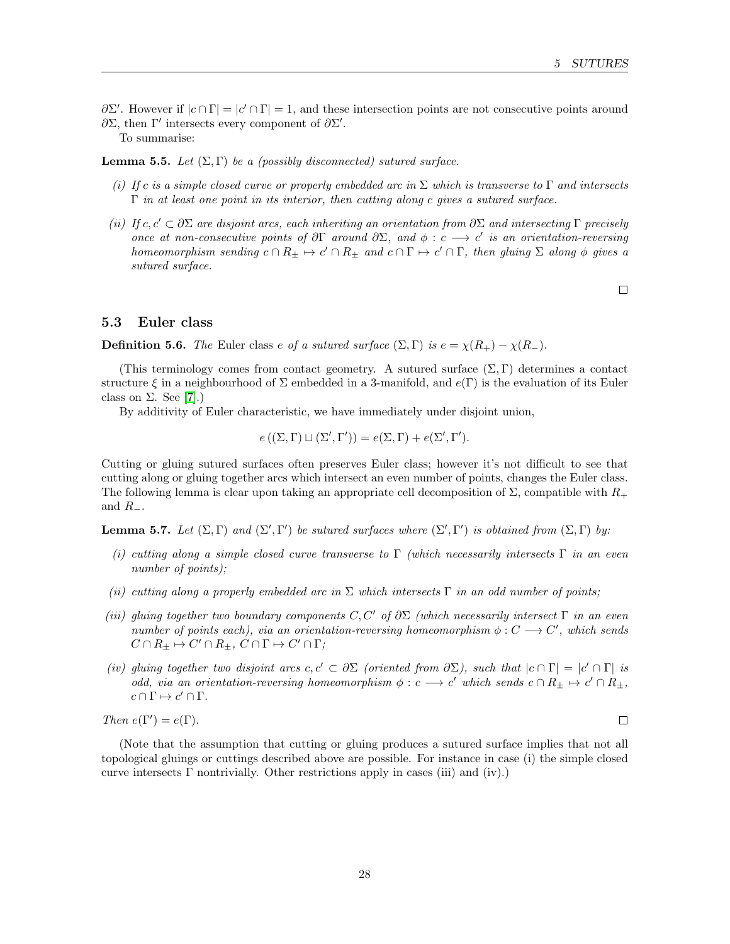$\partial\Sigma'$ . However if  $|c \cap \Gamma| = |c' \cap \Gamma| = 1$ , and these intersection points are not consecutive points around  $\partial \Sigma$ , then Γ' intersects every component of  $\partial \Sigma'$ .

To summarise:

<span id="page-27-1"></span>**Lemma 5.5.** Let  $(\Sigma, \Gamma)$  be a (possibly disconnected) sutured surface.

- (i) If c is a simple closed curve or properly embedded arc in  $\Sigma$  which is transverse to  $\Gamma$  and intersects  $\Gamma$  in at least one point in its interior, then cutting along c gives a sutured surface.
- (ii) If c,  $c' \subset \partial \Sigma$  are disjoint arcs, each inheriting an orientation from  $\partial \Sigma$  and intersecting Γ precisely once at non-consecutive points of  $\partial \Gamma$  around  $\partial \Sigma$ , and  $\phi : c \longrightarrow c'$  is an orientation-reversing homeomorphism sending  $c \cap R_{\pm} \mapsto c' \cap R_{\pm}$  and  $c \cap \Gamma \mapsto c' \cap \Gamma$ , then gluing  $\Sigma$  along  $\phi$  gives a sutured surface.

 $\Box$ 

## <span id="page-27-0"></span>5.3 Euler class

**Definition 5.6.** The Euler class e of a sutured surface  $(\Sigma, \Gamma)$  is  $e = \chi(R_+) - \chi(R_-)$ .

(This terminology comes from contact geometry. A sutured surface  $(\Sigma, \Gamma)$  determines a contact structure  $\xi$  in a neighbourhood of  $\Sigma$  embedded in a 3-manifold, and  $e(\Gamma)$  is the evaluation of its Euler class on  $\Sigma$ . See [\[7\]](#page-52-7).)

By additivity of Euler characteristic, we have immediately under disjoint union,

$$
e((\Sigma,\Gamma)\sqcup(\Sigma',\Gamma'))=e(\Sigma,\Gamma)+e(\Sigma',\Gamma').
$$

Cutting or gluing sutured surfaces often preserves Euler class; however it's not difficult to see that cutting along or gluing together arcs which intersect an even number of points, changes the Euler class. The following lemma is clear upon taking an appropriate cell decomposition of  $\Sigma$ , compatible with  $R_+$ and  $R_-\$ .

<span id="page-27-2"></span>**Lemma 5.7.** Let  $(\Sigma, \Gamma)$  and  $(\Sigma', \Gamma')$  be sutured surfaces where  $(\Sigma', \Gamma')$  is obtained from  $(\Sigma, \Gamma)$  by:

- (i) cutting along a simple closed curve transverse to  $\Gamma$  (which necessarily intersects  $\Gamma$  in an even number of points);
- (ii) cutting along a properly embedded arc in  $\Sigma$  which intersects  $\Gamma$  in an odd number of points;
- (iii) gluing together two boundary components  $C, C'$  of  $\partial \Sigma$  (which necessarily intersect  $\Gamma$  in an even number of points each), via an orientation-reversing homeomorphism  $\phi : C \longrightarrow C'$ , which sends  $C \cap R_{\pm} \mapsto C' \cap R_{\pm}, C \cap \Gamma \mapsto C' \cap \Gamma;$
- (iv) gluing together two disjoint arcs  $c, c' \subset \partial \Sigma$  (oriented from  $\partial \Sigma$ ), such that  $|c \cap \Gamma| = |c' \cap \Gamma|$  is odd, via an orientation-reversing homeomorphism  $\phi : c \longrightarrow c'$  which sends  $c \cap R_{\pm} \mapsto c' \cap R_{\pm}$ ,  $c \cap \Gamma \mapsto c' \cap \Gamma$ .

Then  $e(\Gamma') = e(\Gamma)$ .

(Note that the assumption that cutting or gluing produces a sutured surface implies that not all topological gluings or cuttings described above are possible. For instance in case (i) the simple closed curve intersects  $\Gamma$  nontrivially. Other restrictions apply in cases (iii) and (iv).)

 $\Box$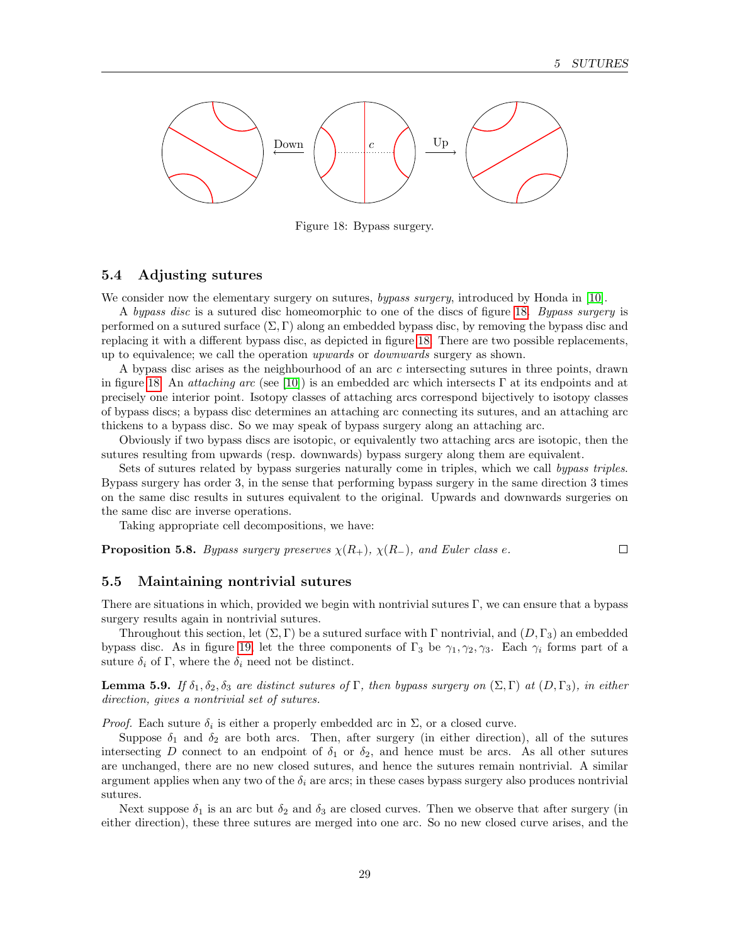

<span id="page-28-2"></span>Figure 18: Bypass surgery.

## <span id="page-28-0"></span>5.4 Adjusting sutures

We consider now the elementary surgery on sutures, bypass surgery, introduced by Honda in [\[10\]](#page-52-8).

A bypass disc is a sutured disc homeomorphic to one of the discs of figure [18.](#page-28-2) Bypass surgery is performed on a sutured surface  $(\Sigma, \Gamma)$  along an embedded bypass disc, by removing the bypass disc and replacing it with a different bypass disc, as depicted in figure [18.](#page-28-2) There are two possible replacements, up to equivalence; we call the operation upwards or downwards surgery as shown.

A bypass disc arises as the neighbourhood of an arc c intersecting sutures in three points, drawn in figure [18.](#page-28-2) An *attaching arc* (see [\[10\]](#page-52-8)) is an embedded arc which intersects  $\Gamma$  at its endpoints and at precisely one interior point. Isotopy classes of attaching arcs correspond bijectively to isotopy classes of bypass discs; a bypass disc determines an attaching arc connecting its sutures, and an attaching arc thickens to a bypass disc. So we may speak of bypass surgery along an attaching arc.

Obviously if two bypass discs are isotopic, or equivalently two attaching arcs are isotopic, then the sutures resulting from upwards (resp. downwards) bypass surgery along them are equivalent.

Sets of sutures related by bypass surgeries naturally come in triples, which we call bypass triples. Bypass surgery has order 3, in the sense that performing bypass surgery in the same direction 3 times on the same disc results in sutures equivalent to the original. Upwards and downwards surgeries on the same disc are inverse operations.

Taking appropriate cell decompositions, we have:

**Proposition 5.8.** Bypass surgery preserves  $\chi(R_+)$ ,  $\chi(R_-)$ , and Euler class e.  $\Box$ 

#### <span id="page-28-1"></span>5.5 Maintaining nontrivial sutures

There are situations in which, provided we begin with nontrivial sutures  $\Gamma$ , we can ensure that a bypass surgery results again in nontrivial sutures.

Throughout this section, let  $(\Sigma, \Gamma)$  be a sutured surface with  $\Gamma$  nontrivial, and  $(D, \Gamma_3)$  an embedded bypass disc. As in figure [19,](#page-29-0) let the three components of  $\Gamma_3$  be  $\gamma_1, \gamma_2, \gamma_3$ . Each  $\gamma_i$  forms part of a suture  $\delta_i$  of Γ, where the  $\delta_i$  need not be distinct.

<span id="page-28-3"></span>**Lemma 5.9.** If  $\delta_1, \delta_2, \delta_3$  are distinct sutures of Γ, then bypass surgery on  $(\Sigma, \Gamma)$  at  $(D, \Gamma_3)$ , in either direction, gives a nontrivial set of sutures.

*Proof.* Each suture  $\delta_i$  is either a properly embedded arc in  $\Sigma$ , or a closed curve.

Suppose  $\delta_1$  and  $\delta_2$  are both arcs. Then, after surgery (in either direction), all of the sutures intersecting D connect to an endpoint of  $\delta_1$  or  $\delta_2$ , and hence must be arcs. As all other sutures are unchanged, there are no new closed sutures, and hence the sutures remain nontrivial. A similar argument applies when any two of the  $\delta_i$  are arcs; in these cases bypass surgery also produces nontrivial sutures.

Next suppose  $\delta_1$  is an arc but  $\delta_2$  and  $\delta_3$  are closed curves. Then we observe that after surgery (in either direction), these three sutures are merged into one arc. So no new closed curve arises, and the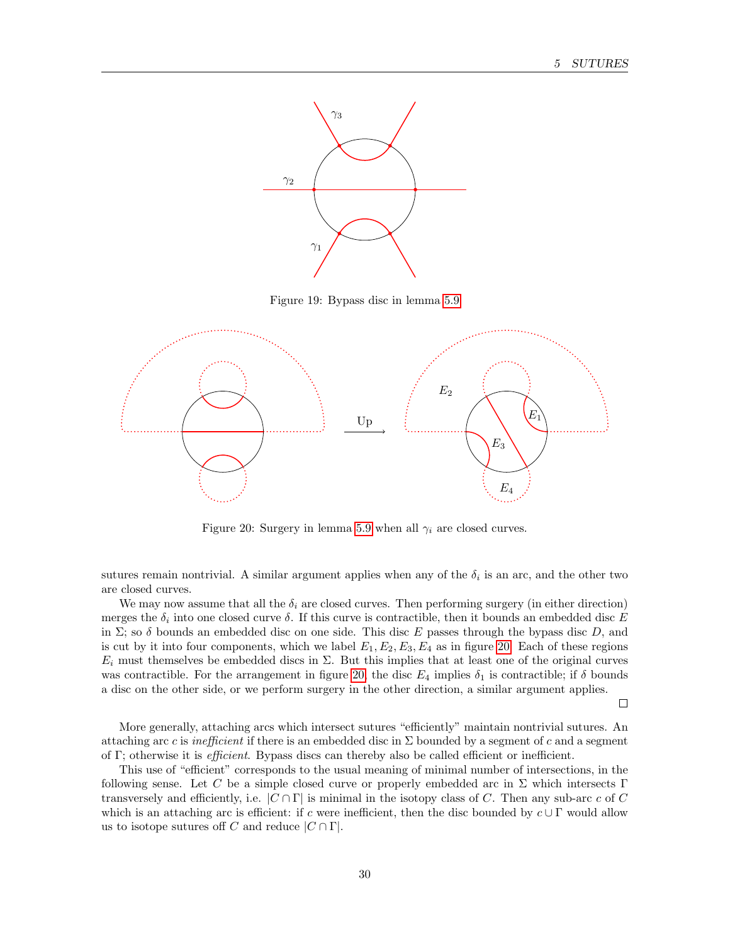

<span id="page-29-0"></span>Figure 19: Bypass disc in lemma [5.9](#page-28-3)



<span id="page-29-1"></span>Figure 20: Surgery in lemma [5.9](#page-28-3) when all  $\gamma_i$  are closed curves.

sutures remain nontrivial. A similar argument applies when any of the  $\delta_i$  is an arc, and the other two are closed curves.

We may now assume that all the  $\delta_i$  are closed curves. Then performing surgery (in either direction) merges the  $\delta_i$  into one closed curve  $\delta$ . If this curve is contractible, then it bounds an embedded disc E in  $\Sigma$ ; so  $\delta$  bounds an embedded disc on one side. This disc E passes through the bypass disc D, and is cut by it into four components, which we label  $E_1, E_2, E_3, E_4$  as in figure [20.](#page-29-1) Each of these regions  $E_i$  must themselves be embedded discs in  $\Sigma$ . But this implies that at least one of the original curves was contractible. For the arrangement in figure [20,](#page-29-1) the disc  $E_4$  implies  $\delta_1$  is contractible; if  $\delta$  bounds a disc on the other side, or we perform surgery in the other direction, a similar argument applies.

 $\Box$ 

More generally, attaching arcs which intersect sutures "efficiently" maintain nontrivial sutures. An attaching arc c is inefficient if there is an embedded disc in  $\Sigma$  bounded by a segment of c and a segment of Γ; otherwise it is efficient. Bypass discs can thereby also be called efficient or inefficient.

<span id="page-29-2"></span>This use of "efficient" corresponds to the usual meaning of minimal number of intersections, in the following sense. Let C be a simple closed curve or properly embedded arc in  $\Sigma$  which intersects Γ transversely and efficiently, i.e.  $|C \cap \Gamma|$  is minimal in the isotopy class of C. Then any sub-arc c of C which is an attaching arc is efficient: if c were inefficient, then the disc bounded by  $c \cup \Gamma$  would allow us to isotope sutures off C and reduce  $|C \cap \Gamma|$ .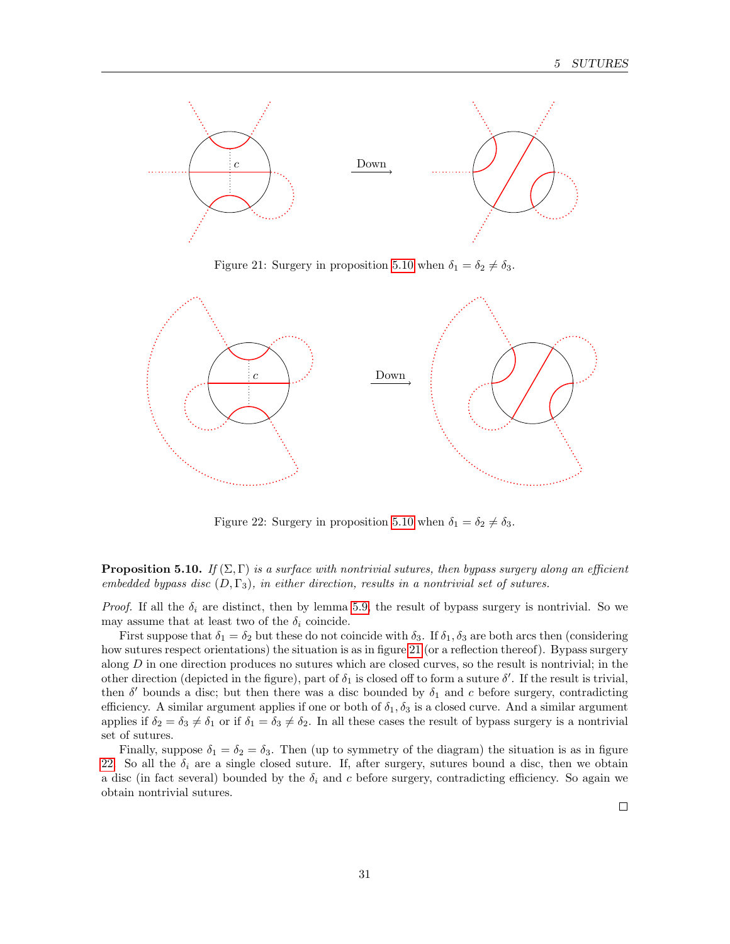

<span id="page-30-0"></span>Figure 21: Surgery in proposition [5.10](#page-29-2) when  $\delta_1 = \delta_2 \neq \delta_3$ .



<span id="page-30-1"></span>Figure 22: Surgery in proposition [5.10](#page-29-2) when  $\delta_1 = \delta_2 \neq \delta_3$ .

**Proposition 5.10.** If  $(\Sigma, \Gamma)$  is a surface with nontrivial sutures, then bypass surgery along an efficient embedded bypass disc  $(D, \Gamma_3)$ , in either direction, results in a nontrivial set of sutures.

*Proof.* If all the  $\delta_i$  are distinct, then by lemma [5.9,](#page-28-3) the result of bypass surgery is nontrivial. So we may assume that at least two of the  $\delta_i$  coincide.

First suppose that  $\delta_1 = \delta_2$  but these do not coincide with  $\delta_3$ . If  $\delta_1$ ,  $\delta_3$  are both arcs then (considering how sutures respect orientations) the situation is as in figure [21](#page-30-0) (or a reflection thereof). Bypass surgery along  $D$  in one direction produces no sutures which are closed curves, so the result is nontrivial; in the other direction (depicted in the figure), part of  $\delta_1$  is closed off to form a suture  $\delta'$ . If the result is trivial, then  $\delta'$  bounds a disc; but then there was a disc bounded by  $\delta_1$  and c before surgery, contradicting efficiency. A similar argument applies if one or both of  $\delta_1, \delta_3$  is a closed curve. And a similar argument applies if  $\delta_2 = \delta_3 \neq \delta_1$  or if  $\delta_1 = \delta_3 \neq \delta_2$ . In all these cases the result of bypass surgery is a nontrivial set of sutures.

Finally, suppose  $\delta_1 = \delta_2 = \delta_3$ . Then (up to symmetry of the diagram) the situation is as in figure [22.](#page-30-1) So all the  $\delta_i$  are a single closed suture. If, after surgery, sutures bound a disc, then we obtain a disc (in fact several) bounded by the  $\delta_i$  and c before surgery, contradicting efficiency. So again we obtain nontrivial sutures.

 $\Box$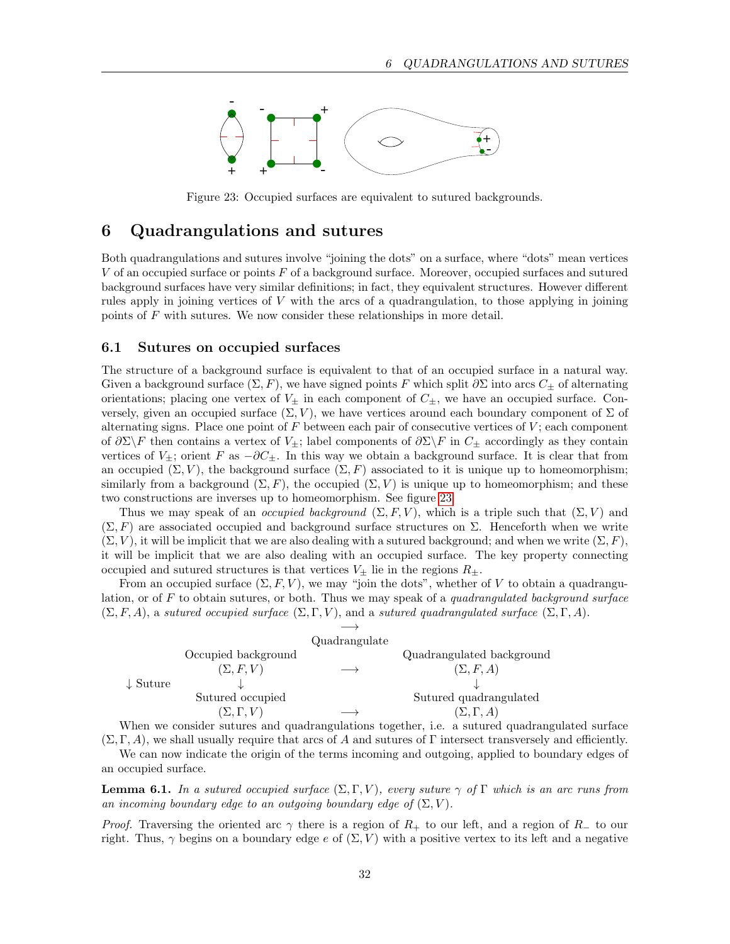

<span id="page-31-2"></span>Figure 23: Occupied surfaces are equivalent to sutured backgrounds.

## <span id="page-31-0"></span>6 Quadrangulations and sutures

Both quadrangulations and sutures involve "joining the dots" on a surface, where "dots" mean vertices V of an occupied surface or points F of a background surface. Moreover, occupied surfaces and sutured background surfaces have very similar definitions; in fact, they equivalent structures. However different rules apply in joining vertices of V with the arcs of a quadrangulation, to those applying in joining points of F with sutures. We now consider these relationships in more detail.

#### <span id="page-31-1"></span>6.1 Sutures on occupied surfaces

The structure of a background surface is equivalent to that of an occupied surface in a natural way. Given a background surface  $(\Sigma, F)$ , we have signed points F which split  $\partial \Sigma$  into arcs  $C_{\pm}$  of alternating orientations; placing one vertex of  $V_{\pm}$  in each component of  $C_{\pm}$ , we have an occupied surface. Conversely, given an occupied surface  $(\Sigma, V)$ , we have vertices around each boundary component of  $\Sigma$  of alternating signs. Place one point of  $F$  between each pair of consecutive vertices of  $V$ ; each component of  $\partial \Sigma \backslash F$  then contains a vertex of  $V_{\pm}$ ; label components of  $\partial \Sigma \backslash F$  in  $C_{\pm}$  accordingly as they contain vertices of  $V_{\pm}$ ; orient F as  $-\partial C_{\pm}$ . In this way we obtain a background surface. It is clear that from an occupied  $(\Sigma, V)$ , the background surface  $(\Sigma, F)$  associated to it is unique up to homeomorphism; similarly from a background  $(\Sigma, F)$ , the occupied  $(\Sigma, V)$  is unique up to homeomorphism; and these two constructions are inverses up to homeomorphism. See figure [23.](#page-31-2)

Thus we may speak of an *occupied background*  $(\Sigma, F, V)$ , which is a triple such that  $(\Sigma, V)$  and  $(\Sigma, F)$  are associated occupied and background surface structures on  $\Sigma$ . Henceforth when we write  $(\Sigma, V)$ , it will be implicit that we are also dealing with a sutured background; and when we write  $(\Sigma, F)$ , it will be implicit that we are also dealing with an occupied surface. The key property connecting occupied and sutured structures is that vertices  $V_{\pm}$  lie in the regions  $R_{\pm}$ .

From an occupied surface  $(\Sigma, F, V)$ , we may "join the dots", whether of V to obtain a quadrangulation, or of  $F$  to obtain sutures, or both. Thus we may speak of a *quadrangulated background surface*  $(\Sigma, F, A)$ , a sutured occupied surface  $(\Sigma, \Gamma, V)$ , and a sutured quadrangulated surface  $(\Sigma, \Gamma, A)$ .

|                     |                     | Quadrangulate |                           |
|---------------------|---------------------|---------------|---------------------------|
|                     | Occupied background |               | Quadrangulated background |
|                     | $(\Sigma, F, V)$    |               | $(\Sigma, F, A)$          |
| $\downarrow$ Suture |                     |               |                           |
|                     | Sutured occupied    |               | Sutured quadrangulated    |
|                     | $(\Sigma,\Gamma,V)$ |               | $(\Sigma, \Gamma, A)$     |

When we consider sutures and quadrangulations together, i.e. a sutured quadrangulated surface  $(\Sigma, \Gamma, A)$ , we shall usually require that arcs of A and sutures of  $\Gamma$  intersect transversely and efficiently.

We can now indicate the origin of the terms incoming and outgoing, applied to boundary edges of an occupied surface.

**Lemma 6.1.** In a sutured occupied surface  $(\Sigma, \Gamma, V)$ , every suture  $\gamma$  of  $\Gamma$  which is an arc runs from an incoming boundary edge to an outgoing boundary edge of  $(\Sigma, V)$ .

*Proof.* Traversing the oriented arc  $\gamma$  there is a region of  $R_+$  to our left, and a region of  $R_-$  to our right. Thus,  $\gamma$  begins on a boundary edge e of  $(\Sigma, V)$  with a positive vertex to its left and a negative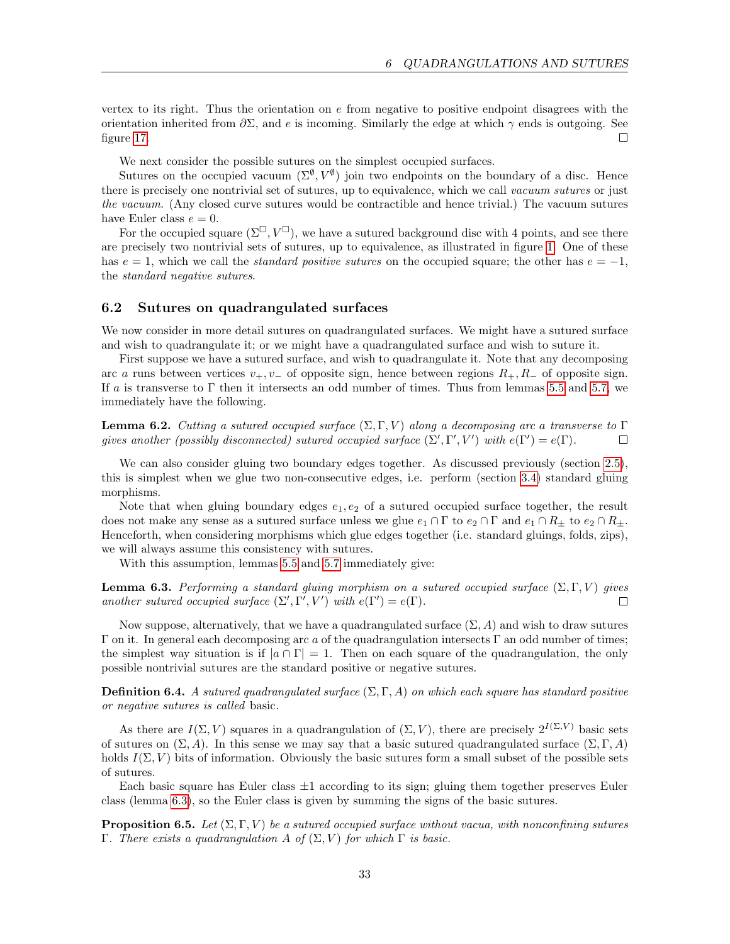vertex to its right. Thus the orientation on  $e$  from negative to positive endpoint disagrees with the orientation inherited from  $\partial \Sigma$ , and e is incoming. Similarly the edge at which  $\gamma$  ends is outgoing. See figure [17.](#page-26-2)  $\Box$ 

We next consider the possible sutures on the simplest occupied surfaces.

Sutures on the occupied vacuum  $(\Sigma^{\emptyset}, V^{\emptyset})$  join two endpoints on the boundary of a disc. Hence there is precisely one nontrivial set of sutures, up to equivalence, which we call vacuum sutures or just the vacuum. (Any closed curve sutures would be contractible and hence trivial.) The vacuum sutures have Euler class  $e = 0$ .

For the occupied square  $(\Sigma^{\square}, V^{\square})$ , we have a sutured background disc with 4 points, and see there are precisely two nontrivial sets of sutures, up to equivalence, as illustrated in figure [1.](#page-2-0) One of these has  $e = 1$ , which we call the *standard positive sutures* on the occupied square; the other has  $e = -1$ , the standard negative sutures.

#### <span id="page-32-0"></span>6.2 Sutures on quadrangulated surfaces

We now consider in more detail sutures on quadrangulated surfaces. We might have a sutured surface and wish to quadrangulate it; or we might have a quadrangulated surface and wish to suture it.

First suppose we have a sutured surface, and wish to quadrangulate it. Note that any decomposing arc a runs between vertices  $v_+, v_-$  of opposite sign, hence between regions  $R_+, R_-$  of opposite sign. If a is transverse to  $\Gamma$  then it intersects an odd number of times. Thus from lemmas [5.5](#page-27-1) and [5.7,](#page-27-2) we immediately have the following.

**Lemma 6.2.** Cutting a sutured occupied surface  $(\Sigma, \Gamma, V)$  along a decomposing arc a transverse to  $\Gamma$ gives another (possibly disconnected) sutured occupied surface  $(\Sigma', \Gamma', V')$  with  $e(\Gamma') = e(\Gamma)$ . П

We can also consider gluing two boundary edges together. As discussed previously (section [2.5\)](#page-10-2), this is simplest when we glue two non-consecutive edges, i.e. perform (section [3.4\)](#page-15-1) standard gluing morphisms.

Note that when gluing boundary edges  $e_1, e_2$  of a sutured occupied surface together, the result does not make any sense as a sutured surface unless we glue  $e_1 \cap \Gamma$  to  $e_2 \cap \Gamma$  and  $e_1 \cap R_{\pm}$  to  $e_2 \cap R_{\pm}$ . Henceforth, when considering morphisms which glue edges together (i.e. standard gluings, folds, zips), we will always assume this consistency with sutures.

With this assumption, lemmas [5.5](#page-27-1) and [5.7](#page-27-2) immediately give:

<span id="page-32-1"></span>**Lemma 6.3.** Performing a standard gluing morphism on a sutured occupied surface  $(\Sigma, \Gamma, V)$  gives another sutured occupied surface  $(\Sigma', \Gamma', V')$  with  $e(\Gamma') = e(\Gamma)$ .  $\Box$ 

Now suppose, alternatively, that we have a quadrangulated surface  $(\Sigma, A)$  and wish to draw sutures Γ on it. In general each decomposing arc a of the quadrangulation intersects Γ an odd number of times; the simplest way situation is if  $|a \cap \Gamma| = 1$ . Then on each square of the quadrangulation, the only possible nontrivial sutures are the standard positive or negative sutures.

**Definition 6.4.** A sutured quadrangulated surface  $(\Sigma, \Gamma, A)$  on which each square has standard positive or negative sutures is called basic.

As there are  $I(\Sigma, V)$  squares in a quadrangulation of  $(\Sigma, V)$ , there are precisely  $2^{I(\Sigma, V)}$  basic sets of sutures on  $(\Sigma, A)$ . In this sense we may say that a basic sutured quadrangulated surface  $(\Sigma, \Gamma, A)$ holds  $I(\Sigma, V)$  bits of information. Obviously the basic sutures form a small subset of the possible sets of sutures.

Each basic square has Euler class  $\pm 1$  according to its sign; gluing them together preserves Euler class (lemma [6.3\)](#page-32-1), so the Euler class is given by summing the signs of the basic sutures.

<span id="page-32-2"></span>**Proposition 6.5.** Let  $(\Sigma, \Gamma, V)$  be a sutured occupied surface without vacua, with nonconfining sutures Γ. There exists a quadrangulation A of  $(Σ, V)$  for which Γ is basic.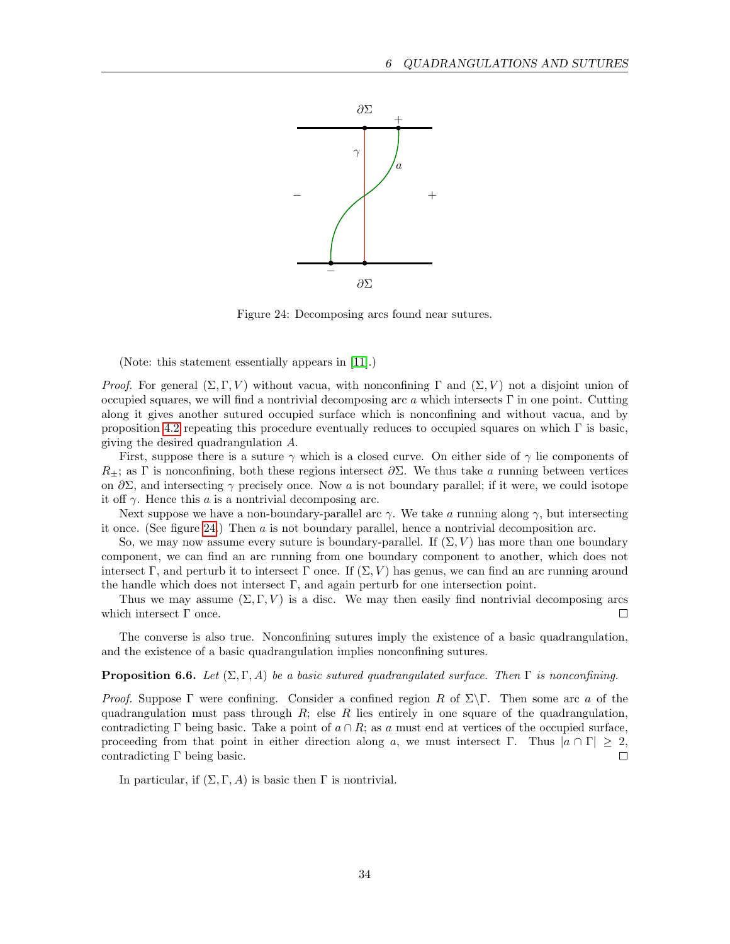

<span id="page-33-0"></span>Figure 24: Decomposing arcs found near sutures.

(Note: this statement essentially appears in [\[11\]](#page-52-1).)

Proof. For general  $(\Sigma, \Gamma, V)$  without vacua, with nonconfining  $\Gamma$  and  $(\Sigma, V)$  not a disjoint union of occupied squares, we will find a nontrivial decomposing arc a which intersects  $\Gamma$  in one point. Cutting along it gives another sutured occupied surface which is nonconfining and without vacua, and by proposition [4.2](#page-17-2) repeating this procedure eventually reduces to occupied squares on which  $\Gamma$  is basic. giving the desired quadrangulation A.

First, suppose there is a suture  $\gamma$  which is a closed curve. On either side of  $\gamma$  lie components of  $R_{\pm}$ ; as Γ is nonconfining, both these regions intersect  $\partial \Sigma$ . We thus take a running between vertices on  $\partial \Sigma$ , and intersecting  $\gamma$  precisely once. Now a is not boundary parallel; if it were, we could isotope it off  $\gamma$ . Hence this a is a nontrivial decomposing arc.

Next suppose we have a non-boundary-parallel arc  $\gamma$ . We take a running along  $\gamma$ , but intersecting it once. (See figure [24.](#page-33-0)) Then  $\alpha$  is not boundary parallel, hence a nontrivial decomposition arc.

So, we may now assume every suture is boundary-parallel. If  $(\Sigma, V)$  has more than one boundary component, we can find an arc running from one boundary component to another, which does not intersect Γ, and perturb it to intersect Γ once. If  $(\Sigma, V)$  has genus, we can find an arc running around the handle which does not intersect  $\Gamma$ , and again perturb for one intersection point.

Thus we may assume  $(\Sigma, \Gamma, V)$  is a disc. We may then easily find nontrivial decomposing arcs which intersect  $\Gamma$  once.  $\Box$ 

The converse is also true. Nonconfining sutures imply the existence of a basic quadrangulation, and the existence of a basic quadrangulation implies nonconfining sutures.

#### **Proposition 6.6.** Let  $(\Sigma, \Gamma, A)$  be a basic sutured quadrangulated surface. Then  $\Gamma$  is nonconfining.

Proof. Suppose Γ were confining. Consider a confined region R of  $\Sigma\$ Γ. Then some arc a of the quadrangulation must pass through  $R$ ; else R lies entirely in one square of the quadrangulation, contradicting Γ being basic. Take a point of  $a \cap R$ ; as a must end at vertices of the occupied surface, proceeding from that point in either direction along a, we must intersect Γ. Thus  $|a \cap \Gamma| \geq 2$ , contradicting Γ being basic.  $\Box$ 

In particular, if  $(\Sigma, \Gamma, A)$  is basic then  $\Gamma$  is nontrivial.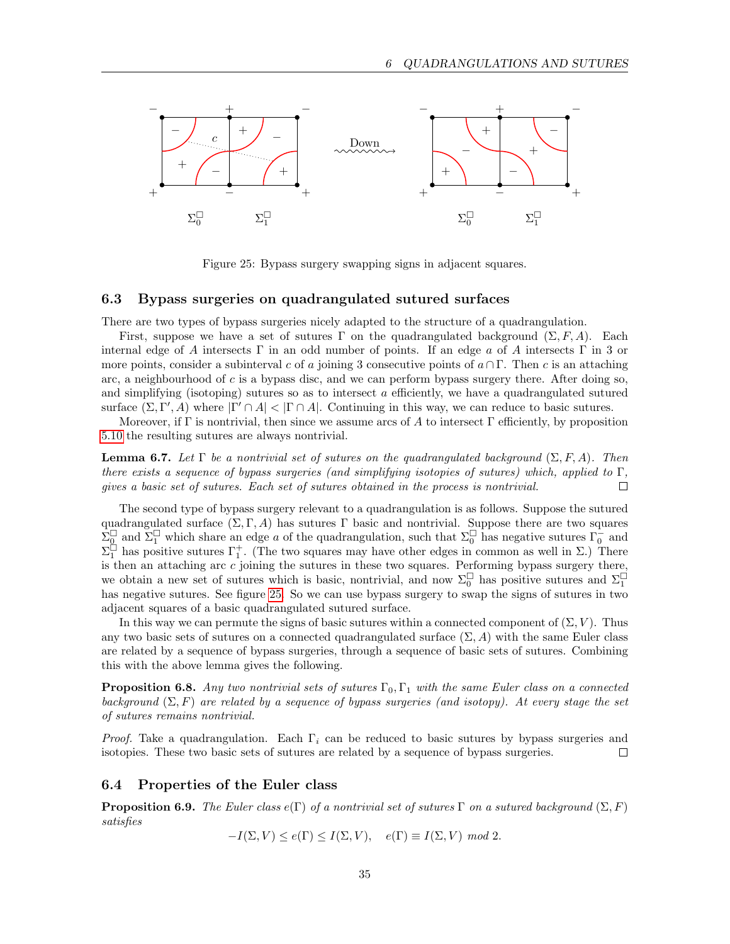

<span id="page-34-2"></span>Figure 25: Bypass surgery swapping signs in adjacent squares.

#### <span id="page-34-0"></span>6.3 Bypass surgeries on quadrangulated sutured surfaces

There are two types of bypass surgeries nicely adapted to the structure of a quadrangulation.

First, suppose we have a set of sutures Γ on the quadrangulated background  $(\Sigma, F, A)$ . Each internal edge of A intersects Γ in an odd number of points. If an edge a of A intersects Γ in 3 or more points, consider a subinterval c of a joining 3 consecutive points of  $a \cap \Gamma$ . Then c is an attaching arc, a neighbourhood of c is a bypass disc, and we can perform bypass surgery there. After doing so, and simplifying (isotoping) sutures so as to intersect  $\alpha$  efficiently, we have a quadrangulated sutured surface  $(\Sigma, \Gamma', A)$  where  $|\Gamma' \cap A| < |\Gamma \cap A|$ . Continuing in this way, we can reduce to basic sutures.

Moreover, if Γ is nontrivial, then since we assume arcs of A to intersect Γ efficiently, by proposition [5.10](#page-29-2) the resulting sutures are always nontrivial.

<span id="page-34-3"></span>**Lemma 6.7.** Let  $\Gamma$  be a nontrivial set of sutures on the quadrangulated background  $(\Sigma, F, A)$ . Then there exists a sequence of bypass surgeries (and simplifying isotopies of sutures) which, applied to  $\Gamma$ , gives a basic set of sutures. Each set of sutures obtained in the process is nontrivial.  $\Box$ 

The second type of bypass surgery relevant to a quadrangulation is as follows. Suppose the sutured quadrangulated surface  $(\Sigma, \Gamma, A)$  has sutures  $\Gamma$  basic and nontrivial. Suppose there are two squares  $\tilde{\Sigma}_{\underline{0}}^{\square}$  and  $\tilde{\Sigma}_{1}^{\square}$  which share an edge a of the quadrangulation, such that  $\Sigma_{0}^{\square}$  has negative sutures  $\Gamma_{0}^{-}$  and  $\Sigma_1^{\square}$  has positive sutures Γ<sup>+</sup><sub>1</sub>. (The two squares may have other edges in common as well in Σ.) There is then an attaching arc c joining the sutures in these two squares. Performing bypass surgery there, we obtain a new set of sutures which is basic, nontrivial, and now  $\Sigma_0^{\Box}$  has positive sutures and  $\Sigma_1^{\Box}$ has negative sutures. See figure [25.](#page-34-2) So we can use bypass surgery to swap the signs of sutures in two adjacent squares of a basic quadrangulated sutured surface.

In this way we can permute the signs of basic sutures within a connected component of  $(\Sigma, V)$ . Thus any two basic sets of sutures on a connected quadrangulated surface  $(\Sigma, A)$  with the same Euler class are related by a sequence of bypass surgeries, through a sequence of basic sets of sutures. Combining this with the above lemma gives the following.

**Proposition 6.8.** Any two nontrivial sets of sutures  $\Gamma_0, \Gamma_1$  with the same Euler class on a connected background  $(\Sigma, F)$  are related by a sequence of bypass surgeries (and isotopy). At every stage the set of sutures remains nontrivial.

*Proof.* Take a quadrangulation. Each  $\Gamma_i$  can be reduced to basic sutures by bypass surgeries and isotopies. These two basic sets of sutures are related by a sequence of bypass surgeries.  $\Box$ 

#### <span id="page-34-1"></span>6.4 Properties of the Euler class

**Proposition 6.9.** The Euler class  $e(\Gamma)$  of a nontrivial set of sutures  $\Gamma$  on a sutured background  $(\Sigma, F)$ satisfies

$$
-I(\Sigma, V) \le e(\Gamma) \le I(\Sigma, V), \quad e(\Gamma) \equiv I(\Sigma, V) \text{ mod } 2.
$$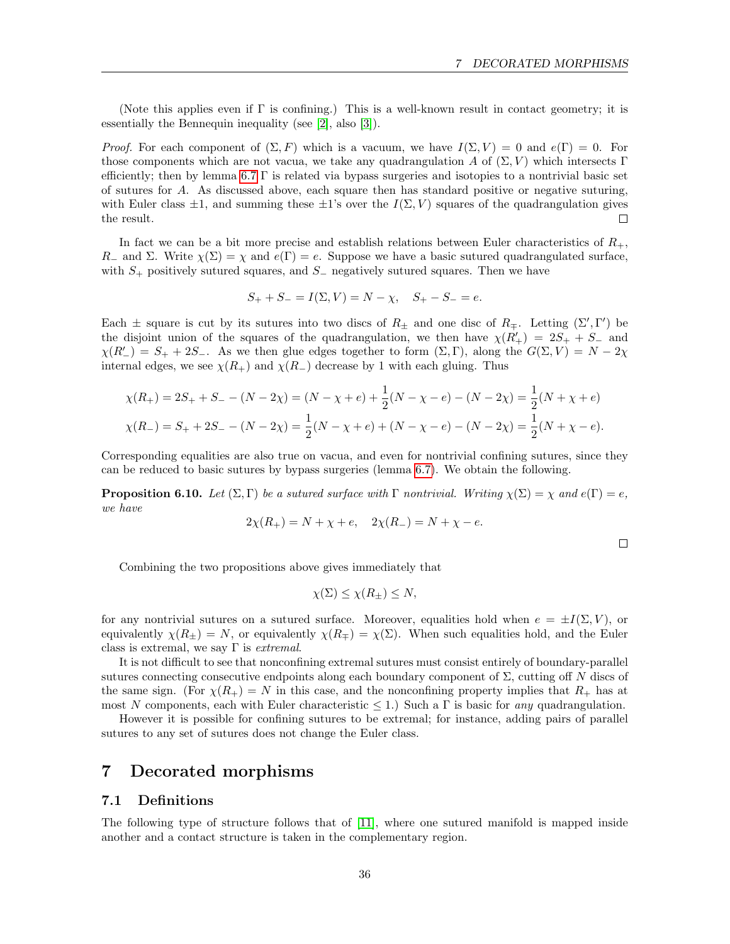(Note this applies even if Γ is confining.) This is a well-known result in contact geometry; it is essentially the Bennequin inequality (see [\[2\]](#page-52-9), also [\[3\]](#page-52-10)).

*Proof.* For each component of  $(\Sigma, F)$  which is a vacuum, we have  $I(\Sigma, V) = 0$  and  $e(\Gamma) = 0$ . For those components which are not vacua, we take any quadrangulation A of  $(\Sigma, V)$  which intersects Γ efficiently; then by lemma [6.7](#page-34-3)  $\Gamma$  is related via bypass surgeries and isotopies to a nontrivial basic set of sutures for A. As discussed above, each square then has standard positive or negative suturing, with Euler class  $\pm 1$ , and summing these  $\pm 1$ 's over the  $I(\Sigma, V)$  squares of the quadrangulation gives the result.  $\Box$ 

In fact we can be a bit more precise and establish relations between Euler characteristics of  $R_{+}$ , R<sub>−</sub> and Σ. Write  $\chi(\Sigma) = \chi$  and  $e(\Gamma) = e$ . Suppose we have a basic sutured quadrangulated surface, with  $S_{+}$  positively sutured squares, and  $S_{-}$  negatively sutured squares. Then we have

$$
S_+ + S_- = I(\Sigma, V) = N - \chi, \quad S_+ - S_- = e.
$$

Each  $\pm$  square is cut by its sutures into two discs of  $R_{\pm}$  and one disc of  $R_{\mp}$ . Letting  $(\Sigma', \Gamma')$  be the disjoint union of the squares of the quadrangulation, we then have  $\chi(R'_{+}) = 2S_{+} + S_{-}$  and  $\chi(R'_{-}) = S_{+} + 2S_{-}$ . As we then glue edges together to form  $(\Sigma, \Gamma)$ , along the  $G(\Sigma, V) = N - 2\chi$ internal edges, we see  $\chi(R_+)$  and  $\chi(R_-)$  decrease by 1 with each gluing. Thus

$$
\chi(R_+) = 2S_+ + S_- - (N - 2\chi) = (N - \chi + e) + \frac{1}{2}(N - \chi - e) - (N - 2\chi) = \frac{1}{2}(N + \chi + e)
$$
  

$$
\chi(R_-) = S_+ + 2S_- - (N - 2\chi) = \frac{1}{2}(N - \chi + e) + (N - \chi - e) - (N - 2\chi) = \frac{1}{2}(N + \chi - e).
$$

Corresponding equalities are also true on vacua, and even for nontrivial confining sutures, since they can be reduced to basic sutures by bypass surgeries (lemma [6.7\)](#page-34-3). We obtain the following.

**Proposition 6.10.** Let  $(\Sigma, \Gamma)$  be a sutured surface with  $\Gamma$  nontrivial. Writing  $\chi(\Sigma) = \chi$  and  $e(\Gamma) = e$ , we have

$$
2\chi(R_+) = N + \chi + e, \quad 2\chi(R_-) = N + \chi - e.
$$

 $\Box$ 

Combining the two propositions above gives immediately that

$$
\chi(\Sigma) \le \chi(R_{\pm}) \le N,
$$

for any nontrivial sutures on a sutured surface. Moreover, equalities hold when  $e = \pm I(\Sigma, V)$ , or equivalently  $\chi(R_{\pm}) = N$ , or equivalently  $\chi(R_{\mp}) = \chi(\Sigma)$ . When such equalities hold, and the Euler class is extremal, we say  $\Gamma$  is *extremal*.

It is not difficult to see that nonconfining extremal sutures must consist entirely of boundary-parallel sutures connecting consecutive endpoints along each boundary component of  $\Sigma$ , cutting off N discs of the same sign. (For  $\chi(R_+) = N$  in this case, and the nonconfining property implies that  $R_+$  has at most N components, each with Euler characteristic  $\leq 1$ .) Such a Γ is basic for any quadrangulation.

However it is possible for confining sutures to be extremal; for instance, adding pairs of parallel sutures to any set of sutures does not change the Euler class.

## <span id="page-35-0"></span>7 Decorated morphisms

#### <span id="page-35-1"></span>7.1 Definitions

The following type of structure follows that of [\[11\]](#page-52-1), where one sutured manifold is mapped inside another and a contact structure is taken in the complementary region.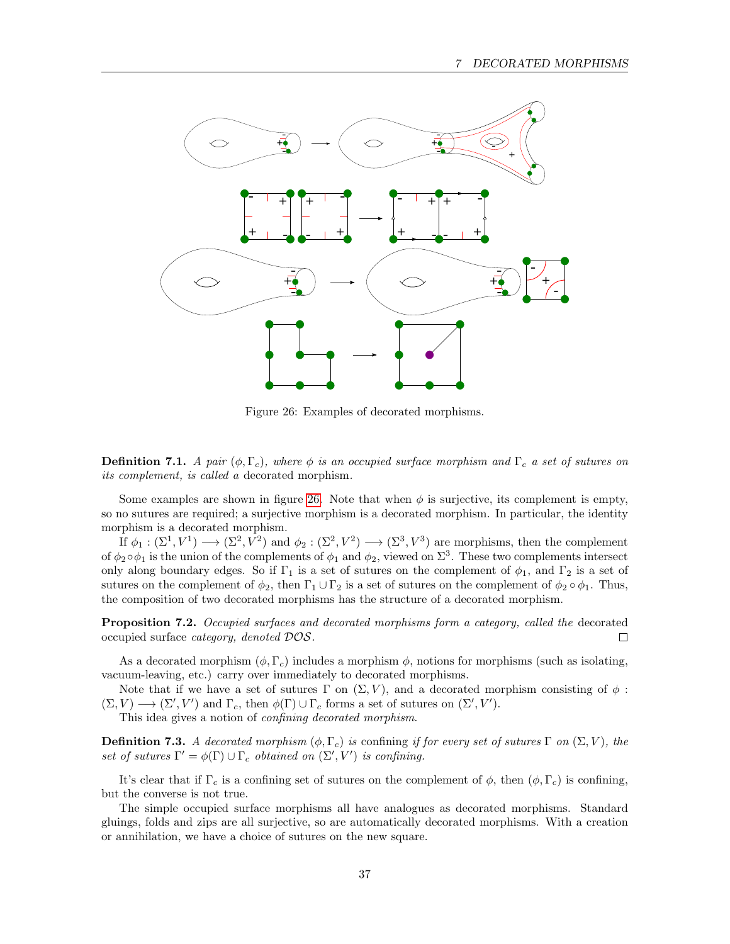

<span id="page-36-0"></span>Figure 26: Examples of decorated morphisms.

**Definition 7.1.** A pair  $(\phi, \Gamma_c)$ , where  $\phi$  is an occupied surface morphism and  $\Gamma_c$  a set of sutures on its complement, is called a decorated morphism.

Some examples are shown in figure [26.](#page-36-0) Note that when  $\phi$  is surjective, its complement is empty, so no sutures are required; a surjective morphism is a decorated morphism. In particular, the identity morphism is a decorated morphism.

If  $\phi_1 : (\Sigma^1, V^1) \longrightarrow (\Sigma^2, V^2)$  and  $\phi_2 : (\Sigma^2, V^2) \longrightarrow (\Sigma^3, V^3)$  are morphisms, then the complement of  $\phi_2 \circ \phi_1$  is the union of the complements of  $\phi_1$  and  $\phi_2$ , viewed on  $\Sigma^3$ . These two complements intersect only along boundary edges. So if  $\Gamma_1$  is a set of sutures on the complement of  $\phi_1$ , and  $\Gamma_2$  is a set of sutures on the complement of  $\phi_2$ , then  $\Gamma_1 \cup \Gamma_2$  is a set of sutures on the complement of  $\phi_2 \circ \phi_1$ . Thus, the composition of two decorated morphisms has the structure of a decorated morphism.

Proposition 7.2. Occupied surfaces and decorated morphisms form a category, called the decorated occupied surface category, denoted DOS.  $\Box$ 

As a decorated morphism  $(\phi, \Gamma_c)$  includes a morphism  $\phi$ , notions for morphisms (such as isolating, vacuum-leaving, etc.) carry over immediately to decorated morphisms.

Note that if we have a set of sutures  $\Gamma$  on  $(\Sigma, V)$ , and a decorated morphism consisting of  $\phi$ :  $(\Sigma, V) \longrightarrow (\Sigma', V')$  and  $\Gamma_c$ , then  $\phi(\Gamma) \cup \Gamma_c$  forms a set of sutures on  $(\Sigma', V')$ .

This idea gives a notion of confining decorated morphism.

**Definition 7.3.** A decorated morphism  $(\phi, \Gamma_c)$  is confining if for every set of sutures  $\Gamma$  on  $(\Sigma, V)$ , the set of sutures  $\Gamma' = \phi(\Gamma) \cup \Gamma_c$  obtained on  $(\Sigma', V')$  is confining.

It's clear that if  $\Gamma_c$  is a confining set of sutures on the complement of  $\phi$ , then  $(\phi, \Gamma_c)$  is confining, but the converse is not true.

<span id="page-36-1"></span>The simple occupied surface morphisms all have analogues as decorated morphisms. Standard gluings, folds and zips are all surjective, so are automatically decorated morphisms. With a creation or annihilation, we have a choice of sutures on the new square.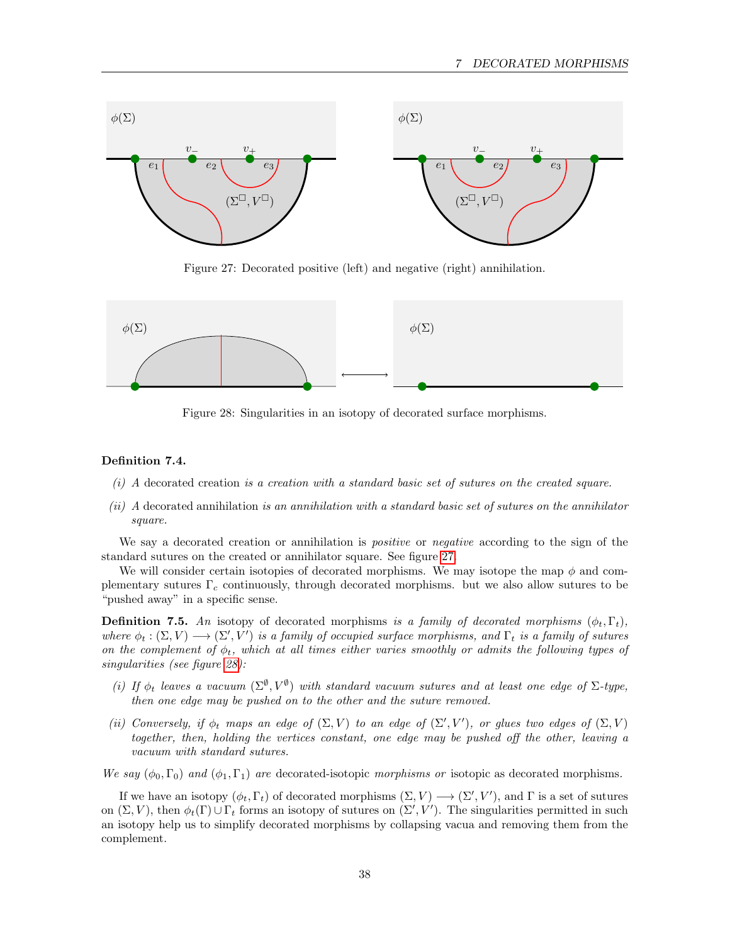

<span id="page-37-0"></span>Figure 27: Decorated positive (left) and negative (right) annihilation.



<span id="page-37-1"></span>Figure 28: Singularities in an isotopy of decorated surface morphisms.

### Definition 7.4.

- (i) A decorated creation is a creation with a standard basic set of sutures on the created square.
- (ii) A decorated annihilation is an annihilation with a standard basic set of sutures on the annihilator square.

We say a decorated creation or annihilation is *positive* or *negative* according to the sign of the standard sutures on the created or annihilator square. See figure [27.](#page-37-0)

We will consider certain isotopies of decorated morphisms. We may isotope the map  $\phi$  and complementary sutures  $\Gamma_c$  continuously, through decorated morphisms. but we also allow sutures to be "pushed away" in a specific sense.

<span id="page-37-2"></span>**Definition 7.5.** An isotopy of decorated morphisms is a family of decorated morphisms  $(\phi_t, \Gamma_t)$ , where  $\phi_t : (\Sigma, V) \longrightarrow (\Sigma', V')$  is a family of occupied surface morphisms, and  $\Gamma_t$  is a family of sutures on the complement of  $\phi_t$ , which at all times either varies smoothly or admits the following types of singularities (see figure [28\)](#page-37-1):

- (i) If  $\phi_t$  leaves a vacuum  $(\Sigma^{\emptyset}, V^{\emptyset})$  with standard vacuum sutures and at least one edge of  $\Sigma$ -type, then one edge may be pushed on to the other and the suture removed.
- (ii) Conversely, if  $\phi_t$  maps an edge of  $(\Sigma, V)$  to an edge of  $(\Sigma', V')$ , or glues two edges of  $(\Sigma, V)$ together, then, holding the vertices constant, one edge may be pushed off the other, leaving a vacuum with standard sutures.

We say  $(\phi_0, \Gamma_0)$  and  $(\phi_1, \Gamma_1)$  are decorated-isotopic morphisms or isotopic as decorated morphisms.

If we have an isotopy  $(\phi_t, \Gamma_t)$  of decorated morphisms  $(\Sigma, V) \longrightarrow (\Sigma', V')$ , and  $\Gamma$  is a set of sutures on  $(\Sigma, V)$ , then  $\phi_t(\Gamma) \cup \Gamma_t$  forms an isotopy of sutures on  $(\Sigma', V')$ . The singularities permitted in such an isotopy help us to simplify decorated morphisms by collapsing vacua and removing them from the complement.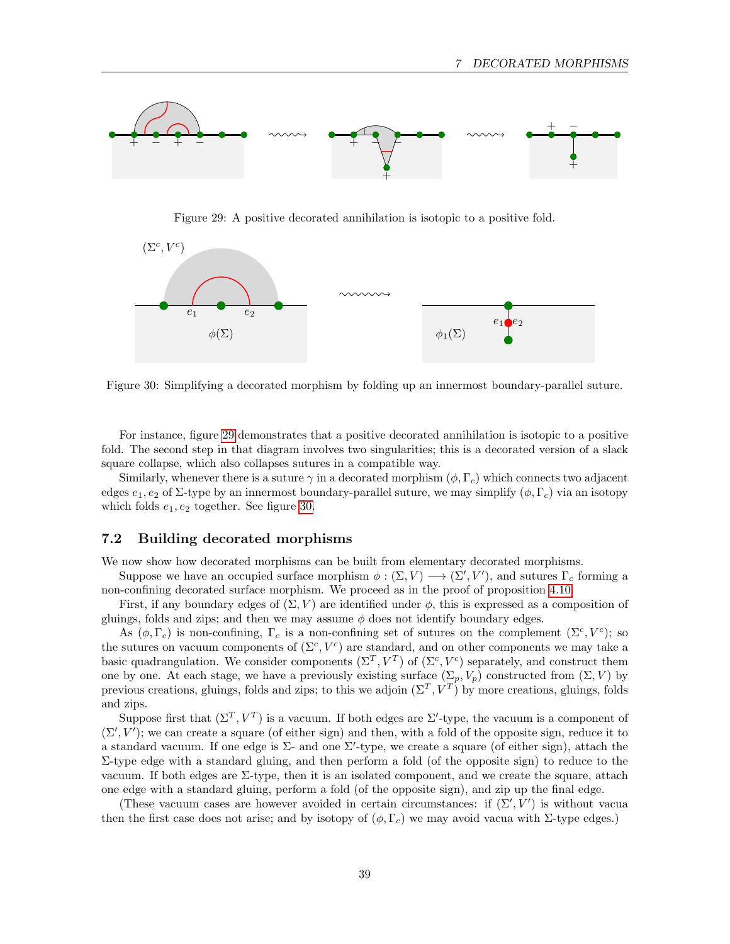

<span id="page-38-1"></span>Figure 29: A positive decorated annihilation is isotopic to a positive fold.



<span id="page-38-2"></span>Figure 30: Simplifying a decorated morphism by folding up an innermost boundary-parallel suture.

For instance, figure [29](#page-38-1) demonstrates that a positive decorated annihilation is isotopic to a positive fold. The second step in that diagram involves two singularities; this is a decorated version of a slack square collapse, which also collapses sutures in a compatible way.

Similarly, whenever there is a suture  $\gamma$  in a decorated morphism  $(\phi, \Gamma_c)$  which connects two adjacent edges  $e_1, e_2$  of  $\Sigma$ -type by an innermost boundary-parallel suture, we may simplify  $(\phi, \Gamma_c)$  via an isotopy which folds  $e_1, e_2$  together. See figure [30.](#page-38-2)

#### <span id="page-38-0"></span>7.2 Building decorated morphisms

We now show how decorated morphisms can be built from elementary decorated morphisms.

Suppose we have an occupied surface morphism  $\phi : (\Sigma, V) \longrightarrow (\Sigma', V')$ , and sutures  $\Gamma_c$  forming a non-confining decorated surface morphism. We proceed as in the proof of proposition [4.10.](#page-21-1)

First, if any boundary edges of  $(\Sigma, V)$  are identified under  $\phi$ , this is expressed as a composition of gluings, folds and zips; and then we may assume  $\phi$  does not identify boundary edges.

As  $(\phi, \Gamma_c)$  is non-confining,  $\Gamma_c$  is a non-confining set of sutures on the complement  $(\Sigma^c, V^c)$ ; so the sutures on vacuum components of  $(\Sigma^c, V^c)$  are standard, and on other components we may take a basic quadrangulation. We consider components  $(\Sigma^T, V^T)$  of  $(\Sigma^c, V^c)$  separately, and construct them one by one. At each stage, we have a previously existing surface  $(\Sigma_p, V_p)$  constructed from  $(\Sigma, V)$  by previous creations, gluings, folds and zips; to this we adjoin  $(\Sigma^T, V^T)$  by more creations, gluings, folds and zips.

Suppose first that  $(\Sigma^T, V^T)$  is a vacuum. If both edges are  $\Sigma'$ -type, the vacuum is a component of  $(\Sigma', V')$ ; we can create a square (of either sign) and then, with a fold of the opposite sign, reduce it to a standard vacuum. If one edge is  $\Sigma$ - and one  $\Sigma'$ -type, we create a square (of either sign), attach the Σ-type edge with a standard gluing, and then perform a fold (of the opposite sign) to reduce to the vacuum. If both edges are  $\Sigma$ -type, then it is an isolated component, and we create the square, attach one edge with a standard gluing, perform a fold (of the opposite sign), and zip up the final edge.

(These vacuum cases are however avoided in certain circumstances: if  $(\Sigma', V')$  is without vacua then the first case does not arise; and by isotopy of  $(\phi, \Gamma_c)$  we may avoid vacua with Σ-type edges.)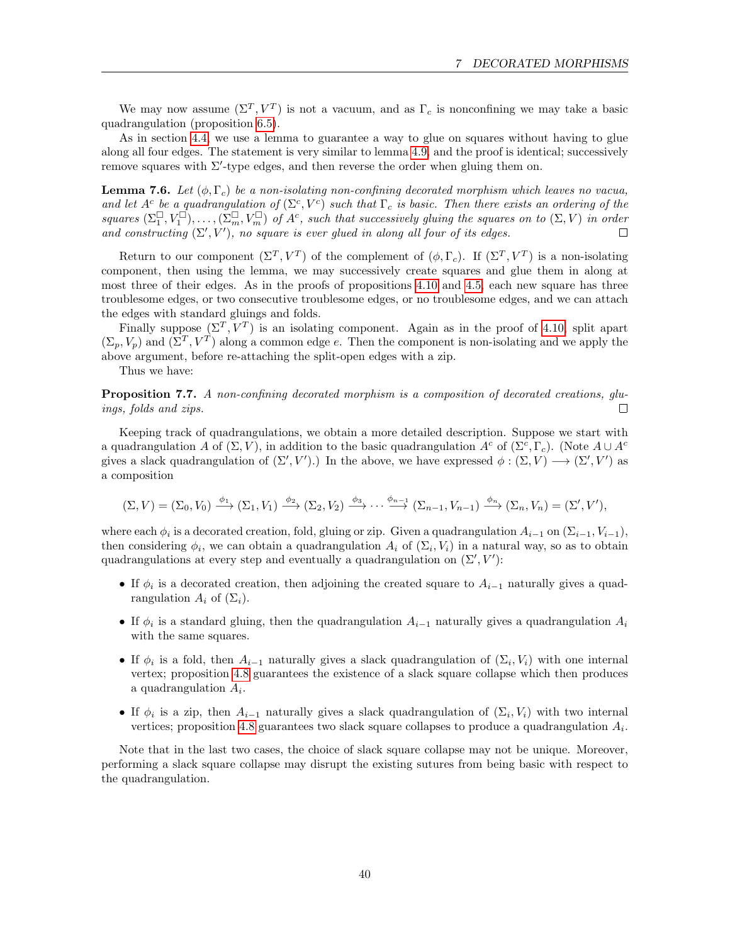We may now assume  $(\Sigma^T, V^T)$  is not a vacuum, and as  $\Gamma_c$  is nonconfining we may take a basic quadrangulation (proposition [6.5\)](#page-32-2).

As in section [4.4,](#page-20-0) we use a lemma to guarantee a way to glue on squares without having to glue along all four edges. The statement is very similar to lemma [4.9,](#page-20-3) and the proof is identical; successively remove squares with  $\Sigma'$ -type edges, and then reverse the order when gluing them on.

**Lemma 7.6.** Let  $(\phi, \Gamma_c)$  be a non-isolating non-confining decorated morphism which leaves no vacua, and let  $A^c$  be a quadrangulation of  $(\Sigma^c, V^c)$  such that  $\Gamma_c$  is basic. Then there exists an ordering of the squares  $(\Sigma_1^{\square}, V_1^{\square}), \ldots, (\Sigma_m^{\square}, V_m^{\square})$  of  $A^c$ , such that successively gluing the squares on to  $(\Sigma, V)$  in order and constructing  $(\Sigma', V')$ , no square is ever glued in along all four of its edges.  $\Box$ 

Return to our component  $(\Sigma^T, V^T)$  of the complement of  $(\phi, \Gamma_c)$ . If  $(\Sigma^T, V^T)$  is a non-isolating component, then using the lemma, we may successively create squares and glue them in along at most three of their edges. As in the proofs of propositions [4.10](#page-21-1) and [4.5,](#page-18-2) each new square has three troublesome edges, or two consecutive troublesome edges, or no troublesome edges, and we can attach the edges with standard gluings and folds.

Finally suppose  $(\Sigma^T, V^T)$  is an isolating component. Again as in the proof of [4.10,](#page-21-1) split apart  $(\Sigma_p, V_p)$  and  $(\Sigma^T, V^T)$  along a common edge e. Then the component is non-isolating and we apply the above argument, before re-attaching the split-open edges with a zip.

Thus we have:

<span id="page-39-0"></span>Proposition 7.7. A non-confining decorated morphism is a composition of decorated creations, gluings, folds and zips.  $\Box$ 

Keeping track of quadrangulations, we obtain a more detailed description. Suppose we start with a quadrangulation A of  $(\Sigma, V)$ , in addition to the basic quadrangulation  $A^c$  of  $(\Sigma^c, \Gamma_c)$ . (Note  $A \cup A^c$ gives a slack quadrangulation of  $(\Sigma', V')$ .) In the above, we have expressed  $\phi : (\Sigma, V) \longrightarrow (\Sigma', V')$  as a composition

$$
(\Sigma, V) = (\Sigma_0, V_0) \xrightarrow{\phi_1} (\Sigma_1, V_1) \xrightarrow{\phi_2} (\Sigma_2, V_2) \xrightarrow{\phi_3} \cdots \xrightarrow{\phi_{n-1}} (\Sigma_{n-1}, V_{n-1}) \xrightarrow{\phi_n} (\Sigma_n, V_n) = (\Sigma', V'),
$$

where each  $\phi_i$  is a decorated creation, fold, gluing or zip. Given a quadrangulation  $A_{i-1}$  on  $(\Sigma_{i-1}, V_{i-1})$ , then considering  $\phi_i$ , we can obtain a quadrangulation  $A_i$  of  $(\Sigma_i, V_i)$  in a natural way, so as to obtain quadrangulations at every step and eventually a quadrangulation on  $(\Sigma', V')$ :

- If  $\phi_i$  is a decorated creation, then adjoining the created square to  $A_{i-1}$  naturally gives a quadrangulation  $A_i$  of  $(\Sigma_i)$ .
- If  $\phi_i$  is a standard gluing, then the quadrangulation  $A_{i-1}$  naturally gives a quadrangulation  $A_i$ with the same squares.
- If  $\phi_i$  is a fold, then  $A_{i-1}$  naturally gives a slack quadrangulation of  $(\Sigma_i, V_i)$  with one internal vertex; proposition [4.8](#page-20-4) guarantees the existence of a slack square collapse which then produces a quadrangulation  $A_i$ .
- If  $\phi_i$  is a zip, then  $A_{i-1}$  naturally gives a slack quadrangulation of  $(\Sigma_i, V_i)$  with two internal vertices; proposition [4.8](#page-20-4) guarantees two slack square collapses to produce a quadrangulation  $A_i$ .

Note that in the last two cases, the choice of slack square collapse may not be unique. Moreover, performing a slack square collapse may disrupt the existing sutures from being basic with respect to the quadrangulation.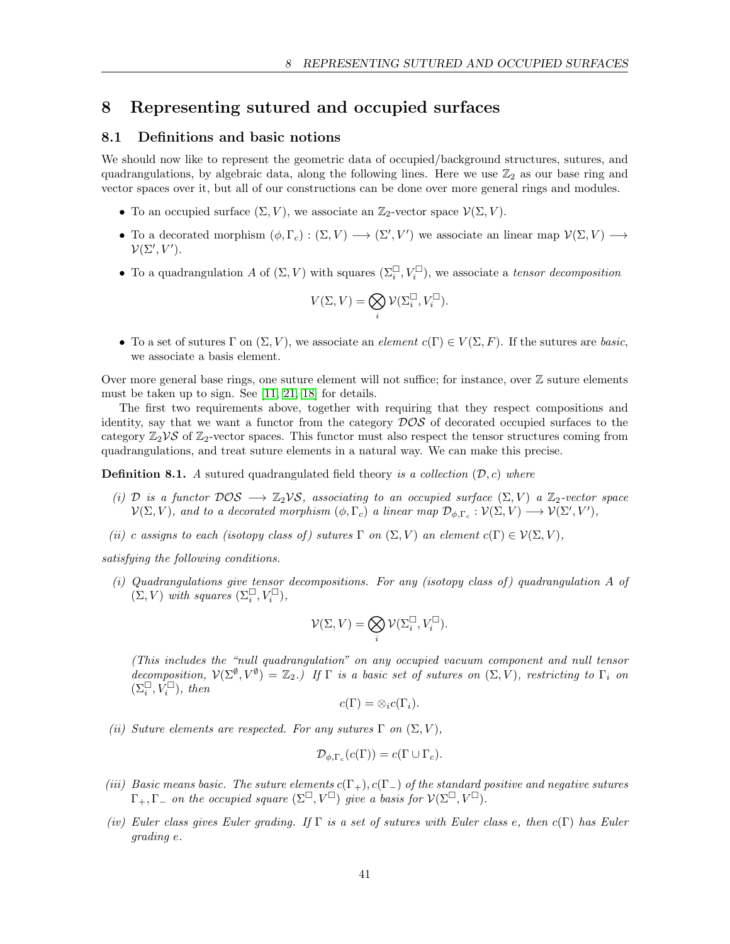## <span id="page-40-0"></span>8 Representing sutured and occupied surfaces

## <span id="page-40-1"></span>8.1 Definitions and basic notions

We should now like to represent the geometric data of occupied/background structures, sutures, and quadrangulations, by algebraic data, along the following lines. Here we use  $\mathbb{Z}_2$  as our base ring and vector spaces over it, but all of our constructions can be done over more general rings and modules.

- To an occupied surface  $(\Sigma, V)$ , we associate an  $\mathbb{Z}_2$ -vector space  $\mathcal{V}(\Sigma, V)$ .
- To a decorated morphism  $(\phi, \Gamma_c) : (\Sigma, V) \longrightarrow (\Sigma', V')$  we associate an linear map  $\mathcal{V}(\Sigma, V) \longrightarrow$  $\mathcal{V}(\Sigma', V').$
- To a quadrangulation A of  $(\Sigma, V)$  with squares  $(\Sigma_i^{\square}, V_i^{\square})$ , we associate a tensor decomposition

$$
V(\Sigma,V)=\bigotimes_i\mathcal{V}(\Sigma_i^\square,V_i^\square).
$$

• To a set of sutures  $\Gamma$  on  $(\Sigma, V)$ , we associate an *element*  $c(\Gamma) \in V(\Sigma, F)$ . If the sutures are basic, we associate a basis element.

Over more general base rings, one suture element will not suffice; for instance, over  $\mathbb Z$  suture elements must be taken up to sign. See [\[11,](#page-52-1) [21,](#page-53-2) [18\]](#page-53-13) for details.

The first two requirements above, together with requiring that they respect compositions and identity, say that we want a functor from the category  $DOS$  of decorated occupied surfaces to the category  $\mathbb{Z}_2\mathcal{V}\mathcal{S}$  of  $\mathbb{Z}_2$ -vector spaces. This functor must also respect the tensor structures coming from quadrangulations, and treat suture elements in a natural way. We can make this precise.

<span id="page-40-2"></span>**Definition 8.1.** A sutured quadrangulated field theory is a collection  $(D, c)$  where

- (i) D is a functor  $DOS \longrightarrow \mathbb{Z}_2VS$ , associating to an occupied surface  $(\Sigma, V)$  a  $\mathbb{Z}_2$ -vector space  $\mathcal{V}(\Sigma, V)$ , and to a decorated morphism  $(\phi, \Gamma_c)$  a linear map  $\mathcal{D}_{\phi, \Gamma_c} : \mathcal{V}(\Sigma, V) \longrightarrow \mathcal{V}(\Sigma', V'),$
- (ii) c assigns to each (isotopy class of) sutures  $\Gamma$  on  $(\Sigma, V)$  an element  $c(\Gamma) \in V(\Sigma, V)$ ,

satisfying the following conditions.

(i) Quadrangulations give tensor decompositions. For any (isotopy class of) quadrangulation A of  $(\Sigma, V)$  with squares  $(\Sigma_i^{\square}, V_i^{\square}),$ 

$$
\mathcal{V}(\Sigma,V)=\bigotimes_i\mathcal{V}(\Sigma_i^\square,V_i^\square).
$$

(This includes the "null quadrangulation" on any occupied vacuum component and null tensor decomposition,  $V(\Sigma^{\emptyset}, V^{\emptyset}) = \mathbb{Z}_2$ .) If  $\Gamma$  is a basic set of sutures on  $(\Sigma, V)$ , restricting to  $\Gamma_i$  on  $(\Sigma_i^{\square}, \tilde{V}_i^{\square}), \text{ then}$ 

$$
c(\Gamma)=\otimes_i c(\Gamma_i).
$$

(ii) Suture elements are respected. For any sutures  $\Gamma$  on  $(\Sigma, V)$ ,

$$
\mathcal{D}_{\phi,\Gamma_c}(c(\Gamma)) = c(\Gamma \cup \Gamma_c).
$$

- (iii) Basic means basic. The suture elements  $c(\Gamma_+), c(\Gamma_-)$  of the standard positive and negative sutures  $\Gamma_+$ ,  $\Gamma_-$  on the occupied square  $(\Sigma^\square, V^\square)$  give a basis for  $\mathcal{V}(\Sigma^\square, V^\square)$ .
- (iv) Euler class gives Euler grading. If  $\Gamma$  is a set of sutures with Euler class e, then c( $\Gamma$ ) has Euler grading e.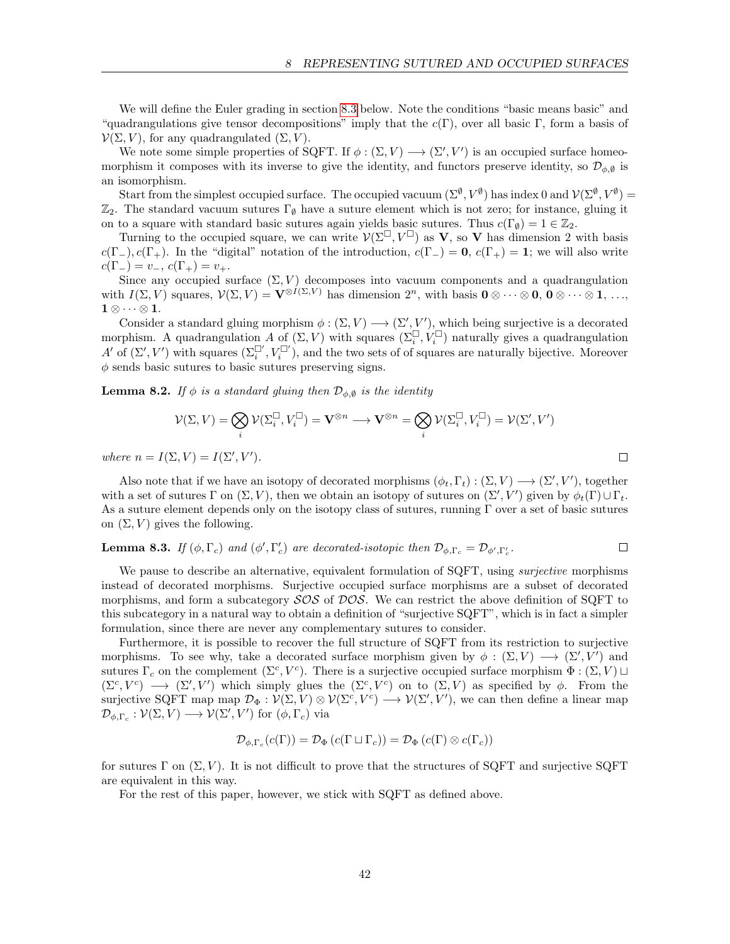We will define the Euler grading in section [8.3](#page-43-0) below. Note the conditions "basic means basic" and "quadrangulations give tensor decompositions" imply that the  $c(\Gamma)$ , over all basic Γ, form a basis of  $\mathcal{V}(\Sigma, V)$ , for any quadrangulated  $(\Sigma, V)$ .

We note some simple properties of SQFT. If  $\phi : (\Sigma, V) \longrightarrow (\Sigma', V')$  is an occupied surface homeomorphism it composes with its inverse to give the identity, and functors preserve identity, so  $\mathcal{D}_{\phi, \theta}$  is an isomorphism.

Start from the simplest occupied surface. The occupied vacuum  $(\Sigma^{\emptyset}, V^{\emptyset})$  has index 0 and  $\mathcal{V}(\Sigma^{\emptyset}, V^{\emptyset}) =$  $\mathbb{Z}_2$ . The standard vacuum sutures  $\Gamma_{\emptyset}$  have a suture element which is not zero; for instance, gluing it on to a square with standard basic sutures again yields basic sutures. Thus  $c(\Gamma_{\emptyset}) = 1 \in \mathbb{Z}_2$ .

Turning to the occupied square, we can write  $V(\Sigma^{\square}, V^{\square})$  as **V**, so **V** has dimension 2 with basis  $c(\Gamma_{-}), c(\Gamma_{+})$ . In the "digital" notation of the introduction,  $c(\Gamma_{-}) = 0$ ,  $c(\Gamma_{+}) = 1$ ; we will also write  $c(\Gamma_{-}) = v_{-}, c(\Gamma_{+}) = v_{+}.$ 

Since any occupied surface  $(\Sigma, V)$  decomposes into vacuum components and a quadrangulation with  $I(\Sigma, V)$  squares,  $\mathcal{V}(\Sigma, V) = \mathbf{V}^{\otimes I(\Sigma, V)}$  has dimension  $2^n$ , with basis  $\mathbf{0} \otimes \cdots \otimes \mathbf{0}$ ,  $\mathbf{0} \otimes \cdots \otimes \mathbf{1}$ , ...,  $\mathbf{1} \otimes \cdots \otimes \mathbf{1}.$ 

Consider a standard gluing morphism  $\phi : (\Sigma, V) \longrightarrow (\Sigma', V')$ , which being surjective is a decorated morphism. A quadrangulation A of  $(\Sigma, V)$  with squares  $(\Sigma_i^{\square}, V_i^{\square})$  naturally gives a quadrangulation A' of  $(\Sigma', V')$  with squares  $(\Sigma_i^{\square'}, V_i^{\square'})$ , and the two sets of of squares are naturally bijective. Moreover  $\phi$  sends basic sutures to basic sutures preserving signs.

<span id="page-41-0"></span>**Lemma 8.2.** If  $\phi$  is a standard gluing then  $\mathcal{D}_{\phi,\emptyset}$  is the identity

$$
\mathcal{V}(\Sigma,V) = \bigotimes_i \mathcal{V}(\Sigma_i^\square, V_i^\square) = \mathbf{V}^{\otimes n} \longrightarrow \mathbf{V}^{\otimes n} = \bigotimes_i \mathcal{V}(\Sigma_i^\square, V_i^\square) = \mathcal{V}(\Sigma',V')
$$

 $\Box$ 

where  $n = I(\Sigma, V) = I(\Sigma', V').$ 

Also note that if we have an isotopy of decorated morphisms  $(\phi_t, \Gamma_t) : (\Sigma, V) \longrightarrow (\Sigma', V')$ , together with a set of sutures  $\Gamma$  on  $(\Sigma, V)$ , then we obtain an isotopy of sutures on  $(\Sigma', V')$  given by  $\phi_t(\Gamma) \cup \Gamma_t$ . As a suture element depends only on the isotopy class of sutures, running  $\Gamma$  over a set of basic sutures on  $(\Sigma, V)$  gives the following.

#### <span id="page-41-1"></span>**Lemma 8.3.** If  $(\phi, \Gamma_c)$  and  $(\phi', \Gamma'_c)$  are decorated-isotopic then  $\mathcal{D}_{\phi, \Gamma_c} = \mathcal{D}_{\phi', \Gamma'_c}$ .  $\Box$

We pause to describe an alternative, equivalent formulation of SQFT, using *surjective* morphisms instead of decorated morphisms. Surjective occupied surface morphisms are a subset of decorated morphisms, and form a subcategory  $\mathcal{SOS}$  of  $\mathcal{DOS}$ . We can restrict the above definition of SQFT to this subcategory in a natural way to obtain a definition of "surjective SQFT", which is in fact a simpler formulation, since there are never any complementary sutures to consider.

Furthermore, it is possible to recover the full structure of SQFT from its restriction to surjective morphisms. To see why, take a decorated surface morphism given by  $\phi : (\Sigma, V) \longrightarrow (\Sigma', V')$  and sutures  $\Gamma_c$  on the complement  $(\Sigma^c, V^c)$ . There is a surjective occupied surface morphism  $\Phi : (\Sigma, V) \sqcup$  $(\Sigma^c, V^c) \longrightarrow (\Sigma', V')$  which simply glues the  $(\Sigma^c, V^c)$  on to  $(\Sigma, V)$  as specified by  $\phi$ . From the surjective SQFT map map  $\mathcal{D}_{\Phi}: \mathcal{V}(\Sigma, V) \otimes \mathcal{V}(\Sigma^c, V^c) \longrightarrow \mathcal{V}(\Sigma', V')$ , we can then define a linear map  $\mathcal{D}_{\phi,\Gamma_c} : \mathcal{V}(\Sigma,V) \longrightarrow \mathcal{V}(\Sigma',V')$  for  $(\phi,\Gamma_c)$  via

$$
\mathcal{D}_{\phi,\Gamma_c}(c(\Gamma)) = \mathcal{D}_{\Phi}(c(\Gamma \sqcup \Gamma_c)) = \mathcal{D}_{\Phi}(c(\Gamma) \otimes c(\Gamma_c))
$$

for sutures  $\Gamma$  on  $(\Sigma, V)$ . It is not difficult to prove that the structures of SQFT and surjective SQFT are equivalent in this way.

For the rest of this paper, however, we stick with SQFT as defined above.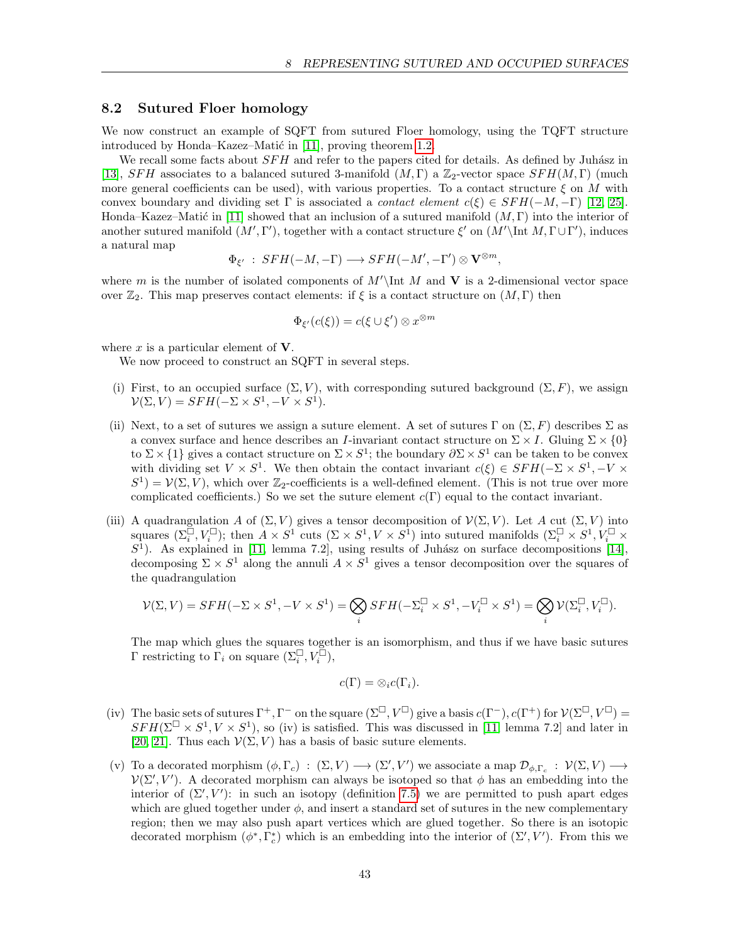### <span id="page-42-0"></span>8.2 Sutured Floer homology

We now construct an example of SQFT from sutured Floer homology, using the TQFT structure introduced by Honda–Kazez–Matić in  $[11]$ , proving theorem [1.2.](#page-2-2)

We recall some facts about  $SFH$  and refer to the papers cited for details. As defined by Juhász in [\[13\]](#page-52-11), SFH associates to a balanced sutured 3-manifold  $(M, \Gamma)$  a  $\mathbb{Z}_2$ -vector space  $SFH(M, \Gamma)$  (much more general coefficients can be used), with various properties. To a contact structure  $\xi$  on M with convex boundary and dividing set  $\Gamma$  is associated a *contact element*  $c(\xi) \in SFH(-M, -\Gamma)$  [\[12,](#page-52-12) [25\]](#page-53-14). Honda–Kazez–Matić in [\[11\]](#page-52-1) showed that an inclusion of a sutured manifold  $(M, \Gamma)$  into the interior of another sutured manifold  $(M', \Gamma')$ , together with a contact structure  $\xi'$  on  $(M'\int M, \Gamma \cup \Gamma')$ , induces a natural map

$$
\Phi_{\xi'} \; : \; SFH(-M,-\Gamma) \longrightarrow SFH(-M',-\Gamma') \otimes \mathbf{V}^{\otimes m},
$$

where m is the number of isolated components of  $M'$  Int M and V is a 2-dimensional vector space over  $\mathbb{Z}_2$ . This map preserves contact elements: if  $\xi$  is a contact structure on  $(M, \Gamma)$  then

$$
\Phi_{\xi'}(c(\xi)) = c(\xi \cup \xi') \otimes x^{\otimes m}
$$

where  $x$  is a particular element of  $V$ .

We now proceed to construct an SQFT in several steps.

- (i) First, to an occupied surface  $(\Sigma, V)$ , with corresponding sutured background  $(\Sigma, F)$ , we assign  $\mathcal{V}(\Sigma, V) = SFH(-\Sigma \times S^1, -V \times S^1).$
- (ii) Next, to a set of sutures we assign a suture element. A set of sutures Γ on  $(\Sigma, F)$  describes  $\Sigma$  as a convex surface and hence describes an *I*-invariant contact structure on  $\Sigma \times I$ . Gluing  $\Sigma \times \{0\}$ to  $\Sigma \times \{1\}$  gives a contact structure on  $\Sigma \times S^1$ ; the boundary  $\partial \Sigma \times S^1$  can be taken to be convex with dividing set  $V \times S^1$ . We then obtain the contact invariant  $c(\xi) \in SFH(-\Sigma \times S^1, -V \times S^1)$  $S^1$ ) =  $\mathcal{V}(\Sigma, V)$ , which over  $\mathbb{Z}_2$ -coefficients is a well-defined element. (This is not true over more complicated coefficients.) So we set the suture element  $c(\Gamma)$  equal to the contact invariant.
- (iii) A quadrangulation A of  $(\Sigma, V)$  gives a tensor decomposition of  $\mathcal{V}(\Sigma, V)$ . Let A cut  $(\Sigma, V)$  into squares  $(\Sigma_i^{\square}, V_i^{\square})$ ; then  $A \times S^1$  cuts  $(\Sigma \times S^1, V \times S^1)$  into sutured manifolds  $(\Sigma_i^{\square} \times S^1, V_i^{\square} \times S^1)$  $S<sup>1</sup>$ ). As explained in [\[11,](#page-52-1) lemma 7.2], using results of Juhász on surface decompositions [\[14\]](#page-52-13), decomposing  $\Sigma \times S^1$  along the annuli  $A \times S^1$  gives a tensor decomposition over the squares of the quadrangulation

$$
\mathcal{V}(\Sigma,V)=SFH(-\Sigma\times S^1,-V\times S^1)=\bigotimes_i SFH(-\Sigma_i^{\square}\times S^1,-V_i^{\square}\times S^1)=\bigotimes_i \mathcal{V}(\Sigma_i^{\square},V_i^{\square}).
$$

The map which glues the squares together is an isomorphism, and thus if we have basic sutures  $\Gamma$  restricting to  $\Gamma_i$  on square  $(\Sigma_i^{\square}, V_i^{\square}),$ 

$$
c(\Gamma)=\otimes_i c(\Gamma_i).
$$

- (iv) The basic sets of sutures  $\Gamma^+$ ,  $\Gamma^-$  on the square  $(\Sigma^\square, V^\square)$  give a basis  $c(\Gamma^-)$ ,  $c(\Gamma^+)$  for  $\mathcal{V}(\Sigma^\square, V^\square)$  =  $SFH(\Sigma^{\square} \times S^1, V \times S^1)$ , so (iv) is satisfied. This was discussed in [\[11,](#page-52-1) lemma 7.2] and later in [\[20,](#page-53-1) [21\]](#page-53-2). Thus each  $\mathcal{V}(\Sigma, V)$  has a basis of basic suture elements.
- (v) To a decorated morphism  $(\phi, \Gamma_c) : (\Sigma, V) \longrightarrow (\Sigma', V')$  we associate a map  $\mathcal{D}_{\phi, \Gamma_c} : \mathcal{V}(\Sigma, V) \longrightarrow$  $\mathcal{V}(\Sigma', V')$ . A decorated morphism can always be isotoped so that  $\phi$  has an embedding into the interior of  $(\Sigma', V')$ : in such an isotopy (definition [7.5\)](#page-37-2) we are permitted to push apart edges which are glued together under  $\phi$ , and insert a standard set of sutures in the new complementary region; then we may also push apart vertices which are glued together. So there is an isotopic decorated morphism  $(\phi^*, \Gamma_c^*)$  which is an embedding into the interior of  $(\Sigma', V')$ . From this we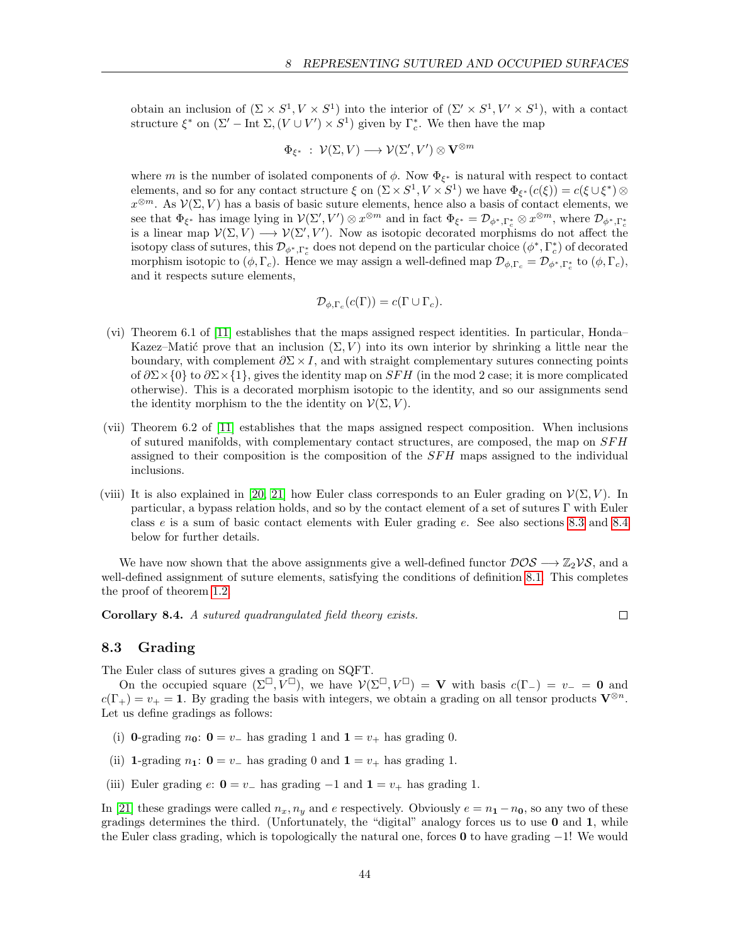obtain an inclusion of  $(\Sigma \times S^1, V \times S^1)$  into the interior of  $(\Sigma' \times S^1, V' \times S^1)$ , with a contact structure  $\xi^*$  on  $(\Sigma'-$  Int  $\Sigma,(V \cup V') \times S^1)$  given by  $\Gamma_c^*$ . We then have the map

$$
\Phi_{\xi^*} \; : \; \mathcal{V}(\Sigma, V) \longrightarrow \mathcal{V}(\Sigma', V') \otimes \mathbf{V}^{\otimes m}
$$

where m is the number of isolated components of  $\phi$ . Now  $\Phi_{\xi^*}$  is natural with respect to contact elements, and so for any contact structure  $\xi$  on  $(\Sigma \times S^1, V \times S^1)$  we have  $\Phi_{\xi^*}(c(\xi)) = c(\xi \cup \xi^*) \otimes$  $x^{\otimes m}$ . As  $\mathcal{V}(\Sigma, V)$  has a basis of basic suture elements, hence also a basis of contact elements, we see that  $\Phi_{\xi^*}$  has image lying in  $\mathcal{V}(\Sigma', V') \otimes x^{\otimes m}$  and in fact  $\Phi_{\xi^*} = \mathcal{D}_{\phi^*, \Gamma_c^*} \otimes x^{\otimes m}$ , where  $\mathcal{D}_{\phi^*, \Gamma_c^*}$ is a linear map  $\mathcal{V}(\Sigma, V) \longrightarrow \mathcal{V}(\Sigma', V')$ . Now as isotopic decorated morphisms do not affect the isotopy class of sutures, this  $\mathcal{D}_{\phi^*,\Gamma_c^*}$  does not depend on the particular choice  $(\phi^*,\Gamma_c^*)$  of decorated morphism isotopic to  $(\phi, \Gamma_c)$ . Hence we may assign a well-defined map  $\mathcal{D}_{\phi, \Gamma_c} = \mathcal{D}_{\phi^*, \Gamma_c^*}$  to  $(\phi, \Gamma_c)$ , and it respects suture elements,

$$
\mathcal{D}_{\phi,\Gamma_c}(c(\Gamma)) = c(\Gamma \cup \Gamma_c).
$$

- (vi) Theorem 6.1 of [\[11\]](#page-52-1) establishes that the maps assigned respect identities. In particular, Honda– Kazez–Matić prove that an inclusion  $(\Sigma, V)$  into its own interior by shrinking a little near the boundary, with complement  $\partial \Sigma \times I$ , and with straight complementary sutures connecting points of  $\partial \Sigma \times \{0\}$  to  $\partial \Sigma \times \{1\}$ , gives the identity map on SFH (in the mod 2 case; it is more complicated otherwise). This is a decorated morphism isotopic to the identity, and so our assignments send the identity morphism to the the identity on  $\mathcal{V}(\Sigma, V)$ .
- (vii) Theorem 6.2 of [\[11\]](#page-52-1) establishes that the maps assigned respect composition. When inclusions of sutured manifolds, with complementary contact structures, are composed, the map on SF H assigned to their composition is the composition of the  $SFH$  maps assigned to the individual inclusions.
- (viii) It is also explained in [\[20,](#page-53-1) [21\]](#page-53-2) how Euler class corresponds to an Euler grading on  $\mathcal{V}(\Sigma, V)$ . In particular, a bypass relation holds, and so by the contact element of a set of sutures Γ with Euler class e is a sum of basic contact elements with Euler grading e. See also sections [8.3](#page-43-0) and [8.4](#page-44-0) below for further details.

We have now shown that the above assignments give a well-defined functor  $DOS \to \mathbb{Z}_2\mathcal{VS}$ , and a well-defined assignment of suture elements, satisfying the conditions of definition [8.1.](#page-40-2) This completes the proof of theorem [1.2.](#page-2-2)

Corollary 8.4. A sutured quadrangulated field theory exists.

 $\Box$ 

#### <span id="page-43-0"></span>8.3 Grading

The Euler class of sutures gives a grading on SQFT.

On the occupied square  $(\Sigma^{\square}, V^{\square})$ , we have  $V(\Sigma^{\square}, V^{\square}) = V$  with basis  $c(\Gamma_{-}) = v_{-} = 0$  and  $c(\Gamma_+) = v_+ = 1$ . By grading the basis with integers, we obtain a grading on all tensor products  $\mathbf{V}^{\otimes n}$ . Let us define gradings as follows:

- (i) 0-grading  $n_0$ :  $0 = v_-\$  has grading 1 and  $1 = v_+\$  has grading 0.
- (ii) 1-grading  $n_1: 0 = v_-\$  has grading 0 and  $1 = v_+\$  has grading 1.
- (iii) Euler grading  $e: 0 = v_-\$  has grading  $-1$  and  $1 = v_+\$  has grading 1.

In [\[21\]](#page-53-2) these gradings were called  $n_x, n_y$  and e respectively. Obviously  $e = n_1 - n_0$ , so any two of these gradings determines the third. (Unfortunately, the "digital" analogy forces us to use 0 and 1, while the Euler class grading, which is topologically the natural one, forces 0 to have grading  $-1$ ! We would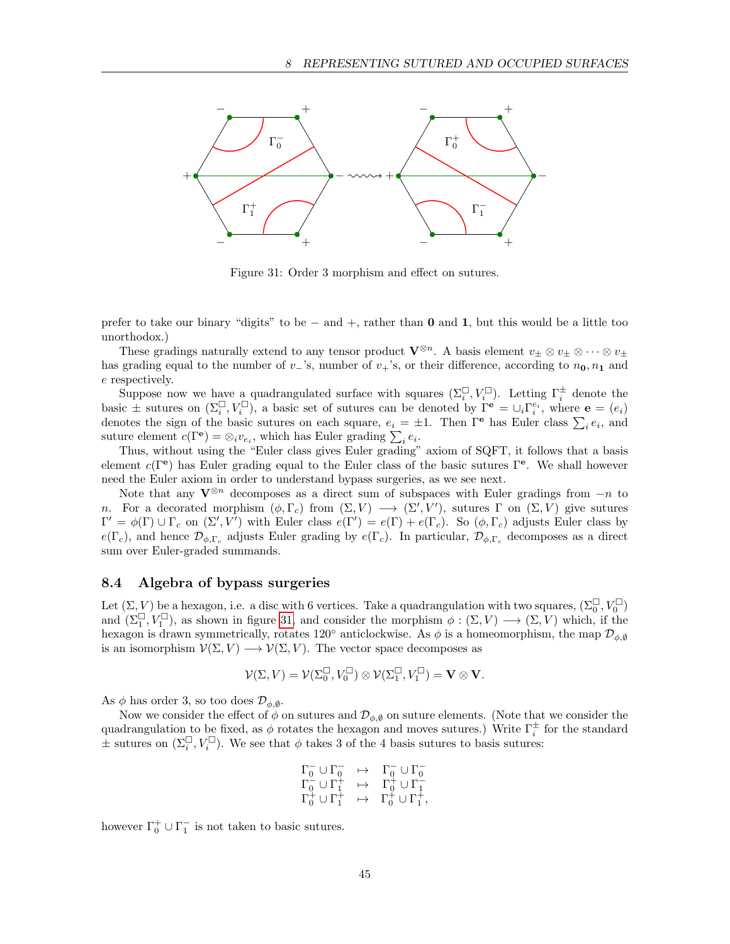

<span id="page-44-1"></span>Figure 31: Order 3 morphism and effect on sutures.

prefer to take our binary "digits" to be − and +, rather than 0 and 1, but this would be a little too unorthodox.)

These gradings naturally extend to any tensor product  $\mathbf{V}^{\otimes n}$ . A basis element  $v_{\pm} \otimes v_{\pm} \otimes \cdots \otimes v_{\pm}$ has grading equal to the number of v<sub>−</sub>'s, number of v<sub>+</sub>'s, or their difference, according to  $n_0$ ,  $n_1$  and e respectively.

Suppose now we have a quadrangulated surface with squares  $(\Sigma_i^{\square}, V_i^{\square})$ . Letting  $\Gamma_i^{\pm}$  denote the basic  $\pm$  sutures on  $(\Sigma_i^{\square}, V_i^{\square})$ , a basic set of sutures can be denoted by  $\Gamma^e = \cup_i \Gamma_i^{e_i}$ , where  $e = (e_i)$ denotes the sign of the basic sutures on each square,  $e_i = \pm 1$ . Then  $\Gamma^{\rm e}$  has Euler class  $\sum_i e_i$ , and suture element  $c(\Gamma^{\mathbf{e}}) = \otimes_i v_{e_i}$ , which has Euler grading  $\sum_i e_i$ .

Thus, without using the "Euler class gives Euler grading" axiom of SQFT, it follows that a basis element  $c(\Gamma^e)$  has Euler grading equal to the Euler class of the basic sutures  $\Gamma^e$ . We shall however need the Euler axiom in order to understand bypass surgeries, as we see next.

Note that any  $V^{\otimes n}$  decomposes as a direct sum of subspaces with Euler gradings from  $-n$  to n. For a decorated morphism  $(\phi, \Gamma_c)$  from  $(\Sigma, V) \longrightarrow (\Sigma', V')$ , sutures  $\Gamma$  on  $(\Sigma, V)$  give sutures  $\Gamma' = \phi(\Gamma) \cup \Gamma_c$  on  $(\Sigma', V')$  with Euler class  $e(\Gamma') = e(\Gamma) + e(\Gamma_c)$ . So  $(\phi, \Gamma_c)$  adjusts Euler class by  $e(\Gamma_c)$ , and hence  $\mathcal{D}_{\phi,\Gamma_c}$  adjusts Euler grading by  $e(\Gamma_c)$ . In particular,  $\mathcal{D}_{\phi,\Gamma_c}$  decomposes as a direct sum over Euler-graded summands.

#### <span id="page-44-0"></span>8.4 Algebra of bypass surgeries

Let  $(\Sigma, V)$  be a hexagon, i.e. a disc with 6 vertices. Take a quadrangulation with two squares,  $(\Sigma_0^{\square}, V_0^{\square})$ and  $(\Sigma_1^{\square}, V_1^{\square})$ , as shown in figure [31,](#page-44-1) and consider the morphism  $\phi : (\Sigma, V) \longrightarrow (\Sigma, V)$  which, if the hexagon is drawn symmetrically, rotates 120° anticlockwise. As  $\phi$  is a homeomorphism, the map  $\mathcal{D}_{\phi,\emptyset}$ is an isomorphism  $\mathcal{V}(\Sigma, V) \longrightarrow \mathcal{V}(\Sigma, V)$ . The vector space decomposes as

$$
\mathcal{V}(\Sigma,V)=\mathcal{V}(\Sigma_0^\square,V_0^\square)\otimes\mathcal{V}(\Sigma_1^\square,V_1^\square)=\mathbf{V}\otimes\mathbf{V}.
$$

As  $\phi$  has order 3, so too does  $\mathcal{D}_{\phi,\emptyset}$ .

Now we consider the effect of  $\phi$  on sutures and  $\mathcal{D}_{\phi,\emptyset}$  on suture elements. (Note that we consider the quadrangulation to be fixed, as  $\phi$  rotates the hexagon and moves sutures.) Write  $\Gamma_i^{\pm}$  for the standard  $\pm$  sutures on  $(\Sigma_i^{\square}, V_i^{\square})$ . We see that  $\phi$  takes 3 of the 4 basis sutures to basis sutures:

$$
\begin{array}{ccc}\n\Gamma_0^- \cup \Gamma_0^- & \mapsto & \Gamma_0^- \cup \Gamma_0^- \\
\Gamma_0^- \cup \Gamma_1^+ & \mapsto & \Gamma_0^+ \cup \Gamma_1^- \\
\Gamma_0^+ \cup \Gamma_1^+ & \mapsto & \Gamma_0^+ \cup \Gamma_1^+, \n\end{array}
$$

however  $\Gamma_0^+ \cup \Gamma_1^-$  is not taken to basic sutures.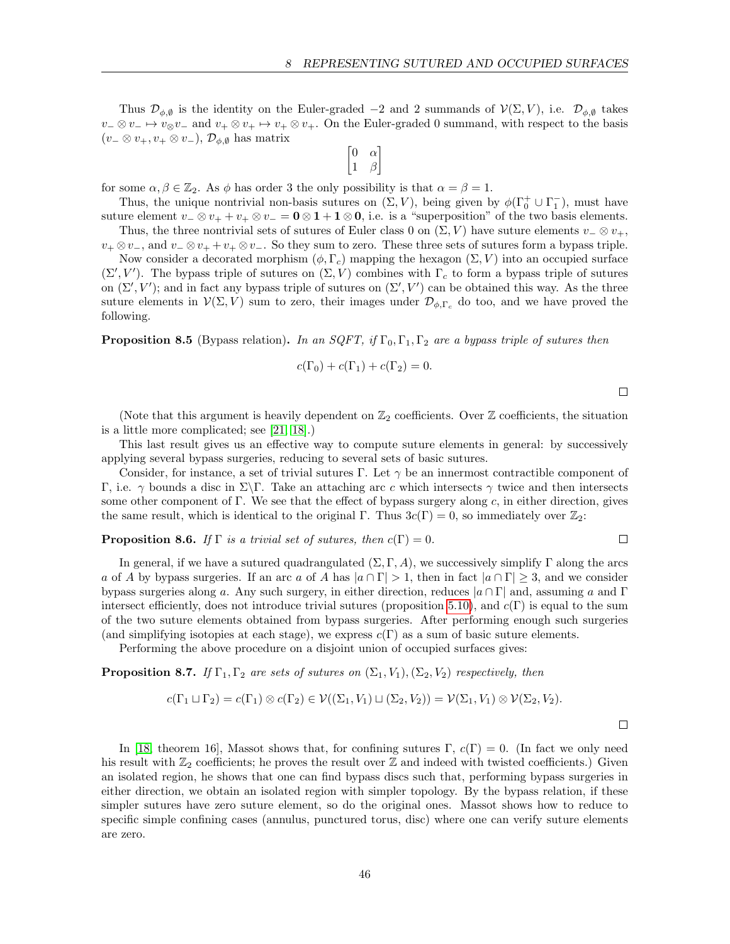Thus  $\mathcal{D}_{\phi,\emptyset}$  is the identity on the Euler-graded −2 and 2 summands of  $\mathcal{V}(\Sigma, V)$ , i.e.  $\mathcal{D}_{\phi,\emptyset}$  takes  $v_-\otimes v_-\mapsto v_\otimes v_-\text{ and }v_+\otimes v_+\mapsto v_+\otimes v_+$ . On the Euler-graded 0 summand, with respect to the basis  $(v_-\otimes v_+, v_+\otimes v_-), \mathcal{D}_{\phi,\emptyset}$  has matrix

$$
\begin{bmatrix} 0 & \alpha \\ 1 & \beta \end{bmatrix}
$$

for some  $\alpha, \beta \in \mathbb{Z}_2$ . As  $\phi$  has order 3 the only possibility is that  $\alpha = \beta = 1$ .

Thus, the unique nontrivial non-basis sutures on  $(\Sigma, V)$ , being given by  $\phi(\Gamma_0^+ \cup \Gamma_1^-)$ , must have suture element  $v_-\otimes v_+ + v_+\otimes v_-=0\otimes 1+1\otimes 0$ , i.e. is a "superposition" of the two basis elements.

Thus, the three nontrivial sets of sutures of Euler class 0 on  $(\Sigma, V)$  have suture elements  $v_-\otimes v_+$ ,  $v_+ \otimes v_-,$  and  $v_-\otimes v_+ + v_+ \otimes v_-.$  So they sum to zero. These three sets of sutures form a bypass triple.

Now consider a decorated morphism  $(\phi, \Gamma_c)$  mapping the hexagon  $(\Sigma, V)$  into an occupied surface  $(\Sigma', V')$ . The bypass triple of sutures on  $(\Sigma, V)$  combines with  $\Gamma_c$  to form a bypass triple of sutures on  $(\Sigma', V')$ ; and in fact any bypass triple of sutures on  $(\Sigma', V')$  can be obtained this way. As the three suture elements in  $\mathcal{V}(\Sigma, V)$  sum to zero, their images under  $\mathcal{D}_{\phi,\Gamma_c}$  do too, and we have proved the following.

**Proposition 8.5** (Bypass relation). In an SQFT, if  $\Gamma_0, \Gamma_1, \Gamma_2$  are a bypass triple of sutures then

$$
c(\Gamma_0) + c(\Gamma_1) + c(\Gamma_2) = 0.
$$

 $\Box$ 

 $\Box$ 

(Note that this argument is heavily dependent on  $\mathbb{Z}_2$  coefficients. Over  $\mathbb Z$  coefficients, the situation is a little more complicated; see [\[21,](#page-53-2) [18\]](#page-53-13).)

This last result gives us an effective way to compute suture elements in general: by successively applying several bypass surgeries, reducing to several sets of basic sutures.

Consider, for instance, a set of trivial sutures Γ. Let  $\gamma$  be an innermost contractible component of Γ, i.e. γ bounds a disc in Σ\Γ. Take an attaching arc c which intersects γ twice and then intersects some other component of Γ. We see that the effect of bypass surgery along  $c$ , in either direction, gives the same result, which is identical to the original Γ. Thus  $3c(\Gamma) = 0$ , so immediately over  $\mathbb{Z}_2$ :

**Proposition 8.6.** If  $\Gamma$  is a trivial set of sutures, then  $c(\Gamma) = 0$ .

In general, if we have a sutured quadrangulated  $(\Sigma, \Gamma, A)$ , we successively simplify  $\Gamma$  along the arcs a of A by bypass surgeries. If an arc a of A has  $|a \cap \Gamma| > 1$ , then in fact  $|a \cap \Gamma| \geq 3$ , and we consider bypass surgeries along a. Any such surgery, in either direction, reduces  $|a \cap \Gamma|$  and, assuming a and  $\Gamma$ intersect efficiently, does not introduce trivial sutures (proposition [5.10\)](#page-29-2), and  $c(\Gamma)$  is equal to the sum of the two suture elements obtained from bypass surgeries. After performing enough such surgeries (and simplifying isotopies at each stage), we express  $c(\Gamma)$  as a sum of basic suture elements.

Performing the above procedure on a disjoint union of occupied surfaces gives:

**Proposition 8.7.** If  $\Gamma_1, \Gamma_2$  are sets of sutures on  $(\Sigma_1, V_1), (\Sigma_2, V_2)$  respectively, then

$$
c(\Gamma_1 \sqcup \Gamma_2) = c(\Gamma_1) \otimes c(\Gamma_2) \in \mathcal{V}((\Sigma_1, V_1) \sqcup (\Sigma_2, V_2)) = \mathcal{V}(\Sigma_1, V_1) \otimes \mathcal{V}(\Sigma_2, V_2).
$$

 $\Box$ 

<span id="page-45-0"></span>In [\[18,](#page-53-13) theorem 16], Massot shows that, for confining sutures Γ,  $c(\Gamma) = 0$ . (In fact we only need his result with  $\mathbb{Z}_2$  coefficients; he proves the result over  $\mathbb Z$  and indeed with twisted coefficients.) Given an isolated region, he shows that one can find bypass discs such that, performing bypass surgeries in either direction, we obtain an isolated region with simpler topology. By the bypass relation, if these simpler sutures have zero suture element, so do the original ones. Massot shows how to reduce to specific simple confining cases (annulus, punctured torus, disc) where one can verify suture elements are zero.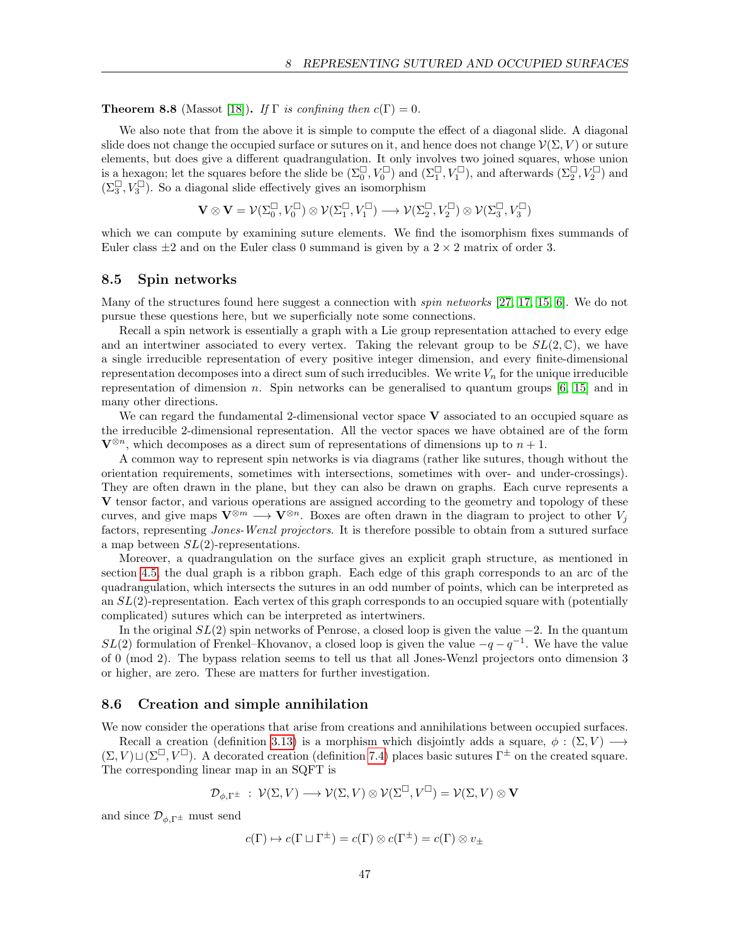**Theorem 8.8** (Massot [\[18\]](#page-53-13)). If  $\Gamma$  is confining then  $c(\Gamma) = 0$ .

We also note that from the above it is simple to compute the effect of a diagonal slide. A diagonal slide does not change the occupied surface or sutures on it, and hence does not change  $\mathcal{V}(\Sigma, V)$  or suture elements, but does give a different quadrangulation. It only involves two joined squares, whose union is a hexagon; let the squares before the slide be  $(\Sigma_0^{\square}, V_0^{\square})$  and  $(\Sigma_1^{\square}, V_1^{\square})$ , and afterwards  $(\Sigma_2^{\square}, V_2^{\square})$  and  $(\Sigma_3^{\square}, V_3^{\square})$ . So a diagonal slide effectively gives an isomorphism

$$
\mathbf{V} \otimes \mathbf{V} = \mathcal{V}(\Sigma_0^{\square}, V_0^{\square}) \otimes \mathcal{V}(\Sigma_1^{\square}, V_1^{\square}) \longrightarrow \mathcal{V}(\Sigma_2^{\square}, V_2^{\square}) \otimes \mathcal{V}(\Sigma_3^{\square}, V_3^{\square})
$$

which we can compute by examining suture elements. We find the isomorphism fixes summands of Euler class  $\pm 2$  and on the Euler class 0 summand is given by a  $2 \times 2$  matrix of order 3.

#### <span id="page-46-0"></span>8.5 Spin networks

Many of the structures found here suggest a connection with *spin networks* [\[27,](#page-53-15) [17,](#page-53-16) [15,](#page-53-17) [6\]](#page-52-14). We do not pursue these questions here, but we superficially note some connections.

Recall a spin network is essentially a graph with a Lie group representation attached to every edge and an intertwiner associated to every vertex. Taking the relevant group to be  $SL(2,\mathbb{C})$ , we have a single irreducible representation of every positive integer dimension, and every finite-dimensional representation decomposes into a direct sum of such irreducibles. We write  $V_n$  for the unique irreducible representation of dimension n. Spin networks can be generalised to quantum groups  $[6, 15]$  $[6, 15]$  and in many other directions.

We can regard the fundamental 2-dimensional vector space  $V$  associated to an occupied square as the irreducible 2-dimensional representation. All the vector spaces we have obtained are of the form  $\mathbf{V}^{\otimes n}$ , which decomposes as a direct sum of representations of dimensions up to  $n+1$ .

A common way to represent spin networks is via diagrams (rather like sutures, though without the orientation requirements, sometimes with intersections, sometimes with over- and under-crossings). They are often drawn in the plane, but they can also be drawn on graphs. Each curve represents a V tensor factor, and various operations are assigned according to the geometry and topology of these curves, and give maps  $\mathbf{V}^{\otimes m} \longrightarrow \mathbf{V}^{\otimes n}$ . Boxes are often drawn in the diagram to project to other  $V_j$ factors, representing *Jones-Wenzl projectors*. It is therefore possible to obtain from a sutured surface a map between  $SL(2)$ -representations.

Moreover, a quadrangulation on the surface gives an explicit graph structure, as mentioned in section [4.5,](#page-21-0) the dual graph is a ribbon graph. Each edge of this graph corresponds to an arc of the quadrangulation, which intersects the sutures in an odd number of points, which can be interpreted as an  $SL(2)$ -representation. Each vertex of this graph corresponds to an occupied square with (potentially complicated) sutures which can be interpreted as intertwiners.

In the original  $SL(2)$  spin networks of Penrose, a closed loop is given the value  $-2$ . In the quantum  $SL(2)$  formulation of Frenkel–Khovanov, a closed loop is given the value  $-q-q^{-1}$ . We have the value of 0 (mod 2). The bypass relation seems to tell us that all Jones-Wenzl projectors onto dimension 3 or higher, are zero. These are matters for further investigation.

#### <span id="page-46-1"></span>8.6 Creation and simple annihilation

We now consider the operations that arise from creations and annihilations between occupied surfaces.

Recall a creation (definition [3.13\)](#page-15-2) is a morphism which disjointly adds a square,  $\phi : (\Sigma, V) \longrightarrow$  $(\Sigma, V) \sqcup (\Sigma^{\square}, V^{\square})$ . A decorated creation (definition [7.4\)](#page-36-1) places basic sutures  $\Gamma^{\pm}$  on the created square. The corresponding linear map in an SQFT is

$$
\mathcal{D}_{\phi,\Gamma^{\pm}}\;:\;\mathcal{V}(\Sigma,V)\longrightarrow\mathcal{V}(\Sigma,V)\otimes\mathcal{V}(\Sigma^{\square},V^{\square})=\mathcal{V}(\Sigma,V)\otimes\mathbf{V}
$$

and since  $\mathcal{D}_{\phi,\Gamma^{\pm}}$  must send

$$
c(\Gamma) \mapsto c(\Gamma \sqcup \Gamma^{\pm}) = c(\Gamma) \otimes c(\Gamma^{\pm}) = c(\Gamma) \otimes v_{\pm}
$$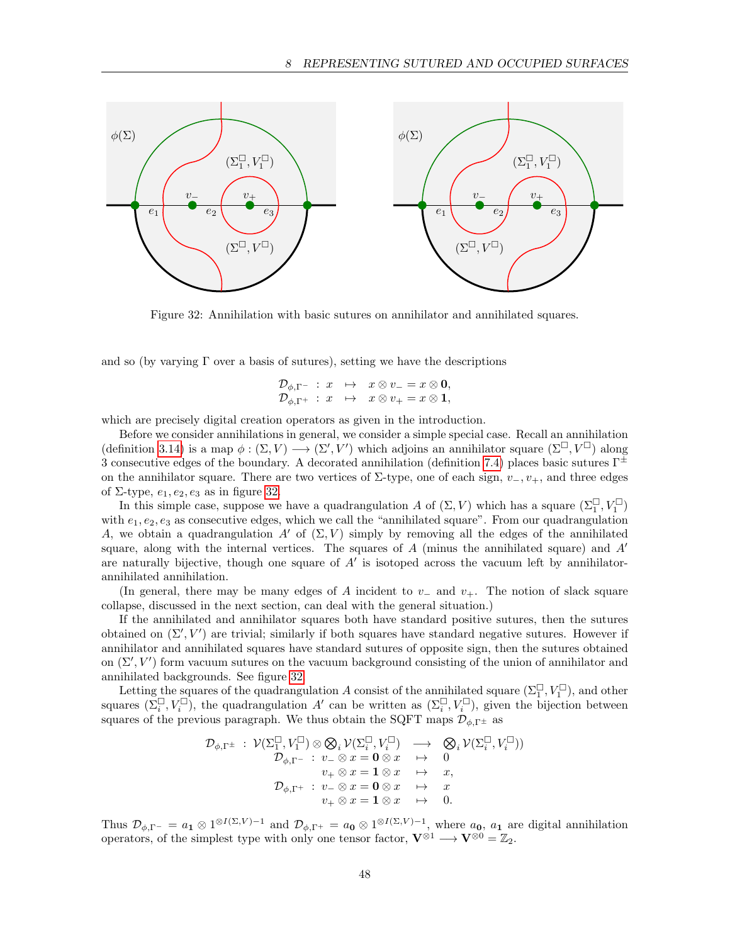

<span id="page-47-0"></span>Figure 32: Annihilation with basic sutures on annihilator and annihilated squares.

and so (by varying  $\Gamma$  over a basis of sutures), setting we have the descriptions

$$
\begin{array}{ccl}\mathcal{D}_{\phi,\Gamma^-} : x & \mapsto & x \otimes v_- = x \otimes \mathbf{0},\\ \mathcal{D}_{\phi,\Gamma^+} : x & \mapsto & x \otimes v_+ = x \otimes \mathbf{1},\end{array}
$$

which are precisely digital creation operators as given in the introduction.

Before we consider annihilations in general, we consider a simple special case. Recall an annihilation (definition [3.14\)](#page-15-3) is a map  $\phi : (\Sigma, V) \longrightarrow (\Sigma', V')$  which adjoins an annihilator square  $(\Sigma^{\square}, V^{\square})$  along 3 consecutive edges of the boundary. A decorated annihilation (definition [7.4\)](#page-36-1) places basic sutures  $\Gamma^{\pm}$ on the annihilator square. There are two vertices of  $\Sigma$ -type, one of each sign,  $v_-, v_+$ , and three edges of  $\Sigma$ -type,  $e_1, e_2, e_3$  as in figure [32.](#page-47-0)

In this simple case, suppose we have a quadrangulation A of  $(\Sigma, V)$  which has a square  $(\Sigma_1^{\square}, V_1^{\square})$ with  $e_1, e_2, e_3$  as consecutive edges, which we call the "annihilated square". From our quadrangulation A, we obtain a quadrangulation A' of  $(\Sigma, V)$  simply by removing all the edges of the annihilated square, along with the internal vertices. The squares of  $A$  (minus the annihilated square) and  $A<sup>'</sup>$ are naturally bijective, though one square of  $A'$  is isotoped across the vacuum left by annihilatorannihilated annihilation.

(In general, there may be many edges of A incident to  $v_-\,$  and  $v_+$ . The notion of slack square collapse, discussed in the next section, can deal with the general situation.)

If the annihilated and annihilator squares both have standard positive sutures, then the sutures obtained on  $(\Sigma', V')$  are trivial; similarly if both squares have standard negative sutures. However if annihilator and annihilated squares have standard sutures of opposite sign, then the sutures obtained on  $(\Sigma', V')$  form vacuum sutures on the vacuum background consisting of the union of annihilator and annihilated backgrounds. See figure [32.](#page-47-0)

Letting the squares of the quadrangulation A consist of the annihilated square  $(\Sigma_1^{\square}, V_1^{\square})$ , and other squares  $(\Sigma_i^{\square}, V_i^{\square})$ , the quadrangulation A' can be written as  $(\Sigma_i^{\square}, V_i^{\square})$ , given the bijection between squares of the previous paragraph. We thus obtain the SQFT maps  $\mathcal{D}_{\phi,\Gamma^{\pm}}$  as

$$
\mathcal{D}_{\phi,\Gamma^{\pm}}\;:\;\mathcal{V}(\Sigma_1^{\square},V_1^{\square})\otimes\bigotimes_i\mathcal{V}(\Sigma_i^{\square},V_i^{\square})\;\;\longrightarrow\;\;\bigotimes_i\mathcal{V}(\Sigma_i^{\square},V_i^{\square}))\\ \mathcal{D}_{\phi,\Gamma^{-}}\;:\;v_-\otimes x=\mathbf{0}\otimes x\quad\mapsto\quad 0\\ v_+\otimes x=\mathbf{1}\otimes x\quad\mapsto\quad x,\\ \mathcal{D}_{\phi,\Gamma^{+}}\;:\;v_-\otimes x=\mathbf{0}\otimes x\quad\mapsto\quad x\\ v_+\otimes x=\mathbf{1}\otimes x\quad\mapsto\quad 0.
$$

Thus  $\mathcal{D}_{\phi,\Gamma^-} = a_1 \otimes 1^{\otimes I(\Sigma,V)-1}$  and  $\mathcal{D}_{\phi,\Gamma^+} = a_0 \otimes 1^{\otimes I(\Sigma,V)-1}$ , where  $a_0$ ,  $a_1$  are digital annihilation operators, of the simplest type with only one tensor factor,  $V^{\otimes 1} \longrightarrow V^{\otimes 0} = \mathbb{Z}_2$ .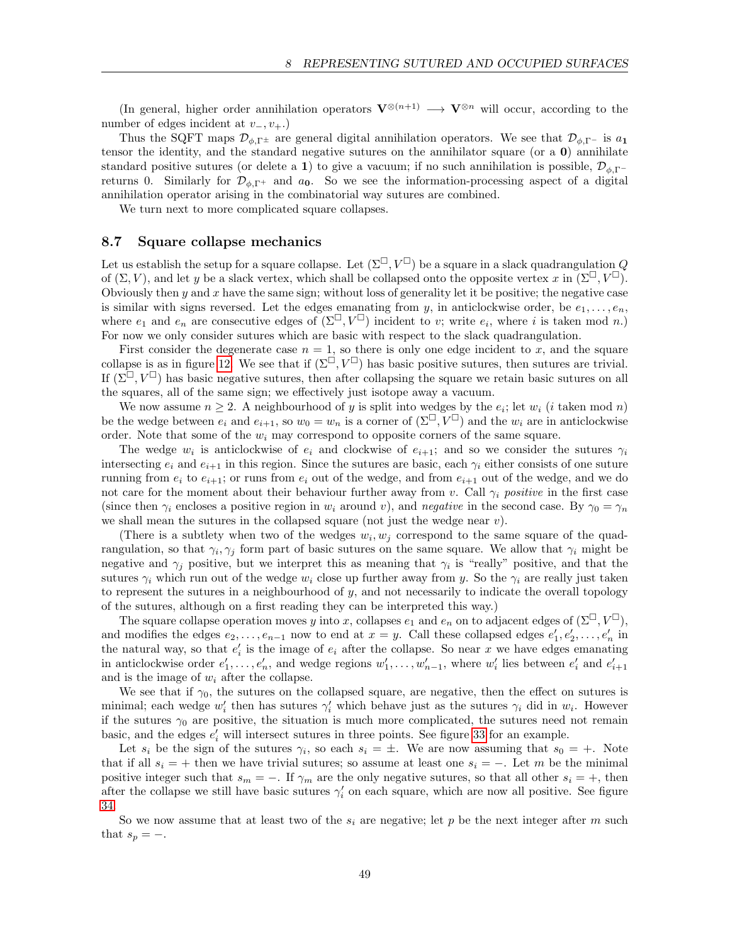(In general, higher order annihilation operators  $\mathbf{V}^{\otimes(n+1)} \longrightarrow \mathbf{V}^{\otimes n}$  will occur, according to the number of edges incident at  $v_-, v_+$ .)

Thus the SQFT maps  $\mathcal{D}_{\phi,\Gamma^{\pm}}$  are general digital annihilation operators. We see that  $\mathcal{D}_{\phi,\Gamma^{-}}$  is  $a_1$ tensor the identity, and the standard negative sutures on the annihilator square (or a  $\bf{0}$ ) annihilate standard positive sutures (or delete a 1) to give a vacuum; if no such annihilation is possible,  $\mathcal{D}_{\phi}$ <sub>Γ</sub>− returns 0. Similarly for  $\mathcal{D}_{\phi,\Gamma^+}$  and  $a_0$ . So we see the information-processing aspect of a digital annihilation operator arising in the combinatorial way sutures are combined.

We turn next to more complicated square collapses.

#### <span id="page-48-0"></span>8.7 Square collapse mechanics

Let us establish the setup for a square collapse. Let  $(\Sigma^{\square}, V^{\square})$  be a square in a slack quadrangulation Q of  $(\Sigma, V)$ , and let y be a slack vertex, which shall be collapsed onto the opposite vertex x in  $(\Sigma^{\square}, V^{\square})$ . Obviously then  $y$  and  $x$  have the same sign; without loss of generality let it be positive; the negative case is similar with signs reversed. Let the edges emanating from y, in anticlockwise order, be  $e_1, \ldots, e_n$ , where  $e_1$  and  $e_n$  are consecutive edges of  $(\Sigma^\square, V^\square)$  incident to v; write  $e_i$ , where i is taken mod n.) For now we only consider sutures which are basic with respect to the slack quadrangulation.

First consider the degenerate case  $n = 1$ , so there is only one edge incident to x, and the square collapse is as in figure [12.](#page-20-2) We see that if  $(\Sigma^\square, V^\square)$  has basic positive sutures, then sutures are trivial. If  $(\Sigma^{\square}, V^{\square})$  has basic negative sutures, then after collapsing the square we retain basic sutures on all the squares, all of the same sign; we effectively just isotope away a vacuum.

We now assume  $n \geq 2$ . A neighbourhood of y is split into wedges by the  $e_i$ ; let  $w_i$  (i taken mod n) be the wedge between  $e_i$  and  $e_{i+1}$ , so  $w_0 = w_n$  is a corner of  $(\Sigma^{\square}, V^{\square})$  and the  $w_i$  are in anticlockwise order. Note that some of the  $w_i$  may correspond to opposite corners of the same square.

The wedge  $w_i$  is anticlockwise of  $e_i$  and clockwise of  $e_{i+1}$ ; and so we consider the sutures  $\gamma_i$ intersecting  $e_i$  and  $e_{i+1}$  in this region. Since the sutures are basic, each  $\gamma_i$  either consists of one suture running from  $e_i$  to  $e_{i+1}$ ; or runs from  $e_i$  out of the wedge, and from  $e_{i+1}$  out of the wedge, and we do not care for the moment about their behaviour further away from v. Call  $\gamma_i$  positive in the first case (since then  $\gamma_i$  encloses a positive region in  $w_i$  around v), and negative in the second case. By  $\gamma_0 = \gamma_n$ we shall mean the sutures in the collapsed square (not just the wedge near  $v$ ).

(There is a subtlety when two of the wedges  $w_i, w_j$  correspond to the same square of the quadrangulation, so that  $\gamma_i, \gamma_j$  form part of basic sutures on the same square. We allow that  $\gamma_i$  might be negative and  $\gamma_j$  positive, but we interpret this as meaning that  $\gamma_i$  is "really" positive, and that the sutures  $\gamma_i$  which run out of the wedge  $w_i$  close up further away from y. So the  $\gamma_i$  are really just taken to represent the sutures in a neighbourhood of  $y$ , and not necessarily to indicate the overall topology of the sutures, although on a first reading they can be interpreted this way.)

The square collapse operation moves y into x, collapses  $e_1$  and  $e_n$  on to adjacent edges of  $(\Sigma^\square, V^\square)$ , and modifies the edges  $e_2, \ldots, e_{n-1}$  now to end at  $x = y$ . Call these collapsed edges  $e'_1, e'_2, \ldots, e'_n$  in the natural way, so that  $e'_i$  is the image of  $e_i$  after the collapse. So near x we have edges emanating in anticlockwise order  $e'_1, \ldots, e'_n$ , and wedge regions  $w'_1, \ldots, w'_{n-1}$ , where  $w'_i$  lies between  $e'_i$  and  $e'_{i+1}$ and is the image of  $w_i$  after the collapse.

We see that if  $\gamma_0$ , the sutures on the collapsed square, are negative, then the effect on sutures is minimal; each wedge  $w'_i$  then has sutures  $\gamma'_i$  which behave just as the sutures  $\gamma_i$  did in  $w_i$ . However if the sutures  $\gamma_0$  are positive, the situation is much more complicated, the sutures need not remain basic, and the edges  $e'_i$  will intersect sutures in three points. See figure [33](#page-49-0) for an example.

Let  $s_i$  be the sign of the sutures  $\gamma_i$ , so each  $s_i = \pm$ . We are now assuming that  $s_0 = +$ . Note that if all  $s_i = +$  then we have trivial sutures; so assume at least one  $s_i = -$ . Let m be the minimal positive integer such that  $s_m = -$ . If  $\gamma_m$  are the only negative sutures, so that all other  $s_i = +$ , then after the collapse we still have basic sutures  $\gamma_i'$  on each square, which are now all positive. See figure [34.](#page-49-1)

So we now assume that at least two of the  $s_i$  are negative; let p be the next integer after m such that  $s_p = -$ .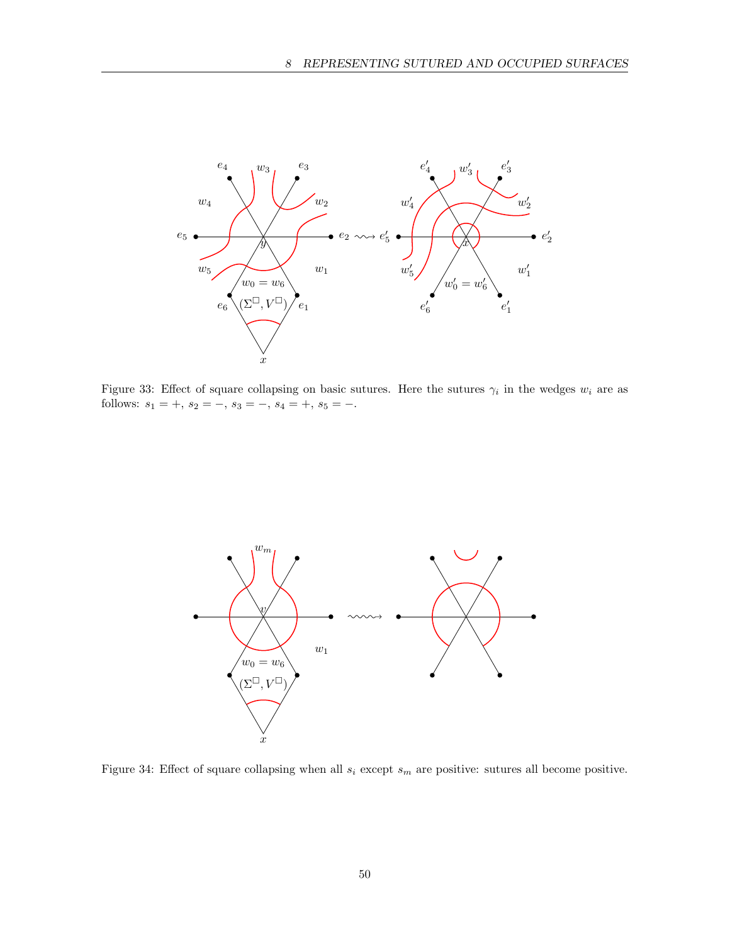

<span id="page-49-0"></span>Figure 33: Effect of square collapsing on basic sutures. Here the sutures  $\gamma_i$  in the wedges  $w_i$  are as follows:  $s_1 = +$ ,  $s_2 = -$ ,  $s_3 = -$ ,  $s_4 = +$ ,  $s_5 = -$ .



<span id="page-49-1"></span>Figure 34: Effect of square collapsing when all  $s_i$  except  $s_m$  are positive: sutures all become positive.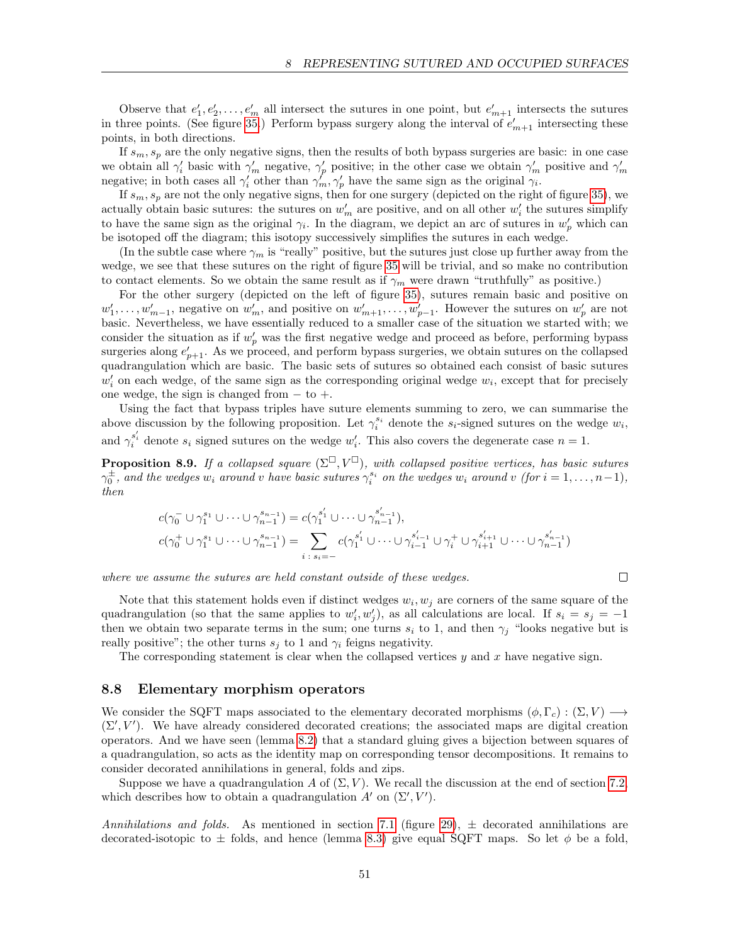Observe that  $e'_1, e'_2, \ldots, e'_m$  all intersect the sutures in one point, but  $e'_{m+1}$  intersects the sutures in three points. (See figure [35.](#page-51-0)) Perform bypass surgery along the interval of  $e'_{m+1}$  intersecting these points, in both directions.

If  $s_m, s_p$  are the only negative signs, then the results of both bypass surgeries are basic: in one case we obtain all  $\gamma'_i$  basic with  $\gamma'_m$  negative,  $\gamma'_p$  positive; in the other case we obtain  $\gamma'_m$  positive and  $\gamma'_m$ negative; in both cases all  $\gamma'_i$  other than  $\gamma'_m, \gamma'_p$  have the same sign as the original  $\gamma_i$ .

If  $s_m, s_p$  are not the only negative signs, then for one surgery (depicted on the right of figure [35\)](#page-51-0), we actually obtain basic sutures: the sutures on  $w'_m$  are positive, and on all other  $w'_i$  the sutures simplify to have the same sign as the original  $\gamma_i$ . In the diagram, we depict an arc of sutures in  $w'_p$  which can be isotoped off the diagram; this isotopy successively simplifies the sutures in each wedge.

(In the subtle case where  $\gamma_m$  is "really" positive, but the sutures just close up further away from the wedge, we see that these sutures on the right of figure [35](#page-51-0) will be trivial, and so make no contribution to contact elements. So we obtain the same result as if  $\gamma_m$  were drawn "truthfully" as positive.)

For the other surgery (depicted on the left of figure [35\)](#page-51-0), sutures remain basic and positive on  $w'_1, \ldots, w'_{m-1}$ , negative on  $w'_m$ , and positive on  $w'_{m+1}, \ldots, w'_{p-1}$ . However the sutures on  $w'_p$  are not basic. Nevertheless, we have essentially reduced to a smaller case of the situation we started with; we consider the situation as if  $w_p'$  was the first negative wedge and proceed as before, performing bypass surgeries along  $e'_{p+1}$ . As we proceed, and perform bypass surgeries, we obtain sutures on the collapsed quadrangulation which are basic. The basic sets of sutures so obtained each consist of basic sutures  $w_i'$  on each wedge, of the same sign as the corresponding original wedge  $w_i$ , except that for precisely one wedge, the sign is changed from  $-$  to  $+$ .

Using the fact that bypass triples have suture elements summing to zero, we can summarise the above discussion by the following proposition. Let  $\gamma_i^{s_i}$  denote the  $s_i$ -signed sutures on the wedge  $w_i$ , and  $\gamma_i^{s'_i}$  denote  $s_i$  signed sutures on the wedge  $w'_i$ . This also covers the degenerate case  $n = 1$ .

<span id="page-50-1"></span>**Proposition 8.9.** If a collapsed square  $(\Sigma^{\square}, V^{\square})$ , with collapsed positive vertices, has basic sutures  $\gamma_0^{\pm}$ , and the wedges  $w_i$  around v have basic sutures  $\gamma_i^{s_i}$  on the wedges  $w_i$  around v (for  $i = 1, \ldots, n-1$ ), then

$$
c(\gamma_0^- \cup \gamma_1^{s_1} \cup \dots \cup \gamma_{n-1}^{s_{n-1}}) = c(\gamma_1^{s'_1} \cup \dots \cup \gamma_{n-1}^{s'_{n-1}}),
$$
  

$$
c(\gamma_0^+ \cup \gamma_1^{s_1} \cup \dots \cup \gamma_{n-1}^{s_{n-1}}) = \sum_{i+s_i=-} c(\gamma_1^{s'_1} \cup \dots \cup \gamma_{i-1}^{s'_{i-1}} \cup \gamma_i^+ \cup \gamma_{i+1}^{s'_{i+1}} \cup \dots \cup \gamma_{n-1}^{s'_{n-1}})
$$

where we assume the sutures are held constant outside of these wedges.

Note that this statement holds even if distinct wedges  $w_i, w_j$  are corners of the same square of the quadrangulation (so that the same applies to  $w'_i, w'_j$ ), as all calculations are local. If  $s_i = s_j = -1$ then we obtain two separate terms in the sum; one turns  $s_i$  to 1, and then  $\gamma_i$  "looks negative but is really positive"; the other turns  $s_j$  to 1 and  $\gamma_i$  feigns negativity.

The corresponding statement is clear when the collapsed vertices  $y$  and  $x$  have negative sign.

#### <span id="page-50-0"></span>8.8 Elementary morphism operators

We consider the SQFT maps associated to the elementary decorated morphisms  $(\phi, \Gamma_c) : (\Sigma, V) \longrightarrow$  $(\Sigma', V')$ . We have already considered decorated creations; the associated maps are digital creation operators. And we have seen (lemma [8.2\)](#page-41-0) that a standard gluing gives a bijection between squares of a quadrangulation, so acts as the identity map on corresponding tensor decompositions. It remains to consider decorated annihilations in general, folds and zips.

Suppose we have a quadrangulation A of  $(\Sigma, V)$ . We recall the discussion at the end of section [7.2,](#page-38-0) which describes how to obtain a quadrangulation  $A'$  on  $(\Sigma', V')$ .

Annihilations and folds. As mentioned in section [7.1](#page-35-1) (figure [29\)](#page-38-1),  $\pm$  decorated annihilations are decorated-isotopic to  $\pm$  folds, and hence (lemma [8.3\)](#page-41-1) give equal SQFT maps. So let  $\phi$  be a fold,

 $\Box$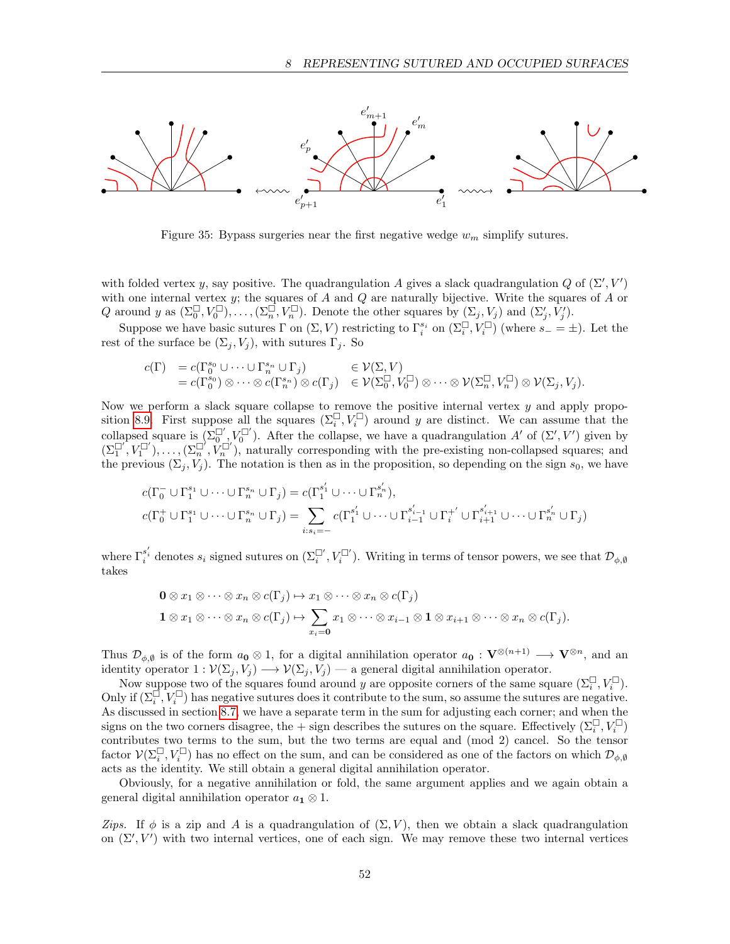

<span id="page-51-0"></span>Figure 35: Bypass surgeries near the first negative wedge  $w_m$  simplify sutures.

with folded vertex y, say positive. The quadrangulation A gives a slack quadrangulation Q of  $(\Sigma', V')$ with one internal vertex  $y$ ; the squares of A and Q are naturally bijective. Write the squares of A or Q around y as  $(\Sigma_0^{\square}, V_0^{\square}), \ldots, (\Sigma_n^{\square}, V_n^{\square})$ . Denote the other squares by  $(\Sigma_j, V_j)$  and  $(\Sigma'_j, V'_j)$ .

Suppose we have basic sutures  $\Gamma$  on  $(\Sigma, V)$  restricting to  $\Gamma_i^{s_i}$  on  $(\Sigma_i^{\square}, V_i^{\square})$  (where  $s_- = \pm$ ). Let the rest of the surface be  $(\Sigma_i, V_i)$ , with sutures  $\Gamma_i$ . So

$$
c(\Gamma) = c(\Gamma_0^{s_0} \cup \cdots \cup \Gamma_n^{s_n} \cup \Gamma_j) \in \mathcal{V}(\Sigma, V) = c(\Gamma_0^{s_0}) \otimes \cdots \otimes c(\Gamma_n^{s_n}) \otimes c(\Gamma_j) \in \mathcal{V}(\Sigma_0^{\square}, V_0^{\square}) \otimes \cdots \otimes \mathcal{V}(\Sigma_n^{\square}, V_n^{\square}) \otimes \mathcal{V}(\Sigma_j, V_j).
$$

Now we perform a slack square collapse to remove the positive internal vertex  $y$  and apply propo-sition [8.9.](#page-50-1) First suppose all the squares  $(\Sigma_i^{\square}, V_i^{\square})$  around y are distinct. We can assume that the collapsed square is  $(\Sigma_0^{\Box'}, V_0^{\Box'})$ . After the collapse, we have a quadrangulation A' of  $(\Sigma', V')$  given by  $(\Sigma_1^{\Box'}, V_1^{\Box'}), \ldots, (\Sigma_n^{\Box'}, V_n^{\Box'})$ , naturally corresponding with the pre-existing non-collapsed squares; and the previous  $(\Sigma_j, V_j)$ . The notation is then as in the proposition, so depending on the sign  $s_0$ , we have

$$
c(\Gamma_0^- \cup \Gamma_1^{s_1} \cup \cdots \cup \Gamma_n^{s_n} \cup \Gamma_j) = c(\Gamma_1^{s'_1} \cup \cdots \cup \Gamma_n^{s'_n}),
$$
  

$$
c(\Gamma_0^+ \cup \Gamma_1^{s_1} \cup \cdots \cup \Gamma_n^{s_n} \cup \Gamma_j) = \sum_{i:s_i=-} c(\Gamma_1^{s'_1} \cup \cdots \cup \Gamma_{i-1}^{s'_{i-1}} \cup \Gamma_i^{+'} \cup \Gamma_{i+1}^{s'_{i+1}} \cup \cdots \cup \Gamma_n^{s'_n} \cup \Gamma_j)
$$

where  $\Gamma_i^{s_i'}$  denotes  $s_i$  signed sutures on  $(\Sigma_i^{\Box'}, V_i^{\Box'})$ . Writing in terms of tensor powers, we see that  $\mathcal{D}_{\phi, \emptyset}$ takes

$$
\begin{aligned}\n\mathbf{0} \otimes x_1 \otimes \cdots \otimes x_n \otimes c(\Gamma_j) &\mapsto x_1 \otimes \cdots \otimes x_n \otimes c(\Gamma_j) \\
\mathbf{1} \otimes x_1 \otimes \cdots \otimes x_n \otimes c(\Gamma_j) &\mapsto \sum_{x_i = \mathbf{0}} x_1 \otimes \cdots \otimes x_{i-1} \otimes \mathbf{1} \otimes x_{i+1} \otimes \cdots \otimes x_n \otimes c(\Gamma_j).\n\end{aligned}
$$

Thus  $\mathcal{D}_{\phi,\emptyset}$  is of the form  $a_0 \otimes 1$ , for a digital annihilation operator  $a_0 : \mathbf{V}^{\otimes (n+1)} \longrightarrow \mathbf{V}^{\otimes n}$ , and an identity operator  $1 : \mathcal{V}(\Sigma_i, V_i) \longrightarrow \mathcal{V}(\Sigma_i, V_i)$  — a general digital annihilation operator.

Now suppose two of the squares found around y are opposite corners of the same square  $(\Sigma_i^{\square}, V_i^{\square})$ . Only if  $(\Sigma_i^{\square}, V_i^{\square})$  has negative sutures does it contribute to the sum, so assume the sutures are negative. As discussed in section [8.7,](#page-48-0) we have a separate term in the sum for adjusting each corner; and when the signs on the two corners disagree, the + sign describes the sutures on the square. Effectively  $(\Sigma_i^{\square}, V_i^{\square})$ contributes two terms to the sum, but the two terms are equal and (mod 2) cancel. So the tensor factor  $\mathcal{V}(\Sigma_i^{\square}, V_i^{\square})$  has no effect on the sum, and can be considered as one of the factors on which  $\mathcal{D}_{\phi,\emptyset}$ acts as the identity. We still obtain a general digital annihilation operator.

Obviously, for a negative annihilation or fold, the same argument applies and we again obtain a general digital annihilation operator  $a_1 \otimes 1$ .

Zips. If  $\phi$  is a zip and A is a quadrangulation of  $(\Sigma, V)$ , then we obtain a slack quadrangulation on  $(\Sigma', V')$  with two internal vertices, one of each sign. We may remove these two internal vertices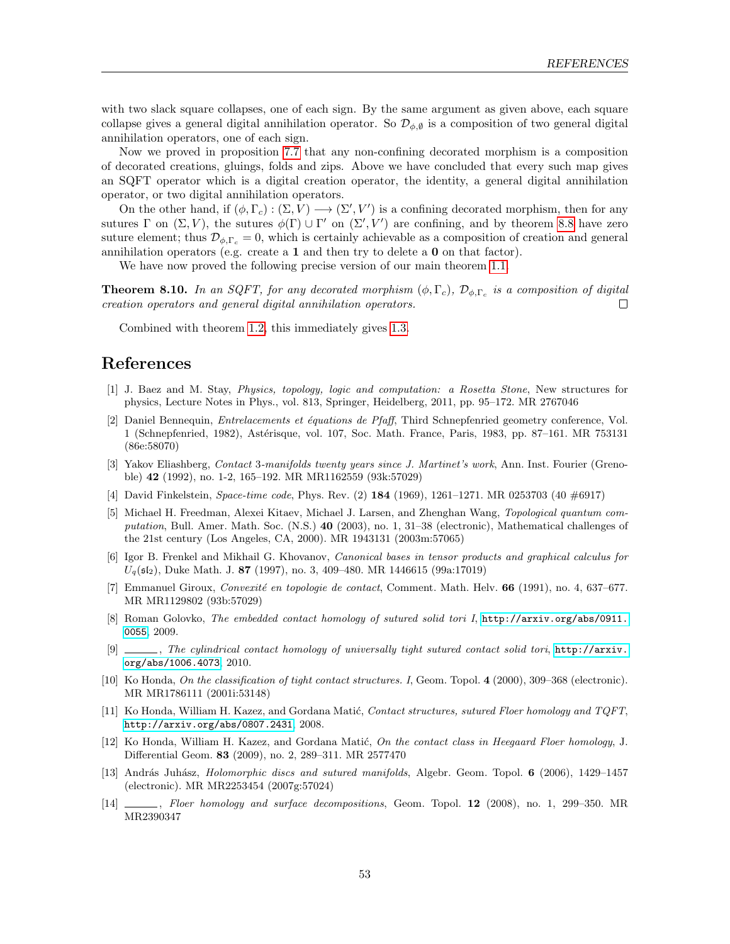with two slack square collapses, one of each sign. By the same argument as given above, each square collapse gives a general digital annihilation operator. So  $\mathcal{D}_{\phi,\emptyset}$  is a composition of two general digital annihilation operators, one of each sign.

Now we proved in proposition [7.7](#page-39-0) that any non-confining decorated morphism is a composition of decorated creations, gluings, folds and zips. Above we have concluded that every such map gives an SQFT operator which is a digital creation operator, the identity, a general digital annihilation operator, or two digital annihilation operators.

On the other hand, if  $(\phi, \Gamma_c) : (\Sigma, V) \longrightarrow (\Sigma', V')$  is a confining decorated morphism, then for any sutures  $\Gamma$  on  $(\Sigma, V)$ , the sutures  $\phi(\Gamma) \cup \Gamma'$  on  $(\Sigma', V')$  are confining, and by theorem [8.8](#page-45-0) have zero suture element; thus  $\mathcal{D}_{\phi,\Gamma_c} = 0$ , which is certainly achievable as a composition of creation and general annihilation operators (e.g. create a  $1$  and then try to delete a  $0$  on that factor).

We have now proved the following precise version of our main theorem [1.1.](#page-1-2)

<span id="page-52-0"></span>**Theorem 8.10.** In an SQFT, for any decorated morphism  $(\phi, \Gamma_c)$ ,  $\mathcal{D}_{\phi, \Gamma_c}$  is a composition of digital creation operators and general digital annihilation operators.  $\Box$ 

Combined with theorem [1.2,](#page-2-2) this immediately gives [1.3.](#page-2-1)

## References

- <span id="page-52-2"></span>[1] J. Baez and M. Stay, Physics, topology, logic and computation: a Rosetta Stone, New structures for physics, Lecture Notes in Phys., vol. 813, Springer, Heidelberg, 2011, pp. 95–172. MR 2767046
- <span id="page-52-9"></span>[2] Daniel Bennequin, *Entrelacements et équations de Pfaff*, Third Schnepfenried geometry conference, Vol. 1 (Schnepfenried, 1982), Astérisque, vol. 107, Soc. Math. France, Paris, 1983, pp. 87–161. MR 753131 (86e:58070)
- <span id="page-52-10"></span>[3] Yakov Eliashberg, Contact 3-manifolds twenty years since J. Martinet's work, Ann. Inst. Fourier (Grenoble) 42 (1992), no. 1-2, 165–192. MR MR1162559 (93k:57029)
- <span id="page-52-3"></span>[4] David Finkelstein, Space-time code, Phys. Rev. (2) 184 (1969), 1261–1271. MR 0253703 (40 #6917)
- <span id="page-52-4"></span>[5] Michael H. Freedman, Alexei Kitaev, Michael J. Larsen, and Zhenghan Wang, Topological quantum computation, Bull. Amer. Math. Soc. (N.S.) 40 (2003), no. 1, 31–38 (electronic), Mathematical challenges of the 21st century (Los Angeles, CA, 2000). MR 1943131 (2003m:57065)
- <span id="page-52-14"></span>[6] Igor B. Frenkel and Mikhail G. Khovanov, Canonical bases in tensor products and graphical calculus for  $U_q(\mathfrak{sl}_2)$ , Duke Math. J. 87 (1997), no. 3, 409–480. MR 1446615 (99a:17019)
- <span id="page-52-7"></span>[7] Emmanuel Giroux, Convexité en topologie de contact, Comment. Math. Helv. 66 (1991), no. 4, 637–677. MR MR1129802 (93b:57029)
- <span id="page-52-5"></span>[8] Roman Golovko, The embedded contact homology of sutured solid tori I, [http://arxiv.org/abs/0911.](http://arxiv.org/abs/0911.0055) [0055](http://arxiv.org/abs/0911.0055), 2009.
- <span id="page-52-6"></span>[9] , The cylindrical contact homology of universally tight sutured contact solid tori, [http://arxiv.](http://arxiv.org/abs/1006.4073) [org/abs/1006.4073](http://arxiv.org/abs/1006.4073), 2010.
- <span id="page-52-8"></span>[10] Ko Honda, On the classification of tight contact structures. I, Geom. Topol. 4 (2000), 309–368 (electronic). MR MR1786111 (2001i:53148)
- <span id="page-52-1"></span>[11] Ko Honda, William H. Kazez, and Gordana Matić, Contact structures, sutured Floer homology and TQFT, <http://arxiv.org/abs/0807.2431>, 2008.
- <span id="page-52-12"></span>[12] Ko Honda, William H. Kazez, and Gordana Matić, On the contact class in Heegaard Floer homology, J. Differential Geom. 83 (2009), no. 2, 289–311. MR 2577470
- <span id="page-52-11"></span>[13] András Juhász, *Holomorphic discs and sutured manifolds*, Algebr. Geom. Topol. 6 (2006), 1429–1457 (electronic). MR MR2253454 (2007g:57024)
- <span id="page-52-13"></span>[14] , Floer homology and surface decompositions, Geom. Topol. 12 (2008), no. 1, 299–350. MR MR2390347